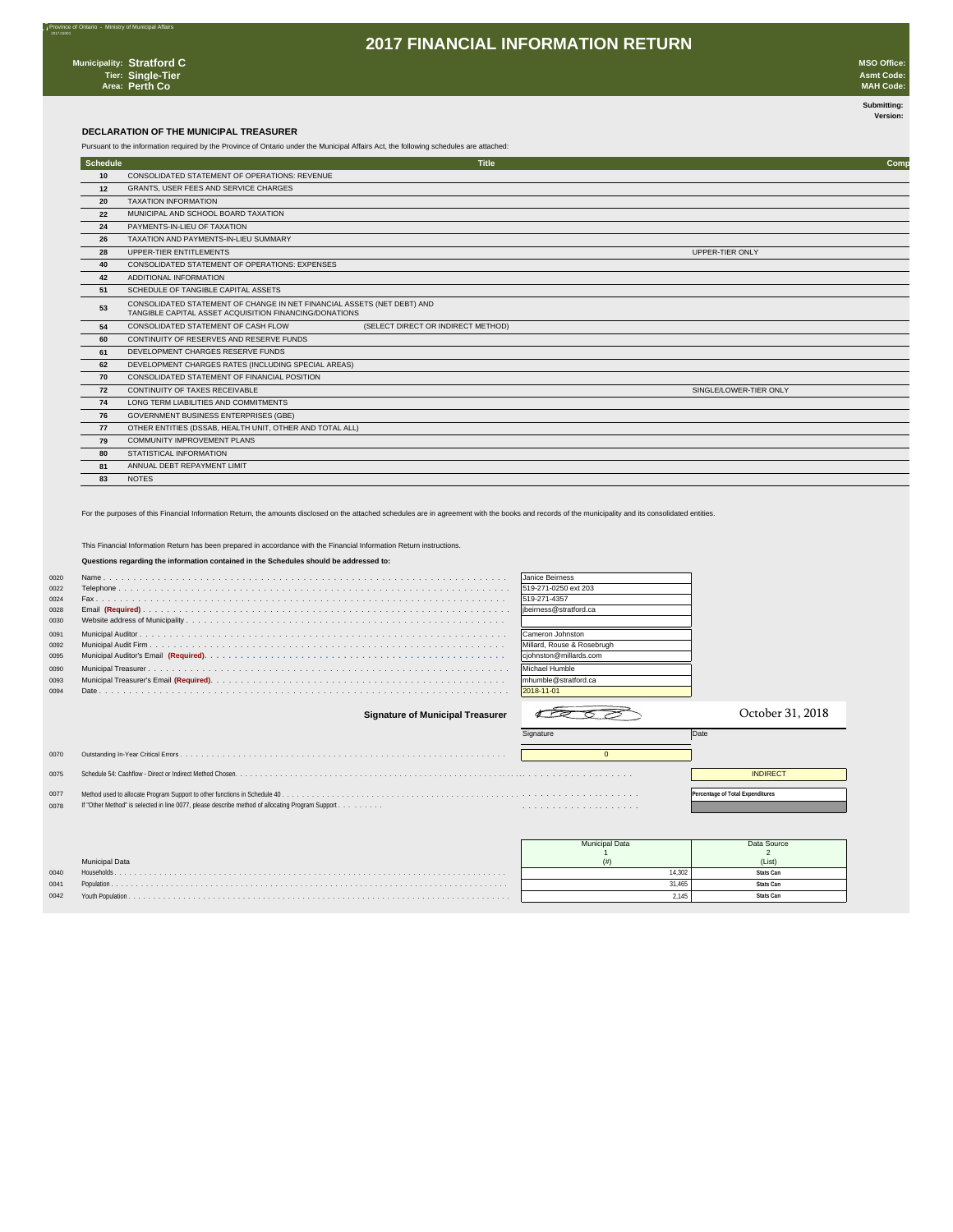nce of Ontario - Ministry of Municipal Affairs

### **2017 FINANCIAL INFORMATION RETURN**

**Submitting: Version:** 

#### **DECLARATION OF THE MUNICIPAL TREASURER**

Pursuant to the information required by the Province of Ontario under the Municipal Affairs Act, the following schedules are attached:

| Schedule |                                                                                                                                   | <b>Title</b>                       | Comp                   |
|----------|-----------------------------------------------------------------------------------------------------------------------------------|------------------------------------|------------------------|
| 10       | CONSOLIDATED STATEMENT OF OPERATIONS: REVENUE                                                                                     |                                    |                        |
| 12       | GRANTS, USER FEES AND SERVICE CHARGES                                                                                             |                                    |                        |
| 20       | <b>TAXATION INFORMATION</b>                                                                                                       |                                    |                        |
| 22       | MUNICIPAL AND SCHOOL BOARD TAXATION                                                                                               |                                    |                        |
| 24       | PAYMENTS-IN-LIEU OF TAXATION                                                                                                      |                                    |                        |
| 26       | TAXATION AND PAYMENTS-IN-LIEU SUMMARY                                                                                             |                                    |                        |
| 28       | UPPER-TIER ENTITLEMENTS                                                                                                           |                                    | UPPER-TIER ONLY        |
| 40       | CONSOLIDATED STATEMENT OF OPERATIONS: EXPENSES                                                                                    |                                    |                        |
| 42       | ADDITIONAL INFORMATION                                                                                                            |                                    |                        |
| 51       | SCHEDULE OF TANGIBLE CAPITAL ASSETS                                                                                               |                                    |                        |
| 53       | CONSOLIDATED STATEMENT OF CHANGE IN NET FINANCIAL ASSETS (NET DEBT) AND<br>TANGIBLE CAPITAL ASSET ACQUISITION FINANCING/DONATIONS |                                    |                        |
| 54       | CONSOLIDATED STATEMENT OF CASH FLOW                                                                                               | (SELECT DIRECT OR INDIRECT METHOD) |                        |
| 60       | CONTINUITY OF RESERVES AND RESERVE FUNDS                                                                                          |                                    |                        |
| 61       | DEVELOPMENT CHARGES RESERVE FUNDS                                                                                                 |                                    |                        |
| 62       | DEVELOPMENT CHARGES RATES (INCLUDING SPECIAL AREAS)                                                                               |                                    |                        |
| 70       | CONSOLIDATED STATEMENT OF FINANCIAL POSITION                                                                                      |                                    |                        |
| 72       | CONTINUITY OF TAXES RECEIVABLE                                                                                                    |                                    | SINGLE/LOWER-TIER ONLY |
| 74       | LONG TERM LIABILITIES AND COMMITMENTS                                                                                             |                                    |                        |
| 76       | <b>GOVERNMENT BUSINESS ENTERPRISES (GBE)</b>                                                                                      |                                    |                        |
| 77       | OTHER ENTITIES (DSSAB, HEALTH UNIT, OTHER AND TOTAL ALL)                                                                          |                                    |                        |
| 79       | <b>COMMUNITY IMPROVEMENT PLANS</b>                                                                                                |                                    |                        |
| 80       | STATISTICAL INFORMATION                                                                                                           |                                    |                        |
| 81       | ANNUAL DEBT REPAYMENT LIMIT                                                                                                       |                                    |                        |
| 83       | <b>NOTES</b>                                                                                                                      |                                    |                        |

For the purposes of this Financial Information Return, the amounts disclosed on the attached schedules are in agreement with the books and records of the municipality and its consolidated entities.

This Financial Information Return has been prepared in accordance with the Financial Information Return instructions.

### **Questions regarding the information contained in the Schedules should be addressed to:**

| 0020 | Janice Beirness            |
|------|----------------------------|
| 0022 | 519-271-0250 ext 203       |
| 0024 | 519-271-4357               |
| 0028 | libeirness@stratford.ca    |
| 0030 |                            |
| 0091 | Cameron Johnston           |
| 0092 | Millard, Rouse & Rosebrugh |
| 0095 | ciohnston@millards.com     |
| 0090 | Michael Humble             |
| 0093 | Imhumble@stratford.ca      |
| 0094 | 2018-11-01                 |

#### **Signature of Municipal Treasurer**

| 0092 |                                                                                                  | Millard, Rouse & Rosebrugh |                                  |
|------|--------------------------------------------------------------------------------------------------|----------------------------|----------------------------------|
| 0095 |                                                                                                  | cjohnston@millards.com     |                                  |
| 0090 |                                                                                                  | Michael Humble             |                                  |
| 0093 |                                                                                                  | mhumble@stratford.ca       |                                  |
| 0094 |                                                                                                  | 2018-11-01                 |                                  |
|      | <b>Signature of Municipal Treasurer</b>                                                          |                            | October 31, 2018                 |
|      |                                                                                                  |                            |                                  |
|      |                                                                                                  | Signature                  | Date                             |
| 0070 |                                                                                                  |                            |                                  |
| 0075 |                                                                                                  |                            | <b>INDIRECT</b>                  |
|      |                                                                                                  |                            |                                  |
| 0077 | If "Other Method" is selected in line 0077, please describe method of allocating Program Support |                            | Percentage of Total Expenditures |



|      |                       | <b>Municipal Data</b> | Data Source |
|------|-----------------------|-----------------------|-------------|
|      |                       |                       |             |
|      | <b>Municipal Data</b> |                       | (List)      |
| 0040 | Households            | 14.302                | Stats Can   |
| 0041 |                       | 31.465                | Stats Can   |
| 0042 |                       | 2.145                 | Stats Can   |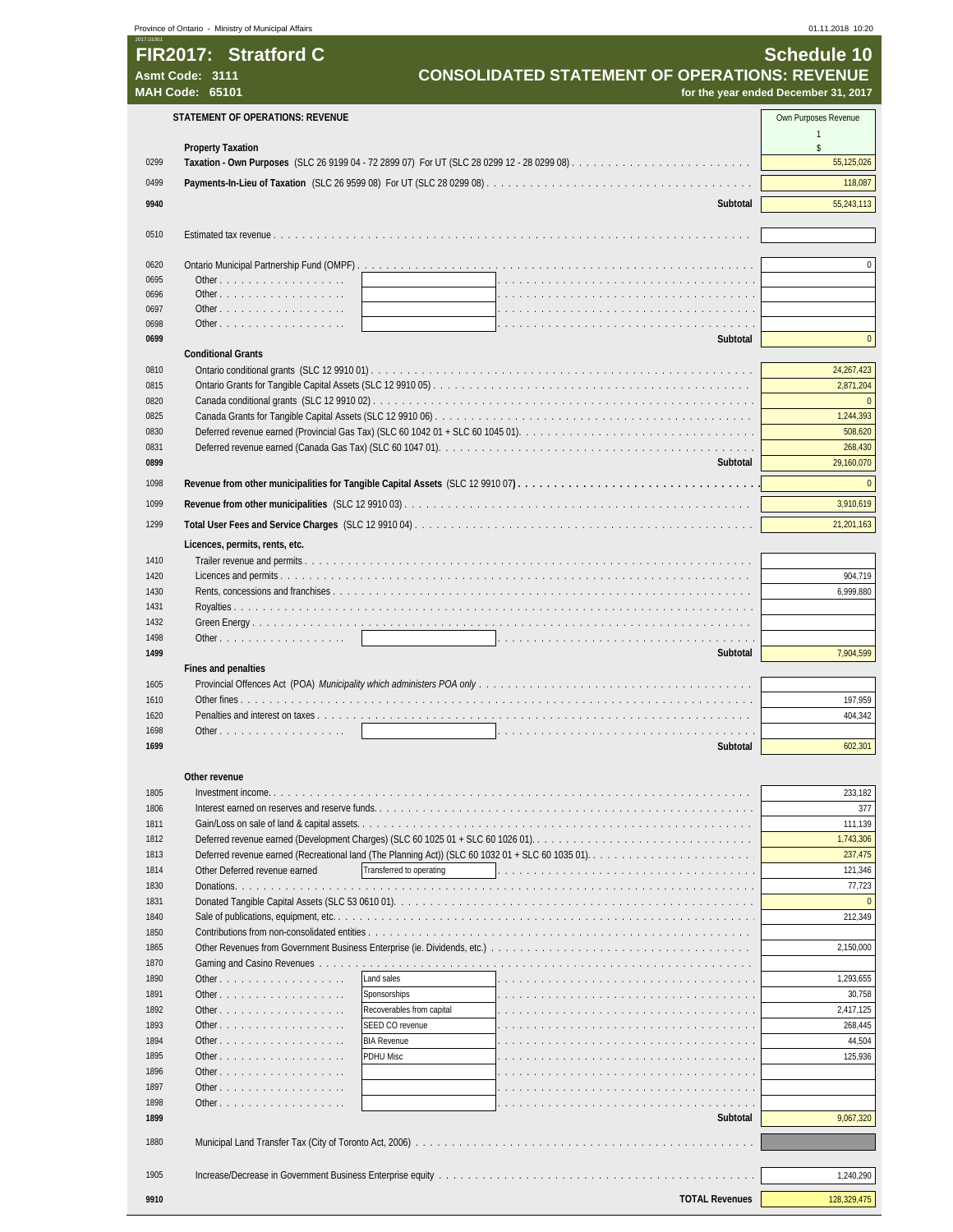| 2017.01001   | Province of Ontario - Ministry of Municipal Affairs         |                           |                                                      | 01.11.2018 10:20                     |
|--------------|-------------------------------------------------------------|---------------------------|------------------------------------------------------|--------------------------------------|
|              | FIR2017: Stratford C                                        |                           |                                                      | <b>Schedule 10</b>                   |
|              | Asmt Code: 3111                                             |                           | <b>CONSOLIDATED STATEMENT OF OPERATIONS: REVENUE</b> |                                      |
|              | <b>MAH Code: 65101</b>                                      |                           |                                                      | for the year ended December 31, 2017 |
|              |                                                             |                           |                                                      |                                      |
|              | <b>STATEMENT OF OPERATIONS: REVENUE</b>                     |                           |                                                      | Own Purposes Revenue                 |
|              |                                                             |                           |                                                      | $\mathbf{1}$                         |
|              | <b>Property Taxation</b>                                    |                           |                                                      | \$                                   |
| 0299         |                                                             |                           |                                                      | 55,125,026                           |
| 0499         |                                                             |                           |                                                      | 118,087                              |
| 9940         |                                                             |                           | Subtotal                                             | 55,243,113                           |
|              |                                                             |                           |                                                      |                                      |
| 0510         |                                                             |                           |                                                      |                                      |
|              |                                                             |                           |                                                      |                                      |
| 0620         |                                                             |                           |                                                      | $\Omega$                             |
| 0695         | Other                                                       |                           |                                                      |                                      |
| 0696<br>0697 |                                                             |                           |                                                      |                                      |
| 0698         | Other, $\ldots$ , $\ldots$ , $\ldots$ , $\ldots$ , $\ldots$ |                           |                                                      |                                      |
| 0699         |                                                             |                           | Subtotal                                             | $\overline{0}$                       |
|              | <b>Conditional Grants</b>                                   |                           |                                                      |                                      |
| 0810         |                                                             |                           |                                                      | 24, 267, 423                         |
| 0815         |                                                             |                           |                                                      | 2,871,204                            |
| 0820         |                                                             |                           |                                                      | $\overline{0}$                       |
| 0825         |                                                             |                           |                                                      | 1,244,393                            |
| 0830         |                                                             |                           |                                                      | 508,620                              |
| 0831         |                                                             |                           |                                                      | 268,430                              |
| 0899         |                                                             |                           | Subtotal                                             | 29,160,070                           |
| 1098         |                                                             |                           |                                                      | $\mathbf{0}$                         |
| 1099         |                                                             |                           |                                                      | 3,910,619                            |
| 1299         |                                                             |                           |                                                      | 21,201,163                           |
|              |                                                             |                           |                                                      |                                      |
| 1410         | Licences, permits, rents, etc.                              |                           |                                                      |                                      |
| 1420         |                                                             |                           |                                                      | 904,719                              |
| 1430         |                                                             |                           |                                                      | 6,999,880                            |
| 1431         |                                                             |                           |                                                      |                                      |
| 1432         |                                                             |                           |                                                      |                                      |
| 1498         |                                                             |                           |                                                      |                                      |
| 1499         |                                                             |                           | Subtotal                                             | 7,904,599                            |
|              | Fines and penalties                                         |                           |                                                      |                                      |
| 1605         |                                                             |                           |                                                      |                                      |
| 1610         |                                                             |                           |                                                      | 197,959                              |
| 1620         |                                                             |                           |                                                      | 404,342                              |
| 1698         | Other                                                       |                           |                                                      |                                      |
| 1699         |                                                             |                           | Subtotal                                             | 602,301                              |
|              | Other revenue                                               |                           |                                                      |                                      |
| 1805         |                                                             |                           |                                                      | 233,182                              |
| 1806         |                                                             |                           |                                                      | 377                                  |
| 1811         |                                                             |                           |                                                      | 111,139                              |
| 1812         |                                                             |                           |                                                      | 1,743,306                            |
| 1813         |                                                             |                           |                                                      | 237,475                              |
| 1814         | Other Deferred revenue earned                               | Transferred to operating  |                                                      | 121,346                              |
| 1830         |                                                             |                           |                                                      | 77,723                               |
| 1831         |                                                             |                           |                                                      | $\overline{0}$                       |
| 1840         |                                                             |                           |                                                      | 212,349                              |
| 1850<br>1865 |                                                             |                           |                                                      | 2,150,000                            |
| 1870         |                                                             |                           |                                                      |                                      |
| 1890         |                                                             | Land sales                |                                                      | 1,293,655                            |
| 1891         | Other                                                       | Sponsorships              |                                                      | 30,758                               |
| 1892         | Other                                                       | Recoverables from capital |                                                      | 2,417,125                            |
| 1893         | Other $\ldots$ $\ldots$ $\ldots$ $\ldots$ $\ldots$          | SEED CO revenue           |                                                      | 268,445                              |
| 1894         | Other                                                       | <b>BIA Revenue</b>        |                                                      | 44,504                               |
| 1895         | Other                                                       | PDHU Misc                 |                                                      | 125,936                              |
| 1896         | Other $\ldots$ $\ldots$ $\ldots$ $\ldots$ $\ldots$          |                           |                                                      |                                      |
| 1897         | Other                                                       |                           |                                                      |                                      |
| 1898         | Other $\ldots$ $\ldots$ $\ldots$ $\ldots$ $\ldots$ $\ldots$ |                           |                                                      |                                      |
| 1899         |                                                             |                           | Subtotal                                             | 9,067,320                            |
| 1880         |                                                             |                           |                                                      |                                      |
|              |                                                             |                           |                                                      |                                      |
| 1905         |                                                             |                           |                                                      | 1,240,290                            |
| 9910         |                                                             |                           | <b>TOTAL Revenues</b>                                | 128,329,475                          |
|              |                                                             |                           |                                                      |                                      |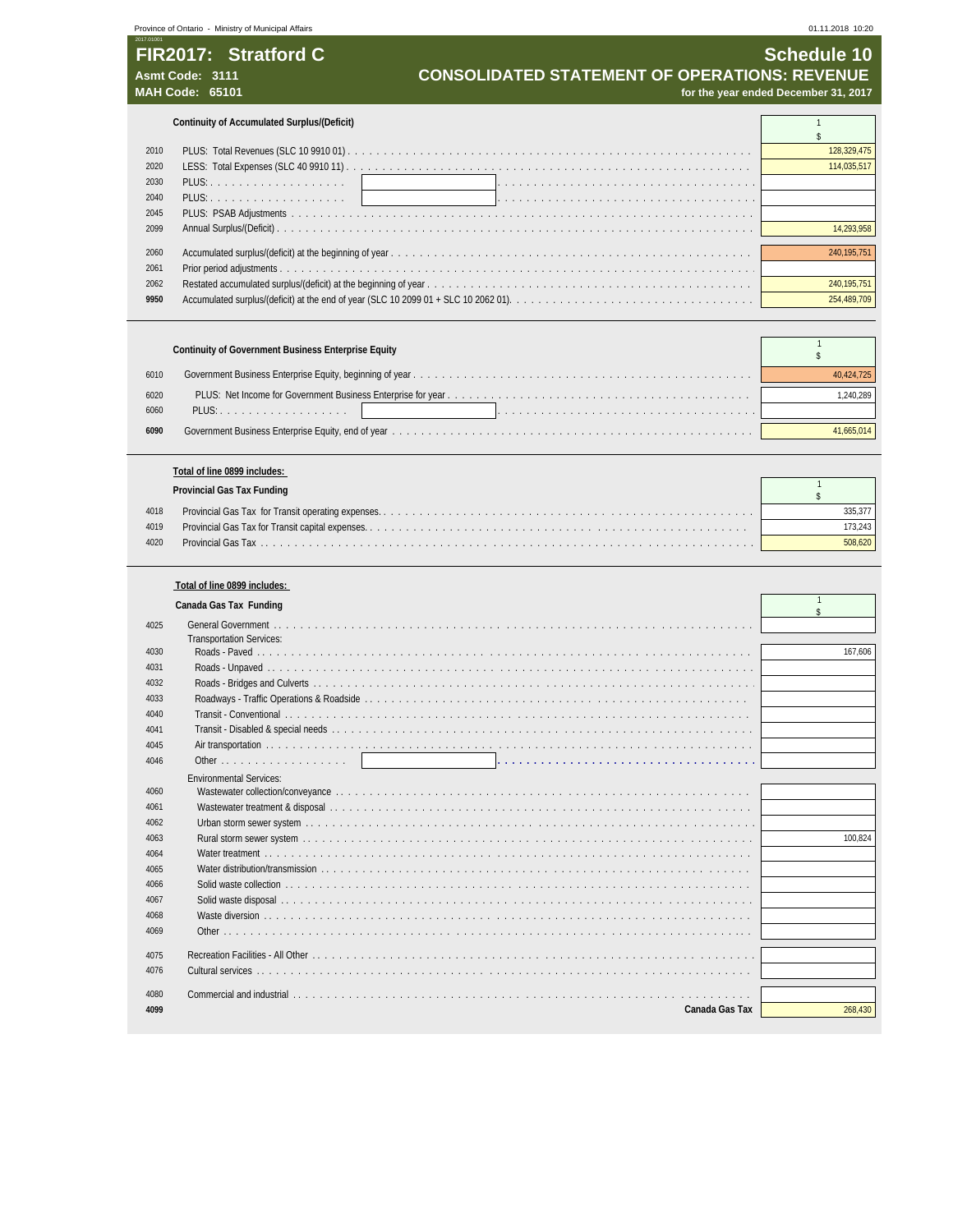## **FIR2017: Stratford C** Schedule 10 Asmt Code: 3111<br>**CONSOLIDATED STATEMENT OF OPERATIONS: REVENUE**<br>for the year ended December 31, 2017<br>for the year ended December 31, 2017

for the year ended December 31, 2017

**Continuity of Accumulated Surplus/(Deficit)** 1

| 2010 |  |
|------|--|
| 2020 |  |
| 2030 |  |
| 2040 |  |
| 2045 |  |
| 2099 |  |
|      |  |
| 2060 |  |
| 2061 |  |
| 2062 |  |
| 9950 |  |

|              | Continuity of Government Business Enterprise Equity |            |
|--------------|-----------------------------------------------------|------------|
| 6010         |                                                     | 40.424.725 |
| 6020<br>6060 |                                                     | .240.289   |
| 6090         |                                                     |            |

#### **Total of line 0899 includes:**

|      | Provincial Gas Tax Funding |  |  |  |  |  |
|------|----------------------------|--|--|--|--|--|
| 4018 |                            |  |  |  |  |  |
| 4019 |                            |  |  |  |  |  |
| 4020 |                            |  |  |  |  |  |
|      |                            |  |  |  |  |  |

### **Total of line 0899 includes:**

|      | Canada Gas Tax Funding                                                                                                                                                                                                         | $\hat{\mathbf{S}}$ |
|------|--------------------------------------------------------------------------------------------------------------------------------------------------------------------------------------------------------------------------------|--------------------|
| 4025 |                                                                                                                                                                                                                                |                    |
|      | <b>Transportation Services:</b>                                                                                                                                                                                                |                    |
| 4030 |                                                                                                                                                                                                                                | 167.606            |
| 4031 |                                                                                                                                                                                                                                |                    |
| 4032 |                                                                                                                                                                                                                                |                    |
| 4033 |                                                                                                                                                                                                                                |                    |
| 4040 |                                                                                                                                                                                                                                |                    |
| 4041 |                                                                                                                                                                                                                                |                    |
| 4045 |                                                                                                                                                                                                                                |                    |
| 4046 |                                                                                                                                                                                                                                |                    |
|      | <b>Fnvironmental Services:</b>                                                                                                                                                                                                 |                    |
| 4060 |                                                                                                                                                                                                                                |                    |
| 4061 |                                                                                                                                                                                                                                |                    |
| 4062 |                                                                                                                                                                                                                                |                    |
| 4063 |                                                                                                                                                                                                                                | 100,824            |
| 4064 |                                                                                                                                                                                                                                |                    |
| 4065 |                                                                                                                                                                                                                                |                    |
| 4066 |                                                                                                                                                                                                                                |                    |
| 4067 |                                                                                                                                                                                                                                |                    |
| 4068 |                                                                                                                                                                                                                                |                    |
| 4069 |                                                                                                                                                                                                                                |                    |
|      |                                                                                                                                                                                                                                |                    |
| 4075 |                                                                                                                                                                                                                                |                    |
| 4076 |                                                                                                                                                                                                                                |                    |
| 4080 | Commercial and industrial experience is a consequence of the consequence of the consequence of the consequence of the consequence of the consequence of the consequence of the consequence of the consequence of the consequen |                    |
| 4099 | Canada Gas Tax                                                                                                                                                                                                                 | 268,430            |
|      |                                                                                                                                                                                                                                |                    |

 $\mathbb{R}$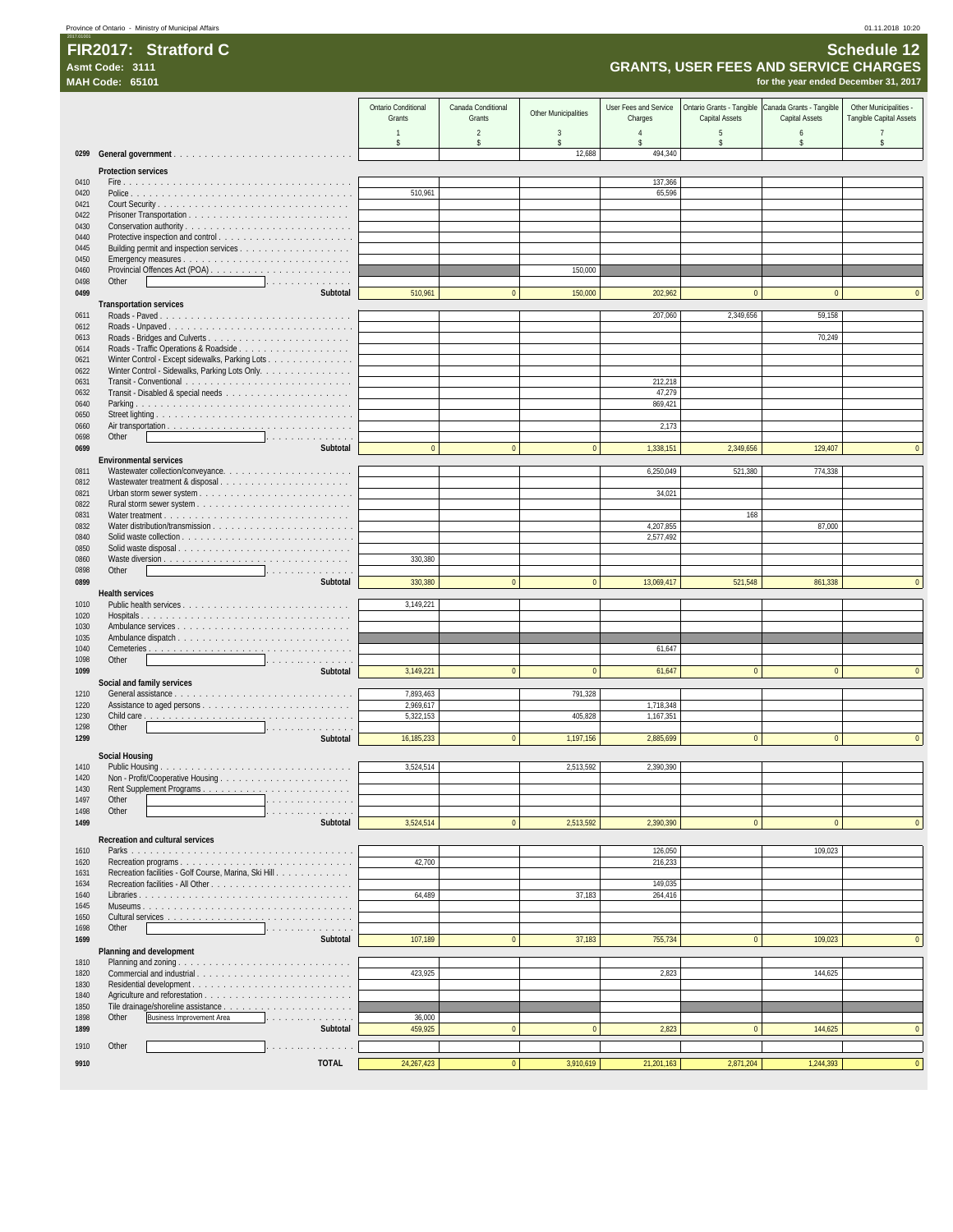## 2017.01001 **FIR2017: Stratford C Schedule 12**

|              | <b>GRANTS, USER FEES AND SERVICE CHARGES</b><br>Asmt Code: 3111<br>for the year ended December 31, 2017                                                                                                                                             |                               |                              |                      |                                  |                                             |                                            |                                                   |
|--------------|-----------------------------------------------------------------------------------------------------------------------------------------------------------------------------------------------------------------------------------------------------|-------------------------------|------------------------------|----------------------|----------------------------------|---------------------------------------------|--------------------------------------------|---------------------------------------------------|
|              | <b>MAH Code: 65101</b>                                                                                                                                                                                                                              |                               |                              |                      |                                  |                                             |                                            |                                                   |
|              |                                                                                                                                                                                                                                                     | Ontario Conditional<br>Grants | Canada Conditional<br>Grants | Other Municipalities | User Fees and Service<br>Charges | Ontario Grants - Tangible<br>Capital Assets | Canada Grants - Tangible<br>Capital Assets | Other Municipalities -<br>Tangible Capital Assets |
|              |                                                                                                                                                                                                                                                     | $\mathbf{1}$                  | $\overline{2}$               | 3                    | $\overline{4}$                   | 5                                           | 6                                          | $\overline{7}$                                    |
| 0299         |                                                                                                                                                                                                                                                     | \$                            | \$                           | \$<br>12,688         | \$<br>494,340                    | \$                                          | \$                                         | \$                                                |
|              | <b>Protection services</b>                                                                                                                                                                                                                          |                               |                              |                      |                                  |                                             |                                            |                                                   |
| 0410         |                                                                                                                                                                                                                                                     |                               |                              |                      | 137,366                          |                                             |                                            |                                                   |
| 0420<br>0421 |                                                                                                                                                                                                                                                     | 510,961                       |                              |                      | 65,596                           |                                             |                                            |                                                   |
| 0422         |                                                                                                                                                                                                                                                     |                               |                              |                      |                                  |                                             |                                            |                                                   |
| 0430         |                                                                                                                                                                                                                                                     |                               |                              |                      |                                  |                                             |                                            |                                                   |
| 0440         |                                                                                                                                                                                                                                                     |                               |                              |                      |                                  |                                             |                                            |                                                   |
| 0445<br>0450 |                                                                                                                                                                                                                                                     |                               |                              |                      |                                  |                                             |                                            |                                                   |
| 0460         |                                                                                                                                                                                                                                                     |                               |                              | 150,000              |                                  |                                             |                                            |                                                   |
| 0498         | Other<br>.                                                                                                                                                                                                                                          |                               |                              |                      |                                  | $\mathbf{0}$                                |                                            |                                                   |
| 0499         | Subtotal<br><b>Transportation services</b>                                                                                                                                                                                                          | 510,961                       | $\pmb{0}$                    | 150,000              | 202,962                          |                                             | $\pmb{0}$                                  |                                                   |
| 0611         |                                                                                                                                                                                                                                                     |                               |                              |                      | 207,060                          | 2,349,656                                   | 59,158                                     |                                                   |
| 0612         |                                                                                                                                                                                                                                                     |                               |                              |                      |                                  |                                             |                                            |                                                   |
| 0613<br>0614 |                                                                                                                                                                                                                                                     |                               |                              |                      |                                  |                                             | 70,249                                     |                                                   |
| 0621         | Winter Control - Except sidewalks, Parking Lots                                                                                                                                                                                                     |                               |                              |                      |                                  |                                             |                                            |                                                   |
| 0622         | Winter Control - Sidewalks, Parking Lots Only.                                                                                                                                                                                                      |                               |                              |                      |                                  |                                             |                                            |                                                   |
| 0631<br>0632 |                                                                                                                                                                                                                                                     |                               |                              |                      | 212,218<br>47,279                |                                             |                                            |                                                   |
| 0640         |                                                                                                                                                                                                                                                     |                               |                              |                      | 869,421                          |                                             |                                            |                                                   |
| 0650         |                                                                                                                                                                                                                                                     |                               |                              |                      |                                  |                                             |                                            |                                                   |
| 0660<br>0698 | Other<br>and a series of the company                                                                                                                                                                                                                |                               |                              |                      | 2,173                            |                                             |                                            |                                                   |
| 0699         | Subtotal<br><b>Environmental services</b>                                                                                                                                                                                                           | $\mathbf{0}$                  | $\mathbf{0}$                 | $\mathbf{0}$         | 1,338,151                        | 2,349,656                                   | 129,407                                    |                                                   |
| 0811         |                                                                                                                                                                                                                                                     |                               |                              |                      | 6,250,049                        | 521,380                                     | 774,338                                    |                                                   |
| 0812         |                                                                                                                                                                                                                                                     |                               |                              |                      |                                  |                                             |                                            |                                                   |
| 0821<br>0822 |                                                                                                                                                                                                                                                     |                               |                              |                      | 34,021                           |                                             |                                            |                                                   |
| 0831         |                                                                                                                                                                                                                                                     |                               |                              |                      |                                  | 168                                         |                                            |                                                   |
| 0832         |                                                                                                                                                                                                                                                     |                               |                              |                      | 4,207,855                        |                                             | 87,000                                     |                                                   |
| 0840<br>0850 | Solid waste disposal                                                                                                                                                                                                                                |                               |                              |                      | 2,577,492                        |                                             |                                            |                                                   |
| 0860         |                                                                                                                                                                                                                                                     | 330,380                       |                              |                      |                                  |                                             |                                            |                                                   |
| 0898         | Other<br>.                                                                                                                                                                                                                                          |                               |                              | $\mathbf{0}$         |                                  |                                             |                                            |                                                   |
| 0899         | Subtotal<br><b>Health services</b>                                                                                                                                                                                                                  | 330,380                       | $\pmb{0}$                    |                      | 13,069,417                       | 521,548                                     | 861,338                                    |                                                   |
| 1010         |                                                                                                                                                                                                                                                     | 3,149,221                     |                              |                      |                                  |                                             |                                            |                                                   |
| 1020         |                                                                                                                                                                                                                                                     |                               |                              |                      |                                  |                                             |                                            |                                                   |
| 1030<br>1035 |                                                                                                                                                                                                                                                     |                               |                              |                      |                                  |                                             |                                            |                                                   |
| 1040         |                                                                                                                                                                                                                                                     |                               |                              |                      | 61,647                           |                                             |                                            |                                                   |
| 1098<br>1099 | Other<br>and a series of the contract of<br>Subtotal                                                                                                                                                                                                | 3,149,221                     | $\overline{0}$               | $\mathbf{0}$         | 61,647                           | $\mathbf{0}$                                | $\overline{0}$                             |                                                   |
|              | Social and family services                                                                                                                                                                                                                          |                               |                              |                      |                                  |                                             |                                            |                                                   |
| 1210         |                                                                                                                                                                                                                                                     | 7,893,463                     |                              | 791,328              |                                  |                                             |                                            |                                                   |
| 1220<br>1230 |                                                                                                                                                                                                                                                     | 2,969,617<br>5,322,153        |                              | 405,828              | 1,718,348<br>1,167,351           |                                             |                                            |                                                   |
| 1298         | Other<br>and a series and a series                                                                                                                                                                                                                  |                               |                              |                      |                                  |                                             |                                            |                                                   |
| 1299         | Subtotal                                                                                                                                                                                                                                            | 16,185,233                    | $\Omega$                     | 1,197,156            | 2,885,699                        | $\Omega$                                    | $\Omega$                                   |                                                   |
|              | Social Housing                                                                                                                                                                                                                                      |                               |                              |                      |                                  |                                             |                                            |                                                   |
| 1410         |                                                                                                                                                                                                                                                     | 3,524,514                     |                              | 2,513,592            | 2,390,390                        |                                             |                                            |                                                   |
| 1420<br>1430 |                                                                                                                                                                                                                                                     |                               |                              |                      |                                  |                                             |                                            |                                                   |
| 1497         | Other<br>.                                                                                                                                                                                                                                          |                               |                              |                      |                                  |                                             |                                            |                                                   |
| 1498         | Other<br>.                                                                                                                                                                                                                                          |                               |                              |                      |                                  |                                             |                                            |                                                   |
| 1499         | Subtotal                                                                                                                                                                                                                                            | 3,524,514                     | $\pmb{0}$                    | 2,513,592            | 2,390,390                        | $\bf 0$                                     | $\mathbf{0}$                               |                                                   |
| 1610         | Recreation and cultural services                                                                                                                                                                                                                    |                               |                              |                      | 126,050                          |                                             | 109,023                                    |                                                   |
| 1620         | Recreation programs                                                                                                                                                                                                                                 | 42,700                        |                              |                      | 216,233                          |                                             |                                            |                                                   |
| 1631         | Recreation facilities - Golf Course, Marina, Ski Hill                                                                                                                                                                                               |                               |                              |                      |                                  |                                             |                                            |                                                   |
| 1634<br>1640 |                                                                                                                                                                                                                                                     | 64,489                        |                              | 37,183               | 149,035<br>264,416               |                                             |                                            |                                                   |
| 1645         |                                                                                                                                                                                                                                                     |                               |                              |                      |                                  |                                             |                                            |                                                   |
| 1650         |                                                                                                                                                                                                                                                     |                               |                              |                      |                                  |                                             |                                            |                                                   |
| 1698<br>1699 | Other<br>and the contract of the contract of the contract of the contract of the contract of the contract of the contract of the contract of the contract of the contract of the contract of the contract of the contract of the contra<br>Subtotal | 107,189                       | $\mathbf{0}$                 | 37,183               | 755,734                          | $\mathbf{0}$                                | 109,023                                    | $\bf{0}$                                          |
|              | Planning and development                                                                                                                                                                                                                            |                               |                              |                      |                                  |                                             |                                            |                                                   |
| 1810         |                                                                                                                                                                                                                                                     |                               |                              |                      |                                  |                                             |                                            |                                                   |
| 1820<br>1830 |                                                                                                                                                                                                                                                     | 423,925                       |                              |                      | 2,823                            |                                             | 144,625                                    |                                                   |
| 1840         |                                                                                                                                                                                                                                                     |                               |                              |                      |                                  |                                             |                                            |                                                   |
| 1850         |                                                                                                                                                                                                                                                     |                               |                              |                      |                                  |                                             |                                            |                                                   |
| 1898<br>1899 | <b>Business Improvement Area</b><br>Other<br>.<br>Subtotal                                                                                                                                                                                          | 36,000<br>459,925             | $\mathbf{0}$                 | $\mathbf{0}$         | 2,823                            | $\mathbf{0}$                                | 144,625                                    | $\mathbf{0}$                                      |
| 1910         | Other                                                                                                                                                                                                                                               |                               |                              |                      |                                  |                                             |                                            |                                                   |
| 9910         | and a series of a series of a<br><b>TOTAL</b>                                                                                                                                                                                                       | 24, 267, 423                  | $\overline{0}$               | 3,910,619            | 21,201,163                       | 2,871,204                                   | 1,244,393                                  | $\overline{0}$                                    |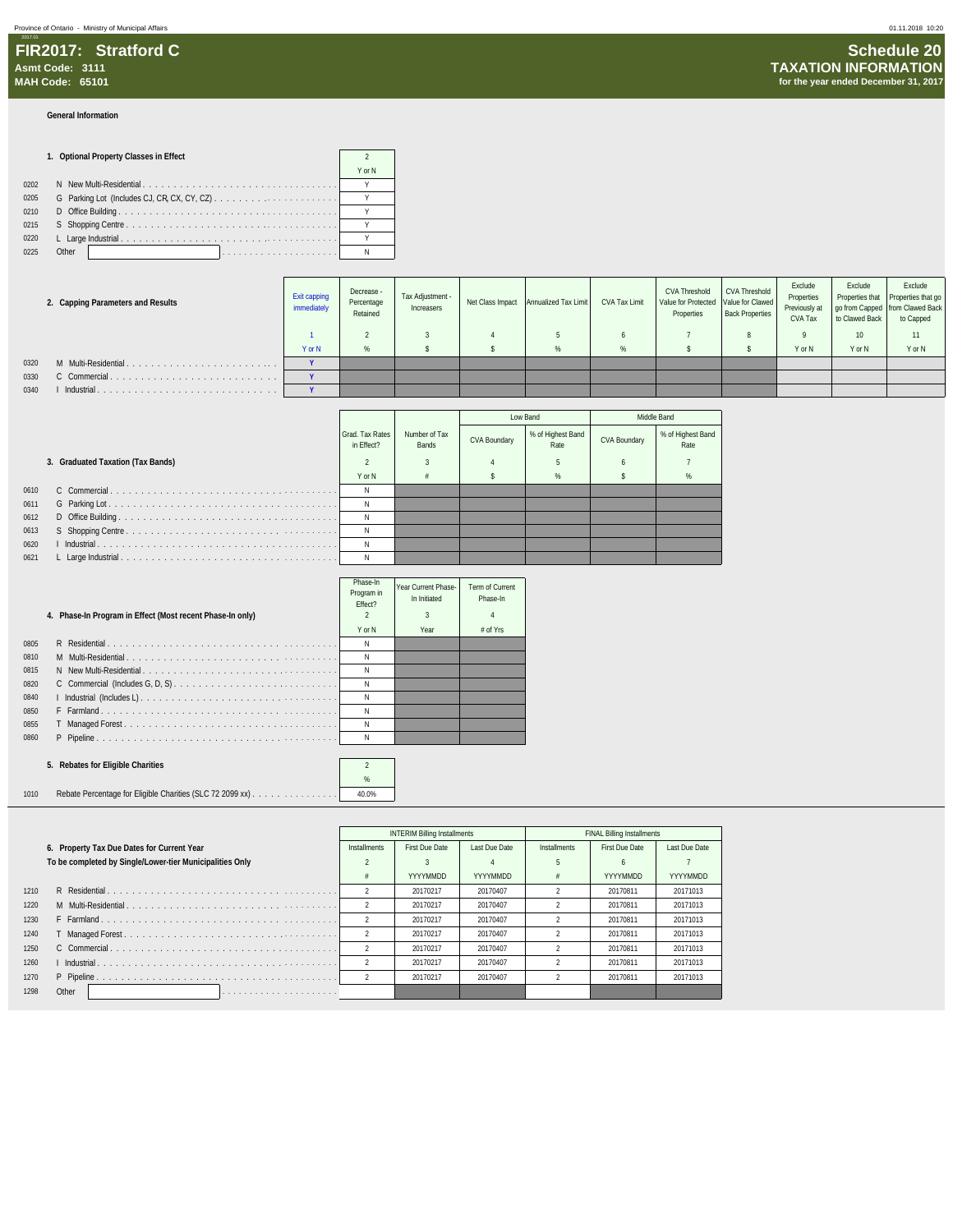#### **General Information**

|      | 1. Optional Property Classes in Effect |        |  |  |  |
|------|----------------------------------------|--------|--|--|--|
|      |                                        | Y or N |  |  |  |
| 0202 |                                        |        |  |  |  |
| 0205 |                                        |        |  |  |  |
| 0210 |                                        |        |  |  |  |
| 0215 |                                        |        |  |  |  |
| 0220 |                                        |        |  |  |  |
| 0225 | Other                                  |        |  |  |  |

|      | 2. Capping Parameters and Results | Exit capping<br>immediately | Decrease -<br>Percentage<br>Retained | Tax Adjustment -<br>Increasers | Net Class Impact Annualized Tax Limit | CVA Tax Limit | <b>CVA Threshold</b><br>Value for Protected Value for Clawed<br>Properties | <b>CVA Threshold</b><br><b>Back Properties</b> | Exclude<br>Properties<br>Previously at<br>CVA Tax | Exclude<br>to Clawed Back | Exclude<br>Properties that Properties that go<br>go from Capped   from Clawed Back<br>to Capped |
|------|-----------------------------------|-----------------------------|--------------------------------------|--------------------------------|---------------------------------------|---------------|----------------------------------------------------------------------------|------------------------------------------------|---------------------------------------------------|---------------------------|-------------------------------------------------------------------------------------------------|
|      |                                   |                             |                                      |                                |                                       |               |                                                                            |                                                |                                                   | 10                        | 11                                                                                              |
|      |                                   | Y or N                      | $\Omega$<br>70                       |                                | $\alpha$<br>70                        |               |                                                                            |                                                | Y or N                                            | Y or N                    | Y or N                                                                                          |
| 0320 | M Multi-Residential.              | $\mathbf{v}$                |                                      |                                |                                       |               |                                                                            |                                                |                                                   |                           |                                                                                                 |
| 0330 |                                   |                             |                                      |                                |                                       |               |                                                                            |                                                |                                                   |                           |                                                                                                 |
| 0340 | Industrial                        | $\mathbf{v}$                |                                      |                                |                                       |               |                                                                            |                                                |                                                   |                           |                                                                                                 |

|      |                                   |                               |                        |              | Low Band                  | Middle Band  |                           |
|------|-----------------------------------|-------------------------------|------------------------|--------------|---------------------------|--------------|---------------------------|
|      |                                   | Grad, Tax Rates<br>in Effect? | Number of Tax<br>Bands | CVA Boundary | % of Highest Band<br>Rate | CVA Boundary | % of Highest Band<br>Rate |
|      | 3. Graduated Taxation (Tax Bands) |                               |                        |              |                           |              |                           |
|      |                                   | Y or N                        |                        |              | %                         |              | %                         |
| 0610 |                                   |                               |                        |              |                           |              |                           |
| 0611 |                                   |                               |                        |              |                           |              |                           |
| 0612 |                                   |                               |                        |              |                           |              |                           |
| 0613 |                                   |                               |                        |              |                           |              |                           |
| 0620 |                                   |                               |                        |              |                           |              |                           |
| 0621 |                                   |                               |                        |              |                           |              |                           |

|      | 4. Phase-In Program in Effect (Most recent Phase-In only) | Phase-In<br>Program in<br>Fffect? | Year Current Phase-<br>In Initiated | Term of Current<br>Phase-In<br>4 |
|------|-----------------------------------------------------------|-----------------------------------|-------------------------------------|----------------------------------|
|      |                                                           | Y or N                            | Year                                | $#$ of Yrs                       |
| 0805 |                                                           | Ν                                 |                                     |                                  |
| 0810 |                                                           | N                                 |                                     |                                  |
| 0815 |                                                           | N                                 |                                     |                                  |
| 0820 |                                                           | N                                 |                                     |                                  |
| 0840 |                                                           | N                                 |                                     |                                  |
| 0850 |                                                           | Ν                                 |                                     |                                  |
| 0855 |                                                           | Ν                                 |                                     |                                  |
| 0860 |                                                           | Ν                                 |                                     |                                  |
|      |                                                           |                                   |                                     |                                  |

### **5. Rebates for Eligible Charities** 2

1010 Rebate Percentage for Eligible Charities (SLC 72 2099 xx) . . . . . . . . . . . . . . . 40.0%

|      |                                                          |                | <b>INTERIM Billing Installments</b> |               | <b>FINAL Billing Installments</b> |                |               |  |
|------|----------------------------------------------------------|----------------|-------------------------------------|---------------|-----------------------------------|----------------|---------------|--|
|      | 6. Property Tax Due Dates for Current Year               | Installments   | First Due Date                      | Last Due Date | Installments                      | First Due Date | Last Due Date |  |
|      | To be completed by Single/Lower-tier Municipalities Only |                |                                     |               |                                   |                |               |  |
|      |                                                          | 工              | YYYYMMDD                            | YYYYMMDD      |                                   | YYYYMMDD       | YYYYMMDD      |  |
| 1210 |                                                          |                | 20170217                            | 20170407      |                                   | 20170811       | 20171013      |  |
| 1220 |                                                          | $\mathfrak{p}$ | 20170217                            | 20170407      |                                   | 20170811       | 20171013      |  |
| 1230 |                                                          | $\mathfrak{D}$ | 20170217                            | 20170407      |                                   | 20170811       | 20171013      |  |
| 1240 |                                                          | $\mathfrak{D}$ | 20170217                            | 20170407      |                                   | 20170811       | 20171013      |  |
| 1250 |                                                          | $\mathfrak{D}$ | 20170217                            | 20170407      |                                   | 20170811       | 20171013      |  |
| 1260 |                                                          | $\mathfrak{D}$ | 20170217                            | 20170407      |                                   | 20170811       | 20171013      |  |
| 1270 |                                                          | $\mathfrak{D}$ | 20170217                            | 20170407      |                                   | 20170811       | 20171013      |  |
| 1298 | Other                                                    |                |                                     |               |                                   |                |               |  |

%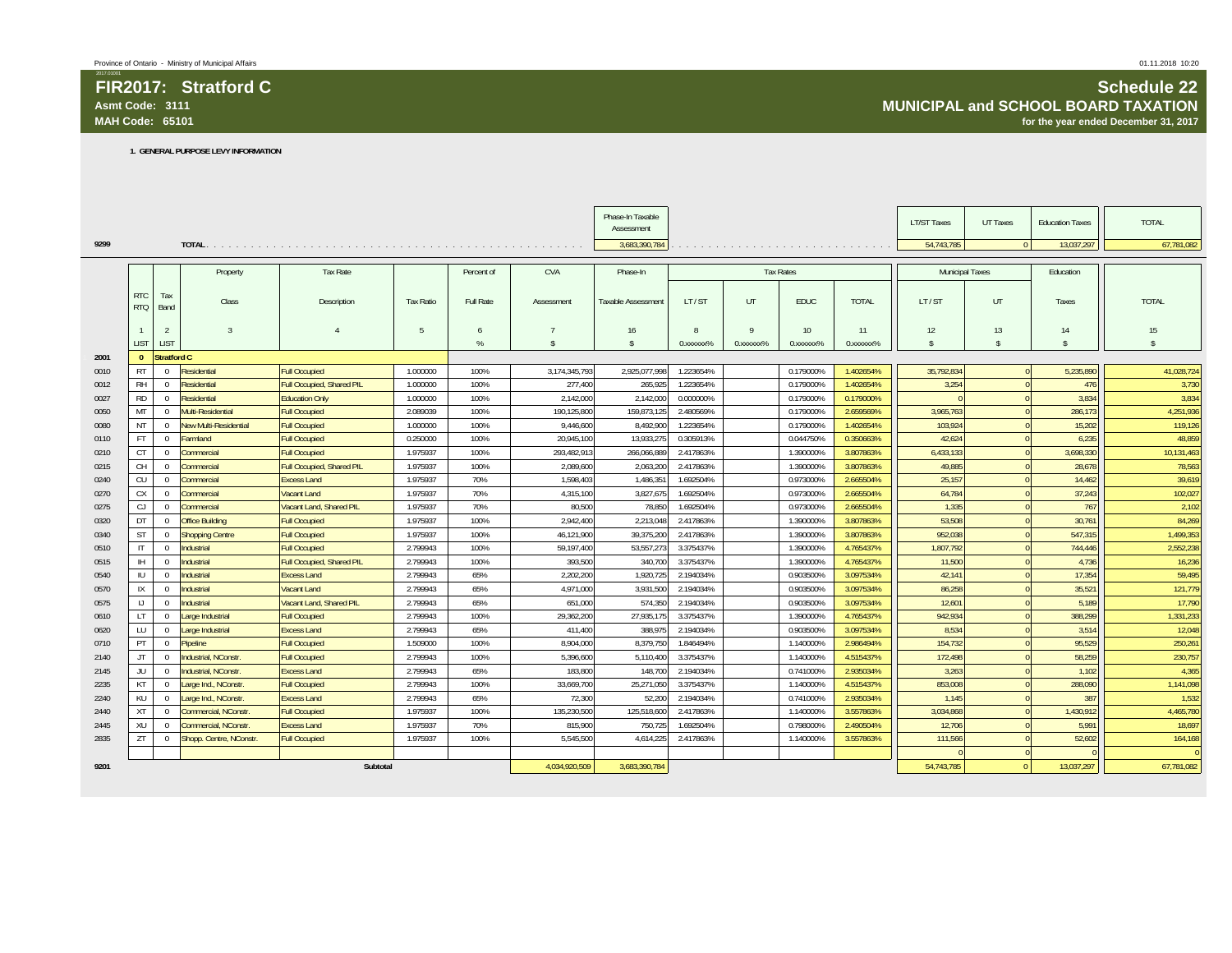**FIR2017: Stratford CAsmt Code: 3111MAH Code: 65101**

## **Schedule 22 MUNICIPAL and SCHOOL BOARD TAXATION for the year ended December 31, 2017**

**1. GENERAL PURPOSE LEVY INFORMATION**

|      |              |                |                        |                           |           |               |                    | Phase-In Taxable   |                        |              |                  |                                                                                                    | <b>LT/ST Taxes</b>     | UT Taxes     | <b>Education Taxes</b> | <b>TOTAL</b>       |
|------|--------------|----------------|------------------------|---------------------------|-----------|---------------|--------------------|--------------------|------------------------|--------------|------------------|----------------------------------------------------------------------------------------------------|------------------------|--------------|------------------------|--------------------|
|      |              |                |                        |                           |           |               |                    | Assessment         |                        |              |                  |                                                                                                    |                        |              |                        |                    |
| 9299 |              |                |                        |                           |           |               |                    | 3,683,390,784      |                        |              |                  | والمتعاط والمتحال والمتحال والمتحال والمتحال والمتحال والمتحال والمتحال والمتحال والمتحال والمتحال | 54,743,785             | $\Omega$     | 13,037,297             | 67,781,082         |
|      |              |                |                        |                           |           |               |                    |                    |                        |              |                  |                                                                                                    |                        |              |                        |                    |
|      |              |                | Property               | <b>Tax Rate</b>           |           | Percent of    | <b>CVA</b>         | Phase-In           |                        |              | <b>Tax Rates</b> |                                                                                                    | <b>Municipal Taxes</b> |              | Education              |                    |
|      | <b>RTC</b>   | Tax            |                        |                           |           |               |                    |                    |                        |              |                  |                                                                                                    |                        |              |                        |                    |
|      | <b>RTQ</b>   | Band           | Class                  | Description               | Tax Ratio | Full Rate     | Assessment         | Taxable Assessment | LT/ST                  | UT           | <b>EDUC</b>      | <b>TOTAL</b>                                                                                       | LT/ST                  | UT           | Taxes                  | <b>TOTAL</b>       |
|      |              |                |                        |                           |           |               |                    |                    |                        |              |                  |                                                                                                    |                        |              |                        |                    |
|      |              | $\overline{2}$ | $\overline{3}$         | $\mathfrak{a}$            | $5 -$     | 6             |                    | 16                 | $\mathbf{R}$           | $\mathsf{Q}$ | 10 <sup>°</sup>  | 11                                                                                                 | 12                     | 13           | 14                     | 15                 |
|      | LIST         | LIST           |                        |                           |           | $\frac{0}{6}$ | $\hat{\mathbf{x}}$ | $\hat{\mathbf{S}}$ | 0. XXXXXX <sup>%</sup> | 0.xxxxxx%    | 0.xxxxxx%        | 0.xxxxxx%                                                                                          | $\mathbf{s}$           | $\mathbf{s}$ | $\hat{\mathbf{S}}$     | $\mathbf{\hat{s}}$ |
| 2001 | $\Omega$     | Stratford C    |                        |                           |           |               |                    |                    |                        |              |                  |                                                                                                    |                        |              |                        |                    |
| 0010 | <b>RT</b>    | $\overline{0}$ | <b>Residential</b>     | <b>Full Occupied</b>      | 1.000000  | 100%          | 3.174.345.793      | 2,925,077,998      | 1.223654%              |              | 0.179000%        | 1.402654%                                                                                          | 35.792.834             | $\Omega$     | 5,235,890              | 41,028,724         |
| 0012 | <b>RH</b>    | $\overline{0}$ | Residential            | Full Occupied, Shared PIL | 1.000000  | 100%          | 277,400            | 265,925            | 1.223654%              |              | 0.179000%        | 1.402654%                                                                                          | 3,254                  |              | 476                    | 3,730              |
| 0027 | <b>RD</b>    | $\overline{0}$ | Residential            | <b>Education Only</b>     | 1.000000  | 100%          | 2.142.000          | 2,142,000          | 0.000000%              |              | 0.179000%        | 0.179000%                                                                                          |                        |              | 3.834                  | 3,834              |
| 0050 | MT           | $\overline{0}$ | Multi-Residential      | <b>Full Occupied</b>      | 2.089039  | 100%          | 190,125,800        | 159,873,125        | 2.480569%              |              | 0.179000%        | 2.659569%                                                                                          | 3,965,763              |              | 286,173                | 4,251,936          |
| 0080 | NT           | $\overline{0}$ | New Multi-Residential  | <b>Full Occupied</b>      | 1.000000  | 100%          | 9.446.600          | 8,492,900          | 1.223654%              |              | 0.179000%        | 1.402654%                                                                                          | 103.924                |              | 15.202                 | 119,126            |
| 0110 | <b>FT</b>    | $\overline{0}$ | Farmland               | <b>Full Occupied</b>      | 0.250000  | 100%          | 20,945,100         | 13,933,275         | 0.305913%              |              | 0.044750%        | 0.350663%                                                                                          | 42,624                 |              | 6,235                  | 48,859             |
| 0210 | <b>CT</b>    | $\mathbf 0$    | Commercial             | <b>Full Occupied</b>      | 1.975937  | 100%          | 293,482,913        | 266,066,889        | 2.417863%              |              | 1.390000%        | 3.807863%                                                                                          | 6,433,133              |              | 3,698,330              | 10,131,463         |
| 0215 | CH           | $\mathbf{0}$   | Commercial             | Full Occupied, Shared PIL | 1.975937  | 100%          | 2.089.600          | 2.063.200          | 2.417863%              |              | 1.390000%        | 3.807863%                                                                                          | 49.885                 |              | 28.678                 | 78,563             |
| 0240 | CU           | $\overline{0}$ | Commercial             | <b>Excess Land</b>        | 1.975937  | 70%           | 1.598.403          | 1.486.351          | 1.692504%              |              | 0.973000%        | 2.665504%                                                                                          | 25.157                 |              | 14.462                 | 39,619             |
| 0270 | CX           | $\overline{0}$ | <b>Commercial</b>      | Vacant Land               | 1.975937  | 70%           | 4,315,100          | 3,827,675          | 1.692504%              |              | 0.973000%        | 2.665504%                                                                                          | 64,784                 |              | 37,243                 | 102,027            |
| 0275 | CJ           | $\mathbf 0$    | Commercial             | Vacant Land, Shared PIL   | 1.975937  | 70%           | 80,500             | 78,850             | 1.692504%              |              | 0.973000%        | 2.665504%                                                                                          | 1,335                  |              | 767                    | 2,102              |
| 0320 | DT           | $\overline{0}$ | <b>Office Building</b> | <b>Full Occupied</b>      | 1.975937  | 100%          | 2.942.400          | 2,213,048          | 2.417863%              |              | 1.390000%        | 3.807863%                                                                                          | 53.508                 |              | 30,761                 | 84,269             |
| 0340 | <b>ST</b>    | $\overline{0}$ | <b>Shopping Centre</b> | <b>Full Occupied</b>      | 1.975937  | 100%          | 46.121.900         | 39.375.200         | 2.417863%              |              | 1.390000%        | 3.807863%                                                                                          | 952.038                |              | 547.315                | 1,499,353          |
| 0510 | $\mathsf{I}$ | $\overline{0}$ | Industrial             | <b>Full Occupied</b>      | 2.799943  | 100%          | 59,197,400         | 53,557,273         | 3.375437%              |              | 1.390000%        | 4.765437%                                                                                          | 1,807,792              |              | 744,446                | 2,552,238          |
| 0515 | <b>IH</b>    | $\overline{0}$ | Industrial             | Full Occupied, Shared PIL | 2.799943  | 100%          | 393,500            | 340,700            | 3.375437%              |              | 1.390000%        | 4.765437%                                                                                          | 11,500                 |              | 4,736                  | 16,236             |
| 0540 | $\mathbb{U}$ | $\Omega$       | Industrial             | <b>Excess Land</b>        | 2.799943  | 65%           | 2.202.200          | 1,920,725          | 2.194034%              |              | 0.903500%        | 3.097534%                                                                                          | 42.141                 |              | 17.354                 | 59,495             |
| 0570 | IX           | $\mathbf{0}$   | Industrial             | Vacant Land               | 2.799943  | 65%           | 4.971.000          | 3.931.500          | 2.194034%              |              | 0.903500%        | 3.097534%                                                                                          | 86.258                 |              | 35.521                 | 121,779            |
| 0575 | IJ           | $\overline{0}$ | Industrial             | Vacant Land, Shared PIL   | 2.799943  | 65%           | 651,000            | 574,350            | 2.194034%              |              | 0.903500%        | 3.097534%                                                                                          | 12,601                 |              | 5,189                  | 17,790             |
| 0610 | LT           | $\overline{0}$ | arge Industrial        | <b>Full Occupied</b>      | 2.799943  | 100%          | 29,362,200         | 27,935,175         | 3.375437%              |              | 1.390000%        | 4.765437%                                                                                          | 942,934                |              | 388,299                | 1,331,233          |
| 0620 | LU           | $\overline{0}$ | Large Industrial       | <b>Excess Land</b>        | 2.799943  | 65%           | 411.400            | 388.975            | 2.194034%              |              | 0.903500%        | 3.097534%                                                                                          | 8.534                  |              | 3.514                  | 12,048             |
| 0710 | PT           | $\mathbf{0}$   | Pipeline               | <b>Full Occupied</b>      | 1.509000  | 100%          | 8.904.000          | 8.379.750          | 1.846494%              |              | 1.140000%        | 2.986494%                                                                                          | 154.732                |              | 95.529                 | 250,261            |
| 2140 | JT           | $\overline{0}$ | ndustrial, NConstr.    | <b>Full Occupied</b>      | 2.799943  | 100%          | 5,396,600          | 5,110,400          | 3.375437%              |              | 1.140000%        | 4.515437%                                                                                          | 172,498                |              | 58,259                 | 230,757            |
| 2145 | JU           | $\overline{0}$ | ndustrial, NConstr.    | <b>Excess Land</b>        | 2.799943  | 65%           | 183.800            | 148,700            | 2.194034%              |              | 0.741000%        | 2.935034%                                                                                          | 3,263                  |              | 1.102                  | 4,365              |
| 2235 | KT           | $\overline{0}$ | Large Ind., NConstr    | <b>Full Occupied</b>      | 2.799943  | 100%          | 33,669,700         | 25,271,050         | 3.375437%              |              | 1.140000%        | 4.515437%                                                                                          | 853,008                |              | 288,090                | 1,141,098          |
| 2240 | KU           | $\overline{0}$ | Large Ind., NConstr    | <b>Excess Land</b>        | 2.799943  | 65%           | 72.300             | 52,200             | 2.194034%              |              | 0.741000%        | 2.935034%                                                                                          | 1.145                  |              | 387                    | 1,532              |
| 2440 | <b>XT</b>    | $\overline{0}$ | Commercial, NConstr    | <b>Full Occupied</b>      | 1.975937  | 100%          | 135.230.500        | 125.518.600        | 2.417863%              |              | 1.140000%        | 3.557863%                                                                                          | 3.034.868              |              | 1.430.912              | 4,465,780          |
| 2445 | XU           | $\overline{0}$ | Commercial, NConstr    | <b>Excess Land</b>        | 1.975937  | 70%           | 815,900            | 750,725            | 1.692504%              |              | 0.798000%        | 2.490504%                                                                                          | 12,706                 |              | 5.991                  | 18,697             |
| 2835 | ZT           | $\overline{0}$ | Shopp. Centre, NConstr | <b>Full Occupied</b>      | 1.975937  | 100%          | 5.545.500          | 4,614,225          | 2.417863%              |              | 1.140000%        | 3.557863%                                                                                          | 111.566                |              | 52.602                 | 164,168            |
|      |              |                |                        |                           |           |               |                    |                    |                        |              |                  |                                                                                                    |                        |              |                        |                    |
| 9201 |              |                |                        | Subtotal                  |           |               | 4,034,920,509      | 3,683,390,784      |                        |              |                  |                                                                                                    | 54,743,785             | $\Omega$     | 13,037,297             | 67,781,082         |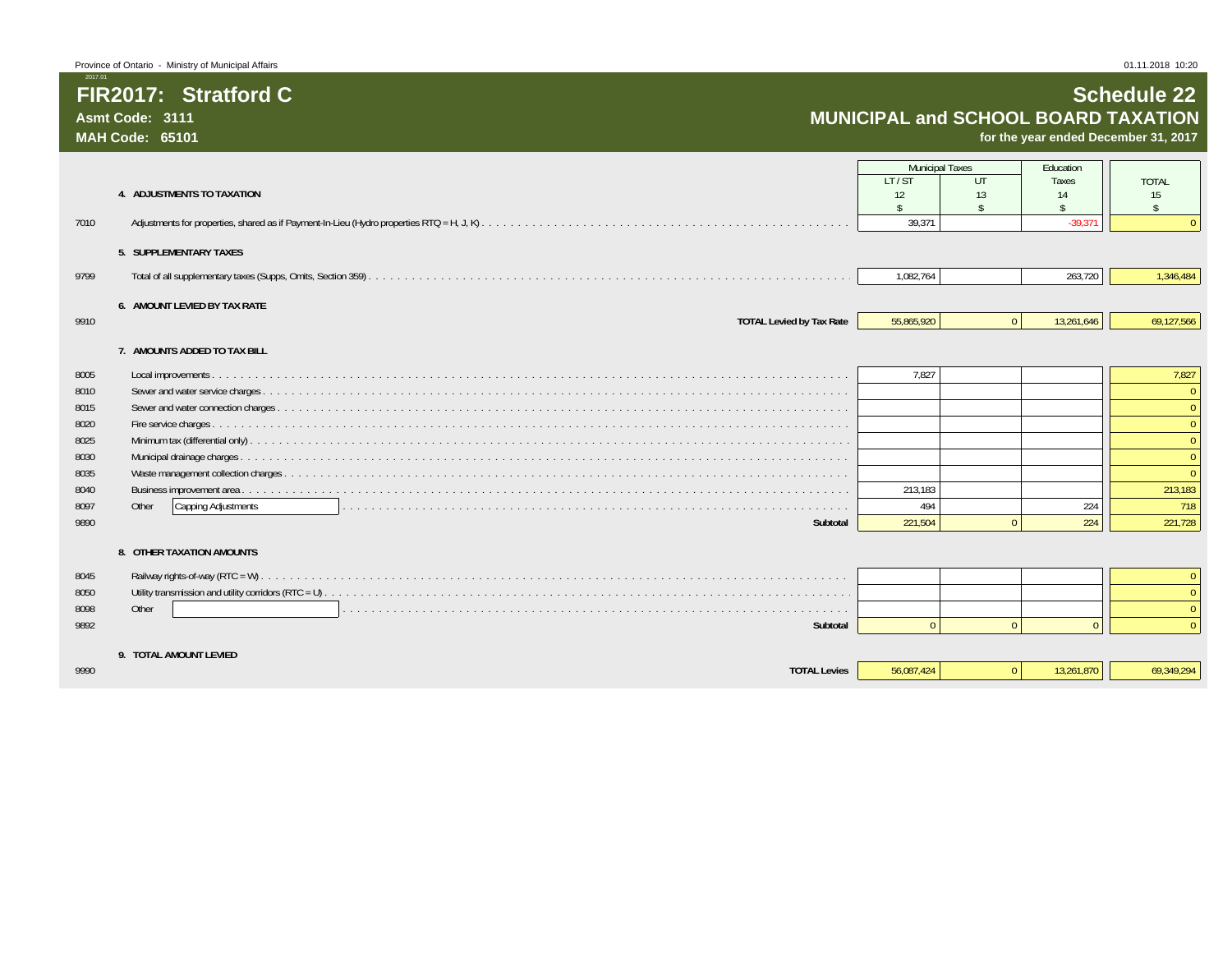### **FIR2017: Stratford CAsmt Code: 3111**

**MAH Code: 65101**

2017.01

**for the year ended December 31, 2017**

|      |                                 | <b>Municipal Taxes</b> |              | Education  |                |
|------|---------------------------------|------------------------|--------------|------------|----------------|
|      |                                 | LT/ST                  | UT           | Taxes      | <b>TOTAL</b>   |
|      | 4. ADJUSTMENTS TO TAXATION      | 12                     | 13           | 14         | 15             |
|      |                                 | ¢                      | ¢            |            | $\mathcal{S}$  |
| 7010 |                                 | 39.371                 |              | $-39.371$  |                |
|      | 5. SUPPLEMENTARY TAXES          |                        |              |            |                |
| 9799 |                                 | 1,082,764              |              | 263,720    | 1,346,484      |
|      | 6. AMOUNT LEVIED BY TAX RATE    |                        |              |            |                |
| 9910 | <b>TOTAL Levied by Tax Rate</b> | 55,865,920             | $\mathbf{0}$ | 13,261,646 | 69,127,566     |
|      | 7. AMOUNTS ADDED TO TAX BILL    |                        |              |            |                |
| 8005 |                                 | 7.827                  |              |            | 7,827          |
| 8010 |                                 |                        |              |            |                |
| 8015 |                                 |                        |              |            | $\Omega$       |
| 8020 |                                 |                        |              |            | $\Omega$       |
| 8025 |                                 |                        |              |            | $\Omega$       |
| 8030 |                                 |                        |              |            | $\Omega$       |
| 8035 |                                 |                        |              |            | $\Omega$       |
| 8040 |                                 | 213,183                |              |            | 213,183        |
| 8097 | Capping Adjustments<br>Other    | 494                    |              | 224        | 718            |
| 9890 | Subtotal                        | 221,504                | $\Omega$     | 224        | 221,728        |
|      | 8. OTHER TAXATION AMOUNTS       |                        |              |            |                |
|      |                                 |                        |              |            |                |
| 8045 |                                 |                        |              |            | $\mathbf{0}$   |
| 8050 |                                 |                        |              |            | $\Omega$       |
| 8098 | Other                           |                        |              |            | $\overline{0}$ |
| 9892 | Subtotal                        | $\cap$                 | $\Omega$     | $\Omega$   | $\Omega$       |
|      | 9. TOTAL AMOUNT LEVIED          |                        |              |            |                |
| 9990 | <b>TOTAL Levies</b>             | 56.087.424             | $\mathbf{0}$ | 13,261,870 | 69.349.294     |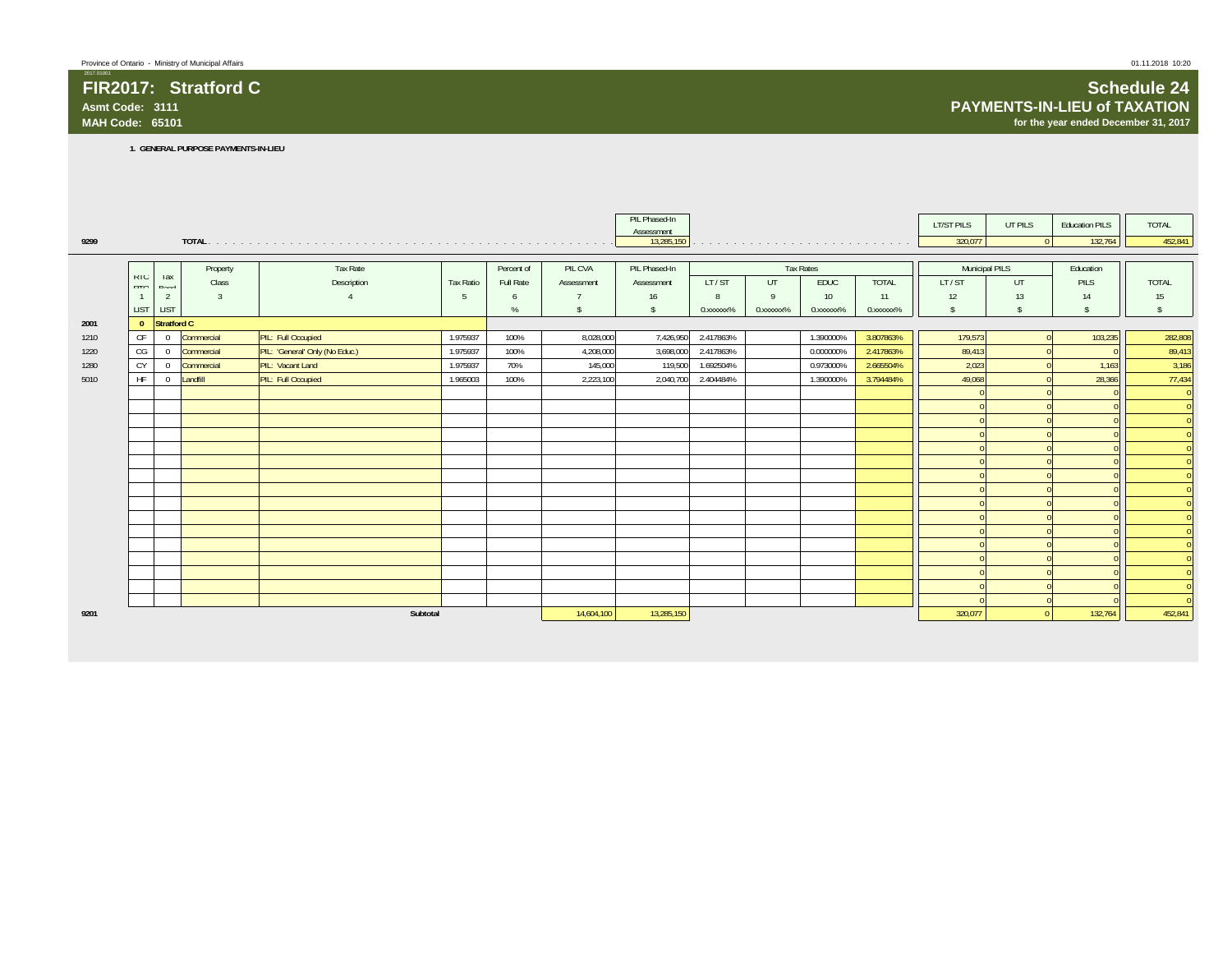### **FIR2017: Stratford CAsmt Code: 3111MAH Code: 65101**

**for the year ended December 31, 2017**

**1. GENERAL PURPOSE PAYMENTS-IN-LIEU**

|      |                |                     |              |                                |                  |            |               | PIL Phased-In<br>Assessment |           |                                                                                                                 |                  |                          | LT/ST PILS     | UT PILS            | <b>Education PILS</b> | <b>TOTAL</b>                 |
|------|----------------|---------------------|--------------|--------------------------------|------------------|------------|---------------|-----------------------------|-----------|-----------------------------------------------------------------------------------------------------------------|------------------|--------------------------|----------------|--------------------|-----------------------|------------------------------|
| 9299 |                |                     |              |                                |                  |            |               | 13,285,150                  |           | the contract of the contract of the contract of the contract of the contract of the contract of the contract of |                  |                          | 320,077        | $\Omega$           | 132,764               | 452,841                      |
|      |                |                     |              |                                |                  |            |               |                             |           |                                                                                                                 |                  |                          |                |                    |                       |                              |
|      |                |                     | Property     | Tax Rate                       |                  | Percent of | PIL CVA       | PIL Phased-In               |           |                                                                                                                 | <b>Tax Rates</b> |                          | Municipal PILS |                    | Education             |                              |
|      | KIU<br>DTO     | <b>I</b> dX<br>Rond | Class        | Description                    | <b>Tax Ratio</b> | Full Rate  | Assessment    | Assessment                  | LT/ST     | UT                                                                                                              | <b>EDUC</b>      | <b>TOTAL</b>             | LT/ST          | UT.                | PILS                  | <b>TOTAL</b>                 |
|      | $\overline{1}$ | 2                   | $\mathbf{3}$ |                                | -5               | 6          |               | 16                          | 8         | $\mathbf{q}$                                                                                                    | 10 <sup>°</sup>  | 11                       | 12             | 13                 | 14                    | 15                           |
|      | <b>LIST</b>    | LIST                |              |                                |                  | %          | <sup>\$</sup> | s.                          | 0.xxxxxx% | 0.xxxxxx%                                                                                                       | 0.xxxxxx%        | 0. XXXXXX <sup>9</sup> % | $\mathcal{S}$  | $\mathbf{\hat{S}}$ | $\mathbf{\hat{s}}$    | $\mathbf{\hat{S}}$           |
| 2001 | $\mathbf{0}$   | Stratford C         |              |                                |                  |            |               |                             |           |                                                                                                                 |                  |                          |                |                    |                       |                              |
| 1210 | CF             | $\overline{0}$      | Commercial   | PIL: Full Occupied             | 1.975937         | 100%       | 8,028,000     | 7,426,950                   | 2.417863% |                                                                                                                 | 1.390000%        | 3.807863%                | 179,573        | $\Omega$           | 103,235               | 282,808                      |
| 1220 | CG             | $\overline{0}$      | Commercial   | PIL: 'General' Only (No Educ.) | 1.975937         | 100%       | 4,208,000     | 3,698,000                   | 2.417863% |                                                                                                                 | 0.000000%        | 2.417863%                | 89,413         |                    |                       | 89,413                       |
| 1280 | CY             | $\mathbf{0}$        | Commercial   | PIL: Vacant Land               | 1.975937         | 70%        | 145,000       | 119,500                     | 1.692504% |                                                                                                                 | 0.973000%        | 2.665504%                | 2,023          |                    | 1,163                 | 3,186                        |
| 5010 | <b>HF</b>      | $\Omega$            | Landfill     | PIL: Full Occupied             | 1.965003         | 100%       | 2,223,100     | 2,040,700                   | 2.404484% |                                                                                                                 | 1.390000%        | 3.794484%                | 49,068         |                    | 28,366                | 77,434                       |
|      |                |                     |              |                                |                  |            |               |                             |           |                                                                                                                 |                  |                          |                |                    |                       | $\overline{0}$               |
|      |                |                     |              |                                |                  |            |               |                             |           |                                                                                                                 |                  |                          |                |                    |                       | $\overline{0}$               |
|      |                |                     |              |                                |                  |            |               |                             |           |                                                                                                                 |                  |                          |                |                    |                       | $\overline{0}$               |
|      |                |                     |              |                                |                  |            |               |                             |           |                                                                                                                 |                  |                          |                |                    |                       | $\Omega$                     |
|      |                |                     |              |                                |                  |            |               |                             |           |                                                                                                                 |                  |                          |                |                    |                       |                              |
|      |                |                     |              |                                |                  |            |               |                             |           |                                                                                                                 |                  |                          |                |                    |                       |                              |
|      |                |                     |              |                                |                  |            |               |                             |           |                                                                                                                 |                  |                          |                |                    |                       | $\Omega$                     |
|      |                |                     |              |                                |                  |            |               |                             |           |                                                                                                                 |                  |                          |                |                    |                       | $\mathbf{0}$<br>$\Omega$     |
|      |                |                     |              |                                |                  |            |               |                             |           |                                                                                                                 |                  |                          |                |                    |                       |                              |
|      |                |                     |              |                                |                  |            |               |                             |           |                                                                                                                 |                  |                          |                |                    |                       | $\mathbf{0}$<br>$\mathbf{0}$ |
|      |                |                     |              |                                |                  |            |               |                             |           |                                                                                                                 |                  |                          |                |                    |                       | $\overline{0}$               |
|      |                |                     |              |                                |                  |            |               |                             |           |                                                                                                                 |                  |                          |                |                    |                       | $\Omega$                     |
|      |                |                     |              |                                |                  |            |               |                             |           |                                                                                                                 |                  |                          |                |                    |                       |                              |
|      |                |                     |              |                                |                  |            |               |                             |           |                                                                                                                 |                  |                          |                |                    |                       | $\Omega$                     |
|      |                |                     |              |                                |                  |            |               |                             |           |                                                                                                                 |                  |                          |                |                    |                       | $\Omega$                     |
| 9201 |                |                     |              | Subtotal                       |                  |            | 14,604,100    | 13,285,150                  |           |                                                                                                                 |                  |                          | 320,077        |                    | 132,764               | 452,841                      |
|      |                |                     |              |                                |                  |            |               |                             |           |                                                                                                                 |                  |                          |                |                    |                       |                              |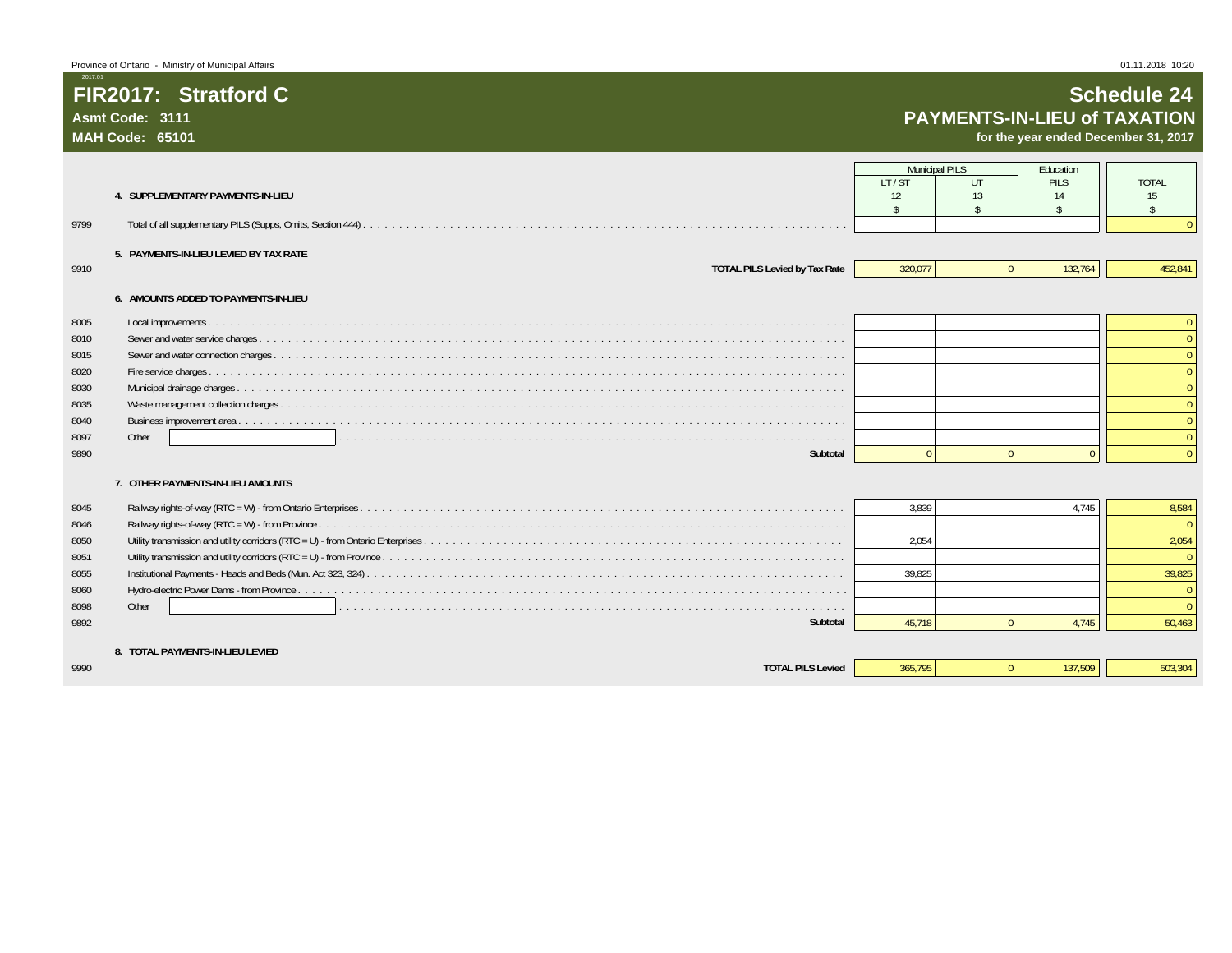**FIR2017: Stratford C**

**Asmt Code: 3111MAH Code: 65101**

2017.01

### **Schedule 24 PAYMENTS-IN-LIEU of TAXATION**

**for the year ended December 31, 2017**

|      |                                        | <b>Municipal PILS</b> |                    | Fducation          |                    |
|------|----------------------------------------|-----------------------|--------------------|--------------------|--------------------|
|      | 4. SUPPLEMENTARY PAYMENTS-IN-LIEU      | LT/ST<br>12           | UT<br>13           | PILS<br>14         | <b>TOTAL</b><br>15 |
|      |                                        | $\mathbf{\hat{S}}$    | $\mathbf{\hat{S}}$ | $\hat{\mathbf{S}}$ | $\mathbb{S}$       |
| 9799 |                                        |                       |                    |                    |                    |
|      | 5. PAYMENTS-IN-LIEU LEVIED BY TAX RATE |                       |                    |                    |                    |
| 9910 | <b>TOTAL PILS Levied by Tax Rate</b>   | 320.077               | $\Omega$           | 132,764            | 452,841            |
|      | 6. AMOUNTS ADDED TO PAYMENTS-IN-LIEU   |                       |                    |                    |                    |
| 8005 |                                        |                       |                    |                    |                    |
| 8010 |                                        |                       |                    |                    |                    |
| 8015 |                                        |                       |                    |                    |                    |
| 8020 |                                        |                       |                    |                    |                    |
| 8030 |                                        |                       |                    |                    |                    |
| 8035 |                                        |                       |                    |                    |                    |
| 8040 |                                        |                       |                    |                    |                    |
| 8097 | Other                                  |                       |                    |                    |                    |
| 9890 | Subtotal                               | $\Omega$              | $\Omega$           | $\Omega$           | $\Omega$           |
|      | 7. OTHER PAYMENTS-IN-LIEU AMOUNTS      |                       |                    |                    |                    |
| 8045 |                                        | 3.839                 |                    | 4.745              | 8,584              |
| 8046 |                                        |                       |                    |                    | $\Omega$           |
| 8050 |                                        | 2.054                 |                    |                    | 2,054              |
| 8051 |                                        |                       |                    |                    | $\Omega$           |
| 8055 |                                        | 39.825                |                    |                    | 39,825             |
| 8060 |                                        |                       |                    |                    |                    |
| 8098 | Other                                  |                       |                    |                    |                    |
| 9892 | Subtotal                               | 45.718                | $\Omega$           | 4.745              | 50,463             |
|      | 8. TOTAL PAYMENTS-IN-LIEU LEVIED       |                       |                    |                    |                    |
| 9990 | <b>TOTAL PILS Levied</b>               | 365.795               | $\overline{0}$     | 137,509            | 503,304            |
|      |                                        |                       |                    |                    |                    |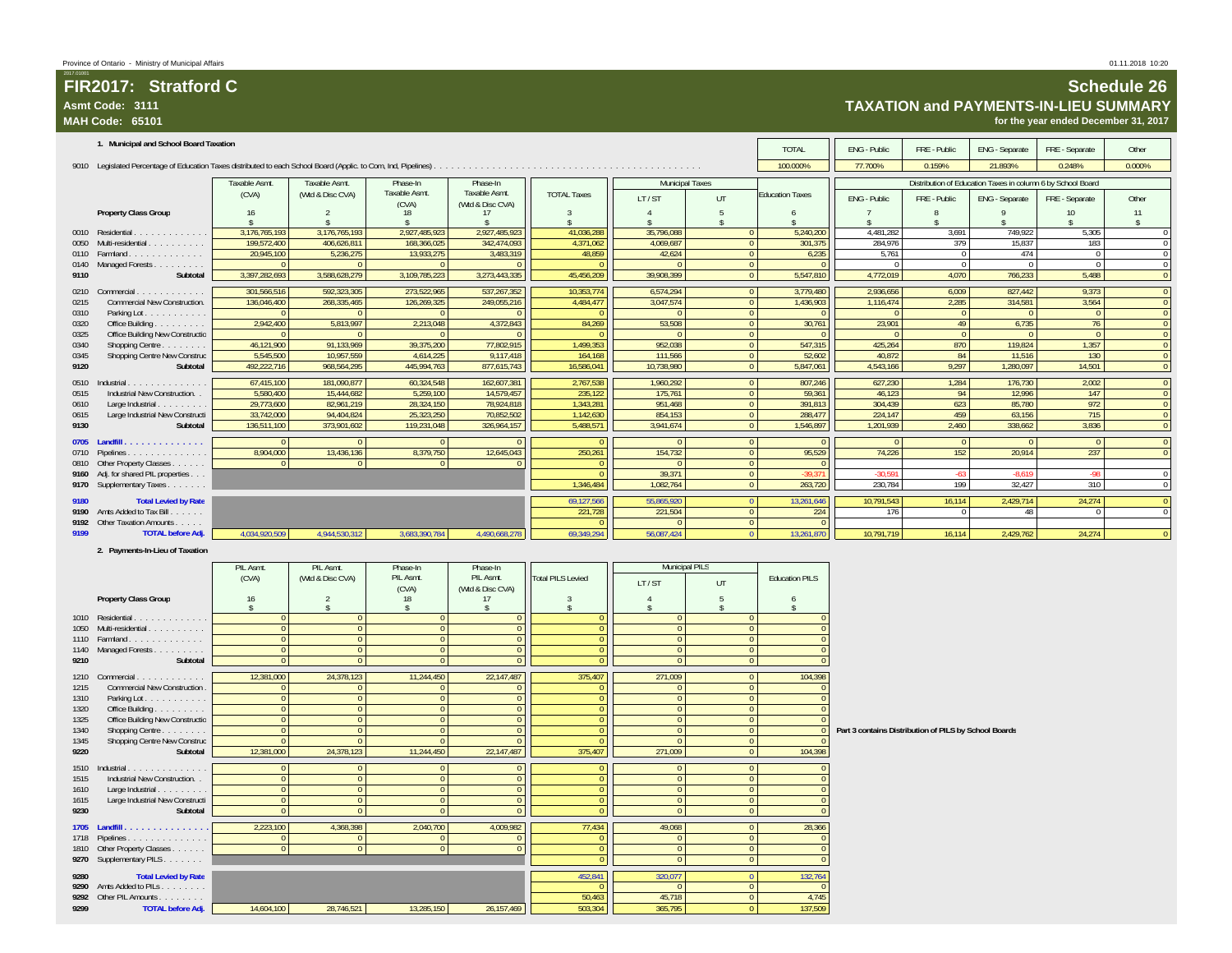|              | Asmt Code: 3111<br>MAH Code: 65101                  |                            |                                  |                                     |                                  |                          |                                |                                  |                          |                                                       |                            |                                                             | TAXATION and PAYMENTS-IN-LIEU SUMMARY<br>for the year ended December 31, 2017 |                    |                              |
|--------------|-----------------------------------------------------|----------------------------|----------------------------------|-------------------------------------|----------------------------------|--------------------------|--------------------------------|----------------------------------|--------------------------|-------------------------------------------------------|----------------------------|-------------------------------------------------------------|-------------------------------------------------------------------------------|--------------------|------------------------------|
|              | 1. Municipal and School Board Taxation              |                            |                                  |                                     |                                  |                          |                                |                                  | <b>TOTAL</b>             | ENG - Public                                          | FRE - Public               | ENG - Separate                                              | FRE - Separate                                                                | Other              |                              |
|              |                                                     |                            |                                  |                                     |                                  |                          |                                |                                  | 100.000%                 | 77.700%                                               | 0.159%                     | 21.893%                                                     | 0.248%                                                                        | 0.000%             |                              |
|              |                                                     | Taxable Asmt.              | Taxable Asmt.                    | Phase-In                            | Phase-In                         |                          | <b>Municipal Taxes</b>         |                                  |                          |                                                       |                            | Distribution of Education Taxes in column 6 by School Board |                                                                               |                    |                              |
|              |                                                     | (CVA)                      | (Wtd & Disc CVA)                 | Taxable Asmt.                       | Taxable Asmt.                    | <b>TOTAL Taxes</b>       | LT/ST                          | UT                               | <b>Education Taxes</b>   | ENG - Public                                          | FRE - Public               | ENG - Separate                                              | FRE - Separate                                                                | Other              |                              |
|              | Property Class Group                                | 16                         | $\mathcal{P}$                    | (CVA)<br>18                         | (Wtd & Disc CVA)<br>17           | $\mathcal{R}$            | $\overline{4}$                 | $5\phantom{.0}$                  | 6                        |                                                       | 8                          | $\mathsf{Q}$                                                | 10                                                                            | 11                 |                              |
|              | 0010 Residential                                    | 3,176,765,193              | 3,176,765,193                    | $\hat{\mathbf{S}}$<br>2,927,485,923 | 2,927,485,923                    | 41,036,288               | 35,796,088                     | $\mathbf{0}$                     | 5,240,200                | 4,481,282                                             | 3,691                      | 749,922                                                     | 5,305                                                                         | $\hat{\mathbf{x}}$ | $\mathbf 0$                  |
| 0050         | Multi-residential                                   | 199,572,400                | 406,626,811                      | 168,366,025                         | 342,474,093                      | 4,371,062                | 4,069,687                      | $\mathbf 0$                      | 301,375                  | 284,976                                               | 379                        | 15,837                                                      | 183                                                                           |                    | $\mathbf 0$                  |
| 0110<br>0140 | Farmland<br>Managed Forests                         | 20,945,100<br>$\Omega$     | 5,236,275<br>$\overline{0}$      | 13,933,275<br>$\overline{0}$        | 3,483,319<br>$\Omega$            | 48,859<br>$\Omega$       | 42,624<br>$\Omega$             | $\overline{0}$<br>$\overline{0}$ | 6,235<br>$\overline{0}$  | 5,761<br>$\Omega$                                     | $\overline{0}$<br>$\Omega$ | 474<br>$\overline{0}$                                       | $^{\circ}$<br>$\overline{0}$                                                  |                    | $\,0\,$<br>$\mathbf 0$       |
| 9110         | Subtotal                                            | 3,397,282,693              | 3,588,628,279                    | 3,109,785,223                       | 3,273,443,335                    | 45,456,209               | 39,908,399                     | $\overline{0}$                   | 5,547,810                | 4,772,019                                             | 4,070                      | 766,233                                                     | 5,488                                                                         |                    | $\mathbf{0}$                 |
|              | 0210 Commercial                                     | 301,566,516                | 592,323,305                      | 273,522,965                         | 537, 267, 352                    | 10,353,774               | 6,574,294                      | $\overline{0}$                   | 3,779,480                | 2,936,656                                             | 6,009                      | 827,442                                                     | 9,373                                                                         |                    | $\mathbf{0}$                 |
| 0215         | Commercial New Construction.                        | 136,046,400                | 268,335,465                      | 126,269,325                         | 249,055,216                      | 4,484,477                | 3,047,574                      | $\overline{0}$                   | 1,436,903                | 1,116,474                                             | 2,285                      | 314,581                                                     | 3,564                                                                         |                    | $\mathbf 0$                  |
| 0310<br>0320 | Parking Lot.<br>Office Building                     | - 0<br>2,942,400           | - 0<br>5,813,997                 | $\overline{0}$<br>2,213,048         | $\Omega$<br>4,372,843            | - 0<br>84,269            | $\Omega$<br>53,508             | $\overline{0}$<br>$\Omega$       | $\Omega$<br>30,761       | $\overline{0}$<br>23,901                              | - 0<br>49                  | $\overline{0}$<br>6,735                                     | $\Omega$<br>76                                                                |                    | $\mathbf{0}$<br>$\Omega$     |
| 0325         | Office Building New Constructio                     |                            | $\Omega$                         | $\Omega$                            | $\Omega$                         |                          | $\Omega$                       | $\Omega$                         | $\Omega$                 | - 0                                                   | $\Omega$                   | $\Omega$                                                    | $\Omega$                                                                      |                    | $\Omega$                     |
| 0340<br>0345 | Shopping Centre<br>Shopping Centre New Construc     | 46.121.900<br>5,545,500    | 91.133.969<br>10,957,559         | 39,375,200<br>4,614,225             | 77.802.915<br>9,117,418          | 1.499.353<br>164,168     | 952.038<br>111.566             | $\mathbf{0}$<br>$\Omega$         | 547.315<br>52,602        | 425.264<br>40,872                                     | 870<br>84                  | 119.824<br>11,516                                           | 1.357<br>130                                                                  |                    | $\mathbf{0}$<br>$\mathbf{0}$ |
| 9120         | Subtotal                                            | 492,222,716                | 968,564,295                      | 445,994,763                         | 877,615,743                      | 16,586,041               | 10,738,980                     | $\overline{0}$                   | 5,847,061                | 4,543,166                                             | 9,297                      | 1,280,097                                                   | 14,501                                                                        |                    | $\mathbf 0$                  |
|              | 0510 Industrial.                                    | 67,415,100                 | 181.090.877                      | 60.324.548                          | 162.607.381                      | 2,767,538                | 1.960.292                      | $\overline{0}$                   | 807,246                  | 627.230                                               | 1,284                      | 176,730                                                     | 2.002                                                                         |                    | $\overline{0}$               |
| 0515         | Industrial New Construction. .                      | 5.580.400                  | 15.444.682                       | 5.259.100                           | 14.579.457                       | 235,122                  | 175.761                        | $\mathbf{0}$                     | 59.361                   | 46,123                                                | 94                         | 12,996                                                      | 147                                                                           |                    | $\mathbf{0}$                 |
| 0610<br>0615 | Large Industrial<br>Large Industrial New Constructi | 29,773,600<br>33,742,000   | 82,961,219<br>94,404,824         | 28,324,150<br>25,323,250            | 78,924,818<br>70,852,502         | 1,343,281<br>1,142,630   | 951,468<br>854,153             | $\mathbf{0}$<br>$\theta$         | 391,813<br>288,477       | 304,439<br>224,147                                    | 623<br>459                 | 85,780<br>63,156                                            | 972<br>715                                                                    |                    | $\mathbf 0$<br>$\pmb{0}$     |
| 9130         | Subtotal                                            | 136,511,100                | 373,901,602                      | 119,231,048                         | 326,964,157                      | 5,488,571                | 3,941,674                      | $\mathbf 0$                      | 1,546,897                | 1,201,939                                             | 2,460                      | 338,662                                                     | 3,836                                                                         |                    | $\mathbf 0$                  |
|              |                                                     |                            | $\Omega$                         | $\Omega$                            | $\Omega$                         |                          | $\Omega$                       | $\mathbf 0$                      | $\Omega$                 | $\Omega$                                              | $\Omega$                   | $\Omega$                                                    | $\Omega$                                                                      |                    | $\mathbf 0$                  |
| 0710<br>0810 | Pipelines<br>Other Property Classes                 | 8,904,000<br>$\Omega$      | 13,436,136<br>$\Omega$           | 8,379,750<br>$\overline{0}$         | 12,645,043<br>$\Omega$           | 250,261                  | 154,732                        | $\mathbf{0}$<br>$\mathbf{0}$     | 95,529                   | 74,226                                                | 152                        | 20,914                                                      | 237                                                                           |                    | $\mathbf 0$                  |
|              | 9160 Adj. for shared PIL properties                 |                            |                                  |                                     |                                  | $\Omega$                 | 39,371                         | $\mathbf 0$                      | 39.371                   | $-30.591$                                             | $-63$                      | $-8,619$                                                    | $-98$                                                                         |                    | $\bf 0$                      |
|              | 9170 Supplementary Taxes                            |                            |                                  |                                     |                                  | 1,346,484                | 1,082,764                      | $\bullet$                        | 263,720                  | 230,784                                               | 199                        | 32,427                                                      | 310                                                                           |                    | $\,0\,$                      |
| 9180         | <b>Total Levied by Rate</b>                         |                            |                                  |                                     |                                  | 69,127,566               | 55,865,920                     | $\overline{0}$                   | 13,261,646               | 10,791,543                                            | 16,114                     | 2,429,714                                                   | 24,274                                                                        |                    | $\pmb{0}$                    |
| 9190<br>9192 | Amts Added to Tax Bill.<br>Other Taxation Amounts   |                            |                                  |                                     |                                  | 221,728                  | 221,504                        | $\mathbf 0$<br>$\overline{0}$    | 224<br>$\overline{0}$    | 176                                                   | $\Omega$                   | 48                                                          | $\Omega$                                                                      |                    | $\,0\,$                      |
| 9199         | <b>TOTAL before Adj.</b>                            | 4,034,920,509              | 4.944.530.312                    | 3,683,390,784                       | 4,490,668,278                    | 69.349.294               | 56.087.424                     | $\Omega$                         | 13,261,870               | 10,791,719                                            | 16,114                     | 2,429,762                                                   | 24,274                                                                        |                    | $\overline{\mathbf{0}}$      |
|              | 2. Payments-In-Lieu of Taxation                     |                            |                                  |                                     |                                  |                          |                                |                                  |                          |                                                       |                            |                                                             |                                                                               |                    |                              |
|              |                                                     | PIL Asmt.                  | PIL Asmt.                        | Phase-In                            | Phase-In                         |                          | Municipal PILS                 |                                  |                          |                                                       |                            |                                                             |                                                                               |                    |                              |
|              |                                                     | (CVA)                      | (Wtd & Disc CVA)                 | PIL Asmt.<br>(CVA)                  | PIL Asmt.<br>(Wtd & Disc CVA)    | <b>Total PILS Levied</b> | LT/ST                          | UT                               | <b>Education PILS</b>    |                                                       |                            |                                                             |                                                                               |                    |                              |
|              | Property Class Group                                | 16<br>$\mathbf{\hat{S}}$   |                                  | 18<br>$\mathbf{s}$                  | 17<br>$\mathbf{\hat{s}}$         | $\hat{\mathbf{r}}$       | $\overline{A}$                 | 5<br>$\hat{\mathbf{r}}$          | 6                        |                                                       |                            |                                                             |                                                                               |                    |                              |
|              | 1010 Residential.                                   | $\Omega$                   | \$.<br>$\Omega$                  | $\Omega$                            | $\Omega$                         | $\Omega$                 | $\hat{\mathbf{S}}$<br>$\Omega$ | $\Omega$                         | Ŝ.                       |                                                       |                            |                                                             |                                                                               |                    |                              |
| 1050         | Multi-residential                                   | $\Omega$                   | $\overline{0}$                   | $\overline{0}$                      | $\Omega$                         | $\mathbf{0}$             | $\mathbf{0}$                   | $\overline{0}$                   |                          |                                                       |                            |                                                             |                                                                               |                    |                              |
| 1110<br>1140 | Farmland<br>Managed Forests                         | $\Omega$<br>$\Omega$       | $\overline{0}$<br>$\overline{0}$ | $\overline{0}$<br>$\overline{0}$    | $\mathbf{0}$<br>$\mathbf{0}$     | $\Omega$<br>$\Omega$     | $\Omega$<br>$\mathbf{0}$       | $\overline{0}$<br>$\mathbf{0}$   | $\Omega$<br>$\Omega$     |                                                       |                            |                                                             |                                                                               |                    |                              |
| 9210         | Subtotal                                            | $\Omega$                   | $\overline{0}$                   | $\overline{0}$                      | $\mathbf{0}$                     | $\Omega$                 | $\Omega$                       | $\overline{0}$                   | $\Omega$                 |                                                       |                            |                                                             |                                                                               |                    |                              |
|              | 1210 Commercial.                                    | 12,381,000                 | 24,378,123                       | 11,244,450                          | 22,147,487                       | 375,407                  | 271,009                        | $\overline{0}$                   | 104,398                  |                                                       |                            |                                                             |                                                                               |                    |                              |
| 1215<br>1310 | Commercial New Construction                         | $\overline{0}$<br>$\Omega$ | $\mathbf{0}$<br>$\mathbf{0}$     | $\mathbf{0}$<br>$\overline{0}$      | $\mathbf{0}$<br>$\mathbf{0}$     | $\mathbf{0}$<br>$\Omega$ | $\overline{0}$<br>$\Omega$     | $\mathbf{0}$<br>$\Omega$         | $\mathbf{0}$<br>$\Omega$ |                                                       |                            |                                                             |                                                                               |                    |                              |
| 1320         | Parking Lot.<br>Office Building                     | $\Omega$                   | $\mathbf{0}$                     | $\mathbf{0}$                        | $\overline{0}$                   | $\Omega$                 | $\Omega$                       | $\mathbf{0}$                     | $\Omega$                 |                                                       |                            |                                                             |                                                                               |                    |                              |
| 1325         | Office Building New Constructio                     | $\Omega$                   | $\overline{0}$                   | $\overline{0}$                      | $\mathbf 0$                      | $\overline{0}$           | $\mathbf{0}$                   | $\mathbf{0}$                     | $\Omega$                 |                                                       |                            |                                                             |                                                                               |                    |                              |
| 1340<br>1345 | Shopping Centre<br>Shopping Centre New Construc     | $\Omega$<br>$\Omega$       | $\overline{0}$<br>$\mathbf{0}$   | $\overline{0}$<br>$\overline{0}$    | $\overline{0}$<br>$\overline{0}$ | $\Omega$<br>$\Omega$     | $\mathbf{0}$<br>$\Omega$       | $\mathbf 0$<br>$\mathbf{0}$      | $\Omega$                 | Part 3 contains Distribution of PILS by School Boards |                            |                                                             |                                                                               |                    |                              |
| 9220         | Subtotal                                            | 12,381,000                 | 24,378,123                       | 11,244,450                          | 22,147,487                       | 375,407                  | 271,009                        | $\bullet$                        | 104,398                  |                                                       |                            |                                                             |                                                                               |                    |                              |
|              | 1510 Industrial.<br>.                               | $\Omega$                   | $\overline{0}$                   | $\overline{0}$                      | $\mathbf{0}$                     | $\Omega$                 | $\Omega$                       | $\overline{0}$                   | $\Omega$                 |                                                       |                            |                                                             |                                                                               |                    |                              |
| 1515<br>1610 | Industrial New Construction. .<br>Large Industrial  | $\Omega$<br>$\overline{0}$ | $\overline{0}$<br>$\overline{0}$ | $\overline{0}$<br>$\overline{0}$    | $\mathbf 0$<br>$\overline{0}$    | $\Omega$<br>$\Omega$     | $\Omega$<br>$\Omega$           | $\Omega$<br>$\Omega$             | $\Omega$<br>$\Omega$     |                                                       |                            |                                                             |                                                                               |                    |                              |
| 1615         | Large Industrial New Constructi                     | $\Omega$                   | $\Omega$                         | $\overline{0}$                      | $\overline{0}$                   | $\Omega$                 | $\Omega$                       | $\Omega$                         | $\Omega$                 |                                                       |                            |                                                             |                                                                               |                    |                              |
| 9230         | Subtotal                                            | $\Omega$                   | $\Omega$                         | $\overline{0}$                      | $\mathbf{0}$                     | $\Omega$                 | $\mathbf{0}$                   | $\mathbf{0}$                     | $\mathbf{0}$             |                                                       |                            |                                                             |                                                                               |                    |                              |
|              | 1705 Landfill.                                      | 2,223,100                  | 4,368,398                        | 2,040,700                           | 4,009,982                        | 77,434                   | 49,068                         | $\overline{0}$                   | 28,366                   |                                                       |                            |                                                             |                                                                               |                    |                              |
|              | 1718 Pipelines<br>1810 Other Property Classes       | - 0<br>$\mathbf{0}$        | $\Omega$<br>$\overline{0}$       | $\Omega$<br>$\overline{0}$          | $\overline{0}$<br>$\mathbf{0}$   | $\Omega$<br>$\Omega$     | $\Omega$<br>$\mathbf{0}$       | $\Omega$<br>$\Omega$             | $\Omega$<br>$\Omega$     |                                                       |                            |                                                             |                                                                               |                    |                              |
|              | 9270 Supplementary PILS                             |                            |                                  |                                     |                                  | $\mathbf{0}$             | $\mathbf{0}$                   | $\overline{0}$                   | $\mathbf{0}$             |                                                       |                            |                                                             |                                                                               |                    |                              |
| 9280         | <b>Total Levied by Rate</b>                         |                            |                                  |                                     |                                  | 452,841                  | 320,077                        | $\Omega$                         | 132,764                  |                                                       |                            |                                                             |                                                                               |                    |                              |
| 9290         | Amts Added to PILs<br>9292 Other PIL Amounts        |                            |                                  |                                     |                                  | 50,463                   | $\Omega$<br>45,718             | $\mathbf{0}$<br>$\Omega$         | $\Omega$<br>4,745        |                                                       |                            |                                                             |                                                                               |                    |                              |
| 9299         | <b>TOTAL before Adi.</b>                            | 14,604,100                 | 28,746,521                       | 13,285,150                          | 26, 157, 469                     | 503.304                  | 365,795                        | $\overline{0}$                   | 137.509                  |                                                       |                            |                                                             |                                                                               |                    |                              |

## **Schedule 26**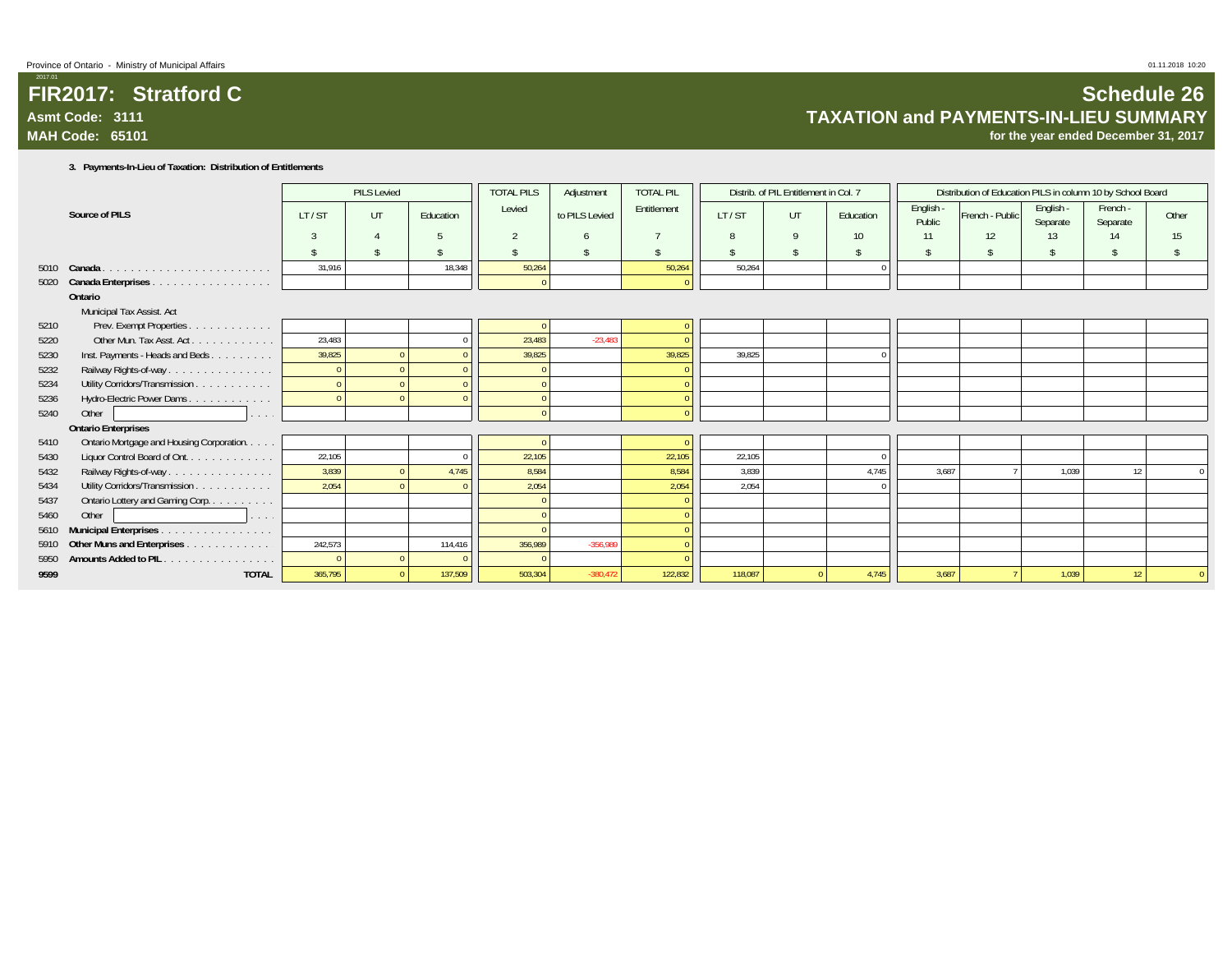### **FIR2017: Stratford CAsmt Code: 3111MAH Code: 65101**

**for the year ended December 31, 2017**

### **3. Payments-In-Lieu of Taxation: Distribution of Entitlements**

|      |                                                       |         | <b>PILS Levied</b> |           | <b>TOTAL PILS</b>  | Adjustment     | <b>TOTAL PIL</b> |         | Distrib. of PIL Entitlement in Col. 7 |           |                     | Distribution of Education PILS in column 10 by School Board |                       |                      |       |
|------|-------------------------------------------------------|---------|--------------------|-----------|--------------------|----------------|------------------|---------|---------------------------------------|-----------|---------------------|-------------------------------------------------------------|-----------------------|----------------------|-------|
|      | Source of PILS                                        | LT/ST   | UT                 | Education | Levied             | to PILS Levied | Entitlement      | LT/ST   | UT                                    | Education | English -<br>Public | French - Public                                             | English -<br>Separate | French -<br>Separate | Other |
|      |                                                       |         |                    |           | $\overline{2}$     |                |                  |         | 9                                     | 10        | 11                  | 12                                                          | 13                    | 14                   | 15    |
|      |                                                       |         |                    |           | $\mathbf{\hat{S}}$ |                |                  |         | $\mathcal{L}$                         |           |                     |                                                             |                       |                      |       |
|      | 5010 Canada                                           | 31,916  |                    | 18,348    | 50,264             |                | 50,264           | 50,264  |                                       |           |                     |                                                             |                       |                      |       |
| 5020 | Canada Enterprises                                    |         |                    |           | $\Omega$           |                |                  |         |                                       |           |                     |                                                             |                       |                      |       |
|      | Ontario                                               |         |                    |           |                    |                |                  |         |                                       |           |                     |                                                             |                       |                      |       |
|      | Municipal Tax Assist. Act                             |         |                    |           |                    |                |                  |         |                                       |           |                     |                                                             |                       |                      |       |
| 5210 | Prev. Exempt Properties.<br>and a series and a series |         |                    |           |                    |                |                  |         |                                       |           |                     |                                                             |                       |                      |       |
| 5220 | Other Mun. Tax Asst. Act.                             | 23,483  |                    |           | 23,483             | $-23,483$      |                  |         |                                       |           |                     |                                                             |                       |                      |       |
| 5230 | Inst. Payments - Heads and Beds                       | 39,825  |                    |           | 39,825             |                | 39,825           | 39.825  |                                       |           |                     |                                                             |                       |                      |       |
| 5232 | Railway Rights-of-way                                 |         |                    |           |                    |                |                  |         |                                       |           |                     |                                                             |                       |                      |       |
| 5234 | Utility Corridors/Transmission                        |         |                    |           |                    |                |                  |         |                                       |           |                     |                                                             |                       |                      |       |
| 5236 | Hydro-Electric Power Dams                             |         |                    |           |                    |                |                  |         |                                       |           |                     |                                                             |                       |                      |       |
| 5240 | Other<br>1.1111                                       |         |                    |           | $\Omega$           |                |                  |         |                                       |           |                     |                                                             |                       |                      |       |
|      | <b>Ontario Enterprises</b>                            |         |                    |           |                    |                |                  |         |                                       |           |                     |                                                             |                       |                      |       |
| 5410 | Ontario Mortgage and Housing Corporation.             |         |                    |           |                    |                |                  |         |                                       |           |                     |                                                             |                       |                      |       |
| 5430 | Liquor Control Board of Ont.                          | 22,105  |                    |           | 22,105             |                | 22,105           | 22,105  |                                       |           |                     |                                                             |                       |                      |       |
| 5432 | Railway Rights-of-way                                 | 3,839   |                    | 4,745     | 8.584              |                | 8,584            | 3.839   |                                       | 4.745     | 3.687               |                                                             | 1.039                 | 12                   |       |
| 5434 | Utility Corridors/Transmission                        | 2,054   |                    |           | 2.054              |                | 2,054            | 2.054   |                                       |           |                     |                                                             |                       |                      |       |
| 5437 | Ontario Lottery and Gaming Corp.                      |         |                    |           |                    |                |                  |         |                                       |           |                     |                                                             |                       |                      |       |
| 5460 | Other<br>and a state                                  |         |                    |           | $\Omega$           |                |                  |         |                                       |           |                     |                                                             |                       |                      |       |
| 5610 | Municipal Enterprises                                 |         |                    |           |                    |                |                  |         |                                       |           |                     |                                                             |                       |                      |       |
| 5910 | Other Muns and Enterprises                            | 242,573 |                    | 114.416   | 356.989            | $-356.989$     |                  |         |                                       |           |                     |                                                             |                       |                      |       |
| 5950 | Amounts Added to PIL.                                 |         |                    |           |                    |                |                  |         |                                       |           |                     |                                                             |                       |                      |       |
| 9599 | <b>TOTAL</b>                                          | 365,795 |                    | 137,509   | 503,304            | $-380.472$     | 122,832          | 118,087 |                                       | 4.745     | 3.687               |                                                             | 1,039                 | 12 <sup>°</sup>      |       |

**Schedule 26**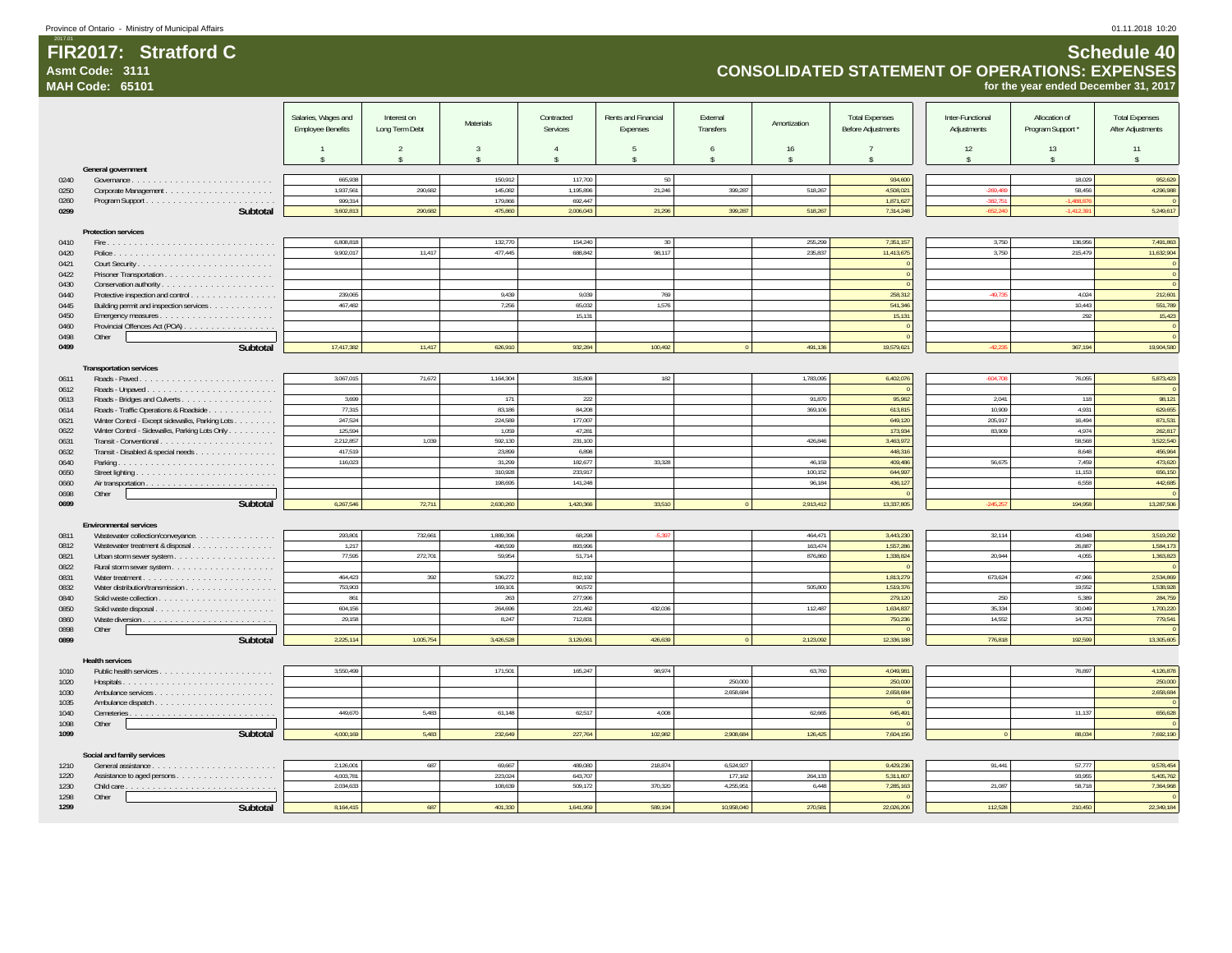**Asmt Code: 3111**

**MAH Code: 65101**

## **CONSOLIDATED STATEMENT OF OPERATIONS: EXPENSES for the year ended December 31, 2017**

|              |                                                 | Salaries, Wages and      | Interest on        |                     | Contracted        | Rents and Financial | External           |                    | <b>Total Expenses</b>     | Inter-Functional | Allocation of      | <b>Total Expenses</b> |
|--------------|-------------------------------------------------|--------------------------|--------------------|---------------------|-------------------|---------------------|--------------------|--------------------|---------------------------|------------------|--------------------|-----------------------|
|              |                                                 | <b>Employee Benefits</b> | Long Term Debt     | <b>Materials</b>    | Services          | Expenses            | Transfers          | Amortization       | <b>Before Adjustments</b> | Adjustments      | Program Support *  | After Adjustments     |
|              |                                                 |                          |                    |                     |                   |                     |                    |                    |                           |                  |                    |                       |
|              |                                                 |                          | $\overline{2}$     | $\overline{3}$      | $\overline{4}$    | $\overline{5}$      | 6                  | 16                 | -7                        | 12               | 13                 | 11                    |
|              | General government                              | $\hat{\mathbf{x}}$       | $\hat{\mathbf{S}}$ | $\ddot{\mathbf{r}}$ | $\ddot{\bm{x}}$   | $\hat{\mathbf{S}}$  | $\hat{\mathbf{x}}$ | $\hat{\mathbf{S}}$ | $\hat{\mathbf{x}}$        | \$               | $\hat{\mathbf{S}}$ | $\hat{\mathbf{S}}$    |
| 0240         |                                                 | 665,938                  |                    | 150,912             | 117,700           | 50                  |                    |                    | 934,600                   |                  | 18,029             | 952,629               |
| 0250         |                                                 | 1,937,561                | 290,682            | 145,082             | 1.195.896         | 21,246              | 399,287            | 518,267            | 4.508.021                 | $-269,489$       | 58.456             | 4,296,988             |
| 0260         |                                                 | 999,314                  |                    | 179,866             | 692,447           |                     |                    |                    | 1,871,627                 | $-382,751$       | 1,488,87           | $\overline{0}$        |
| 0299         | Subtotal                                        | 3.602.813                | 290.682            | 475.860             | 2.006.043         | 21,296              | 399.287            | 518.267            | 7,314,248                 | $-652.240$       | 1.412.39           | 5,249,617             |
|              |                                                 |                          |                    |                     |                   |                     |                    |                    |                           |                  |                    |                       |
|              | <b>Protection services</b>                      |                          |                    |                     |                   |                     |                    |                    |                           |                  |                    |                       |
| 0410         |                                                 | 6,808,818                |                    | 132,770             | 154,240           | 30                  |                    | 255,299            | 7,351,157                 | 3,750            | 136,956            | 7,491,863             |
| 0420         |                                                 | 9,902,017                | 11,417             | 477.445             | 688,842           | 98,117              |                    | 235,837            | 11,413,675                | 3,750            | 215,479            | 11,632,904            |
| 0421         |                                                 |                          |                    |                     |                   |                     |                    |                    |                           |                  |                    | $\mathbb O$           |
| 0422<br>0430 | Conservation authority                          |                          |                    |                     |                   |                     |                    |                    |                           |                  |                    | $\Omega$              |
| 0440         | Protective inspection and control               | 239,065                  |                    | 9,439               | 9,039             | 769                 |                    |                    | 258,312                   | $-49,735$        | 4,024              | 212,601               |
| 0445         | Building permit and inspection services         | 467.482                  |                    | 7.256               | 65.032            | 1.576               |                    |                    | 541.346                   |                  | 10.443             | 551.789               |
| 0450         |                                                 |                          |                    |                     | 15,131            |                     |                    |                    | 15,131                    |                  | 292                | 15,423                |
| 0460         | Provincial Offences Act (POA)                   |                          |                    |                     |                   |                     |                    |                    |                           |                  |                    | $\,$ 0                |
| 0498         | Other                                           |                          |                    |                     |                   |                     |                    |                    |                           |                  |                    | $\overline{0}$        |
| 0499         | Subtotal                                        | 17,417,382               | 11,417             | 626,910             | 932,284           | 100,492             |                    | 491,136            | 19,579,621                | $-42,23!$        | 367,194            | 19,904,580            |
|              |                                                 |                          |                    |                     |                   |                     |                    |                    |                           |                  |                    |                       |
|              | <b>Transportation services</b>                  | 3,067,015                | 71,672             | 1.164.304           | 315,808           | 182                 |                    | 1.783.095          | 6,402,076                 | $-604,708$       | 76,055             | 5,873,423             |
| 0611<br>0612 |                                                 |                          |                    |                     |                   |                     |                    |                    |                           |                  |                    |                       |
| 0613         |                                                 | 3,699                    |                    | 171                 | 222               |                     |                    | 91,870             | 95,962                    | 2,041            | 118                | 98,121                |
| 0614         | Roads - Traffic Operations & Roadside           | 77,315                   |                    | 83,186              | 84,208            |                     |                    | 369,106            | 613,815                   | 10.909           | 4,931              | 629,655               |
| 0621         | Winter Control - Except sidewalks, Parking Lots | 247,524                  |                    | 224,589             | 177,007           |                     |                    |                    | 649,120                   | 205,917          | 16,494             | 871,531               |
| 0622         | Winter Control - Sidewalks, Parking Lots Only   | 125,594                  |                    | 1.059               | 47.281            |                     |                    |                    | 173.934                   | 83.909           | 4.974              | 262.817               |
| 0631         |                                                 | 2,212,857                | 1,039              | 592,130             | 231,100           |                     |                    | 426,846            | 3,463,972                 |                  | 58,568             | 3,522,540             |
| 0632         | Transit - Disabled & special needs.             | 417,519                  |                    | 23,899              | 6,898             |                     |                    |                    | 448,316                   |                  | 8,648              | 456,964               |
| 0640         |                                                 | 116.023                  |                    | 31,299              | 182.677           | 33.328              |                    | 46.159             | 409.486                   | 56.675           | 7,459              | 473,620               |
| 0650         |                                                 |                          |                    | 310,928             | 233,917           |                     |                    | 100,152            | 644,997                   |                  | 11,153             | 656,150               |
| 0660         |                                                 |                          |                    | 198,695             | 141,248           |                     |                    | 96,184             | 436,127                   |                  | 6,558              | 442,685               |
| 0698<br>0699 | Other<br>Subtotal                               | 6,267,546                | 72,711             | 2,630,260           | 1,420,366         | 33,510              |                    | 2,913,412          | 13,337,805                | $-245,25$        | 194,958            | 13,287,506            |
|              |                                                 |                          |                    |                     |                   |                     |                    |                    |                           |                  |                    |                       |
|              | <b>Environmental services</b>                   |                          |                    |                     |                   |                     |                    |                    |                           |                  |                    |                       |
| 0811         | Wastewater collection/conveyance.               | 293,801                  | 732,661            | 1.889.396           | 68,298            | $-5,397$            |                    | 464,471            | 3,443,230                 | 32,114           | 43,948             | 3,519,292             |
| 0812         | Wastewater treatment & disposal.                | 1,217                    |                    | 498,599             | 893,996           |                     |                    | 163,474            | 1,557,286                 |                  | 26,887             | 1,584,173             |
| 0821         |                                                 | 77.595                   | 272,701            | 59.954              | 51,714            |                     |                    | 876.860            | 1.338.824                 | 20,944           | 4,055              | 1.363.823             |
| 0822         |                                                 |                          |                    |                     |                   |                     |                    |                    |                           |                  |                    | $\Omega$              |
| 0831         |                                                 | 464,423                  | 392                | 536,272             | 812,192           |                     |                    |                    | 1,813,279                 | 673,624          | 47.966             | 2,534,869             |
| 0832         |                                                 | 753,903<br>861           |                    | 169,101<br>263      | 90,572<br>277,996 |                     |                    | 505,800            | 1,519,376<br>279,120      | 250              | 19,552<br>5,389    | 1,538,928<br>284,759  |
| 0840<br>0850 |                                                 | 604,156                  |                    | 264.696             | 221.462           | 432,036             |                    | 112,487            | 1,634,837                 | 35.334           | 30,049             | 1,700,220             |
| 0860         |                                                 | 29,158                   |                    | 8,247               | 712,831           |                     |                    |                    | 750,236                   | 14,552           | 14,753             | 779,541               |
| 0898         | Other                                           |                          |                    |                     |                   |                     |                    |                    |                           |                  |                    |                       |
| 0899         | Subtotal                                        | 2,225,114                | 1,005,754          | 3,426,528           | 3,129,061         | 426,639             |                    | 2,123,092          | 12,336,188                | 776,818          | 192,599            | 13,305,605            |
|              |                                                 |                          |                    |                     |                   |                     |                    |                    |                           |                  |                    |                       |
|              | <b>Health services</b>                          |                          |                    |                     |                   |                     |                    |                    |                           |                  |                    |                       |
| 1010         |                                                 | 3,550,499                |                    | 171,501             | 165,247           | 98,974              |                    | 63,760             | 4,049,981                 |                  | 76,897             | 4,126,878             |
| 1020         |                                                 |                          |                    |                     |                   |                     | 250.000            |                    | 250.000                   |                  |                    | 250,000               |
| 1030         |                                                 |                          |                    |                     |                   |                     | 2,658,684          |                    | 2,658,684                 |                  |                    | 2,658,684             |
| 1035         |                                                 | 449.670                  | 5.483              | 61.148              | 62,517            | 4.008               |                    | 62.665             | 645,491                   |                  | 11.137             | 656.628               |
| 1040<br>1098 | Other                                           |                          |                    |                     |                   |                     |                    |                    |                           |                  |                    |                       |
| 1099         | Subtotal                                        | 4,000,169                | 5,483              | 232,649             | 227,764           | 102,982             | 2,908,684          | 126,425            | 7,604,156                 |                  | 88,034             | 7,692,190             |
|              |                                                 |                          |                    |                     |                   |                     |                    |                    |                           |                  |                    |                       |
|              | Social and family services                      |                          |                    |                     |                   |                     |                    |                    |                           |                  |                    |                       |
| 1210         |                                                 | 2,126,001                | 687                | 69,667              | 489,080           | 218,874             | 6,524,927          |                    | 9,429,236                 | 91,441           | 57,777             | 9,578,454             |
| 1220         |                                                 | 4.003.781                |                    | 223.024             | 643.707           |                     | 177.162            | 264.133            | 5.311.807                 |                  | 93.955             | 5.405.762             |
| 1230         | Child care                                      | 2,034,633                |                    | 108,639             | 509,172           | 370.320             | 4,255,951          | 6,448              | 7,285,163                 | 21,087           | 58,718             | 7,364,968             |
| 1298         | Other                                           |                          |                    |                     |                   |                     |                    |                    |                           |                  |                    |                       |
| 1299         | Subtotal                                        | 8,164,415                | 687                | 401.330             | 1.641.959         | 589.194             | 10.958.040         | 270.581            | 22,026,206                | 112,528          | 210.450            | 22.349.184            |

**Schedule 40**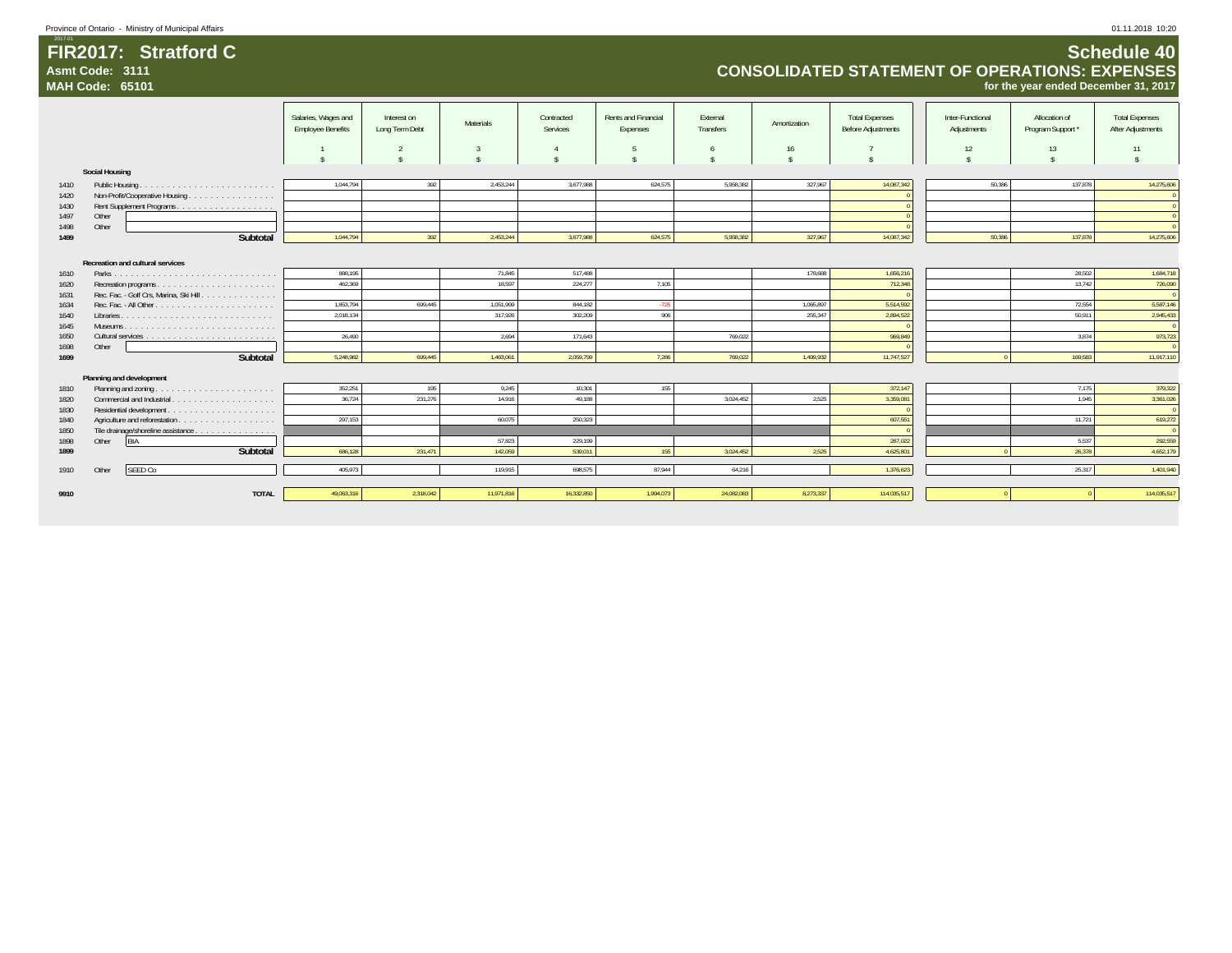| Province of Ontario - Ministry of Municipal Affairs | 01.11.2018 10:20   |
|-----------------------------------------------------|--------------------|
| 2017.01                                             |                    |
| FIR2017: Stratford C                                | <b>Schedule 40</b> |

**Asmt Code: 3111**

**MAH Code: 65101**

### **Schedule 40 CONSOLIDATED STATEMENT OF OPERATIONS: EXPENSES for the year ended December 31, 2017**

|              |                                         | Salaries, Wages and<br><b>Employee Benefits</b> | Interest on<br>Long Term Debt | Materials  | Contracted<br>Services | Rents and Financial<br>Expenses | External<br>Transfers | Amortization | <b>Total Expenses</b><br><b>Before Adjustments</b> | Inter-Functional<br>Adjustments | Allocation of<br>Program Support* | <b>Total Expenses</b><br>After Adjustments |
|--------------|-----------------------------------------|-------------------------------------------------|-------------------------------|------------|------------------------|---------------------------------|-----------------------|--------------|----------------------------------------------------|---------------------------------|-----------------------------------|--------------------------------------------|
|              |                                         |                                                 |                               |            |                        | -5                              |                       | 16           |                                                    | 12                              | 13                                | 11                                         |
|              | <b>Social Housing</b>                   |                                                 |                               |            |                        |                                 |                       |              |                                                    |                                 |                                   |                                            |
| 1410         |                                         | 1.044.794                                       | 392                           | 2.453.244  | 3.677.988              | 624,575                         | 5.958.382             | 327,967      | 14,087,342                                         | 50.386                          | 137.878                           | 14,275,606                                 |
| 1420         | Non-Profit/Cooperative Housing          |                                                 |                               |            |                        |                                 |                       |              |                                                    |                                 |                                   | $\Omega$                                   |
| 1430         |                                         |                                                 |                               |            |                        |                                 |                       |              |                                                    |                                 |                                   |                                            |
| 1497         | Other                                   |                                                 |                               |            |                        |                                 |                       |              |                                                    |                                 |                                   |                                            |
| 1498         | Other                                   |                                                 |                               |            |                        |                                 |                       |              |                                                    |                                 |                                   |                                            |
| 1499         | Subtotal                                | 1,044,794                                       | 392                           | 2,453,244  | 3,677,988              | 624,575                         | 5,958,382             | 327,967      | 14,087,342                                         | 50,386                          | 137,878                           | 14,275,606                                 |
|              | Recreation and cultural services        |                                                 |                               |            |                        |                                 |                       |              |                                                    |                                 |                                   |                                            |
| 1610         |                                         | 888,195                                         |                               | 71,845     | 517,488                |                                 |                       | 178,688      | 1,656,216                                          |                                 | 28,502                            | 1,684,718                                  |
| 1620         |                                         | 462,369                                         |                               | 18,597     | 224,277                | 7,105                           |                       |              | 712,348                                            |                                 | 13,742                            | 726,090                                    |
| 1631         | Rec. Fac. - Golf Crs, Marina, Ski Hill. | 1,853,794                                       | 699,445                       | 1,051,999  | 844,182                |                                 |                       | 1,065,897    | 5,514,592                                          |                                 | 72,554                            | $\Omega$<br>5,587,146                      |
| 1634<br>1640 |                                         | 2,018,134                                       |                               | 317,926    | 302,209                | $-725$<br>906                   |                       | 255,347      | 2,894,522                                          |                                 | 50,911                            | 2,945,433                                  |
| 1645         |                                         |                                                 |                               |            |                        |                                 |                       |              |                                                    |                                 |                                   |                                            |
| 1650         |                                         | 26.490                                          |                               | 2.694      | 171,643                |                                 | 769,022               |              | 969,849                                            |                                 | 3.874                             | 973,723                                    |
| 1698         | Other                                   |                                                 |                               |            |                        |                                 |                       |              |                                                    |                                 |                                   |                                            |
| 1699         | Subtotal                                | 5.248.982                                       | 699.445                       | 1,463,061  | 2,059,799              | 7,286                           | 769,022               | 1.499.932    | 11,747,527                                         |                                 | 169.583                           | 11,917,110                                 |
|              |                                         |                                                 |                               |            |                        |                                 |                       |              |                                                    |                                 |                                   |                                            |
|              | Planning and development                |                                                 |                               |            |                        |                                 |                       |              |                                                    |                                 |                                   |                                            |
| 1810         |                                         | 352,251                                         | 195                           | 9,245      | 10,301                 | 155                             |                       |              | 372,147                                            |                                 | 7,175                             | 379,322                                    |
| 1820         |                                         | 36.724                                          | 231,276                       | 14.916     | 49.188                 |                                 | 3.024.452             | 2,525        | 3,359,081                                          |                                 | 1.945                             | 3,361,026                                  |
| 1830         |                                         |                                                 |                               |            |                        |                                 |                       |              |                                                    |                                 |                                   |                                            |
| 1840         |                                         | 297,153                                         |                               | 60,075     | 250,323                |                                 |                       |              | 607,551                                            |                                 | 11,721                            | 619,272                                    |
| 1850         | Tile drainage/shoreline assistance      |                                                 |                               |            |                        |                                 |                       |              |                                                    |                                 |                                   |                                            |
| 1898         | BIA<br>Other                            |                                                 |                               | 57,823     | 229,199                |                                 |                       |              | 287,022                                            |                                 | 5,537                             | 292,559                                    |
| 1899         | Subtotal                                | 686,128                                         | 231,471                       | 142,059    | 539,011                | 155                             | 3,024,452             | 2,525        | 4,625,801                                          |                                 | 26,378                            | 4,652,179                                  |
| 1910         | SEED Co<br>Other                        | 405.973                                         |                               | 119,915    | 698,575                | 87,944                          | 64,216                |              | 1,376,623                                          |                                 | 25,317                            | 1,401,940                                  |
|              |                                         |                                                 |                               |            |                        |                                 |                       |              |                                                    |                                 |                                   |                                            |
| 9910         | <b>TOTAL</b>                            | 49,063,316                                      | 2,318,042                     | 11,971,816 | 16.332.850             | 1,994,073                       | 24,082,083            | 8,273,337    | 114,035,517                                        |                                 |                                   | 114,035,517                                |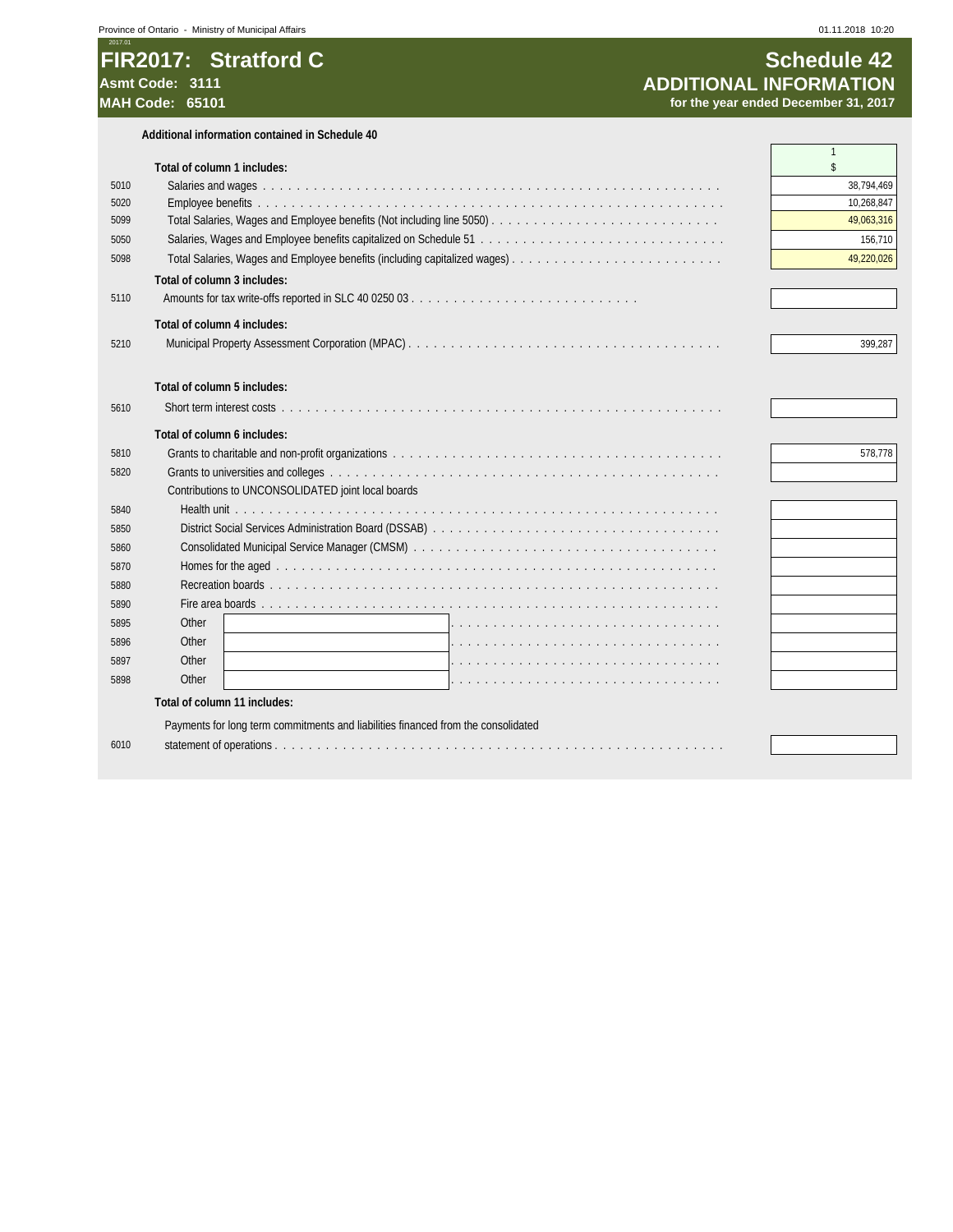### 2017.01 **FIR2017: Stratford C**<br>Asmt Code: 3111 **Stratford C**<br>ADDITIONAL INFORMATION **Asmt Code: 3111 ADDITIONAL INFORMATION**

for the year ended December 31, 2017

|      | Total of column 1 includes:                                                       |            | \$         |
|------|-----------------------------------------------------------------------------------|------------|------------|
| 5010 |                                                                                   |            | 38,794,469 |
| 5020 |                                                                                   |            | 10,268,847 |
| 5099 |                                                                                   | 49,063,316 |            |
| 5050 |                                                                                   |            | 156.710    |
| 5098 |                                                                                   |            | 49,220,026 |
|      | Total of column 3 includes:                                                       |            |            |
| 5110 |                                                                                   |            |            |
|      | Total of column 4 includes:                                                       |            |            |
| 5210 |                                                                                   |            | 399,287    |
|      |                                                                                   |            |            |
|      |                                                                                   |            |            |
|      | Total of column 5 includes:                                                       |            |            |
| 5610 |                                                                                   |            |            |
|      | Total of column 6 includes:                                                       |            |            |
| 5810 |                                                                                   |            | 578,778    |
| 5820 |                                                                                   |            |            |
|      | Contributions to UNCONSOLIDATED joint local boards                                |            |            |
| 5840 |                                                                                   |            |            |
| 5850 |                                                                                   |            |            |
| 5860 |                                                                                   |            |            |
| 5870 |                                                                                   |            |            |
| 5880 |                                                                                   |            |            |
| 5890 |                                                                                   |            |            |
| 5895 | Other                                                                             |            |            |
| 5896 | Other                                                                             |            |            |
| 5897 | Other                                                                             |            |            |
| 5898 | Other                                                                             |            |            |
|      | Total of column 11 includes:                                                      |            |            |
|      | Payments for long term commitments and liabilities financed from the consolidated |            |            |
| 6010 |                                                                                   |            |            |
|      |                                                                                   |            |            |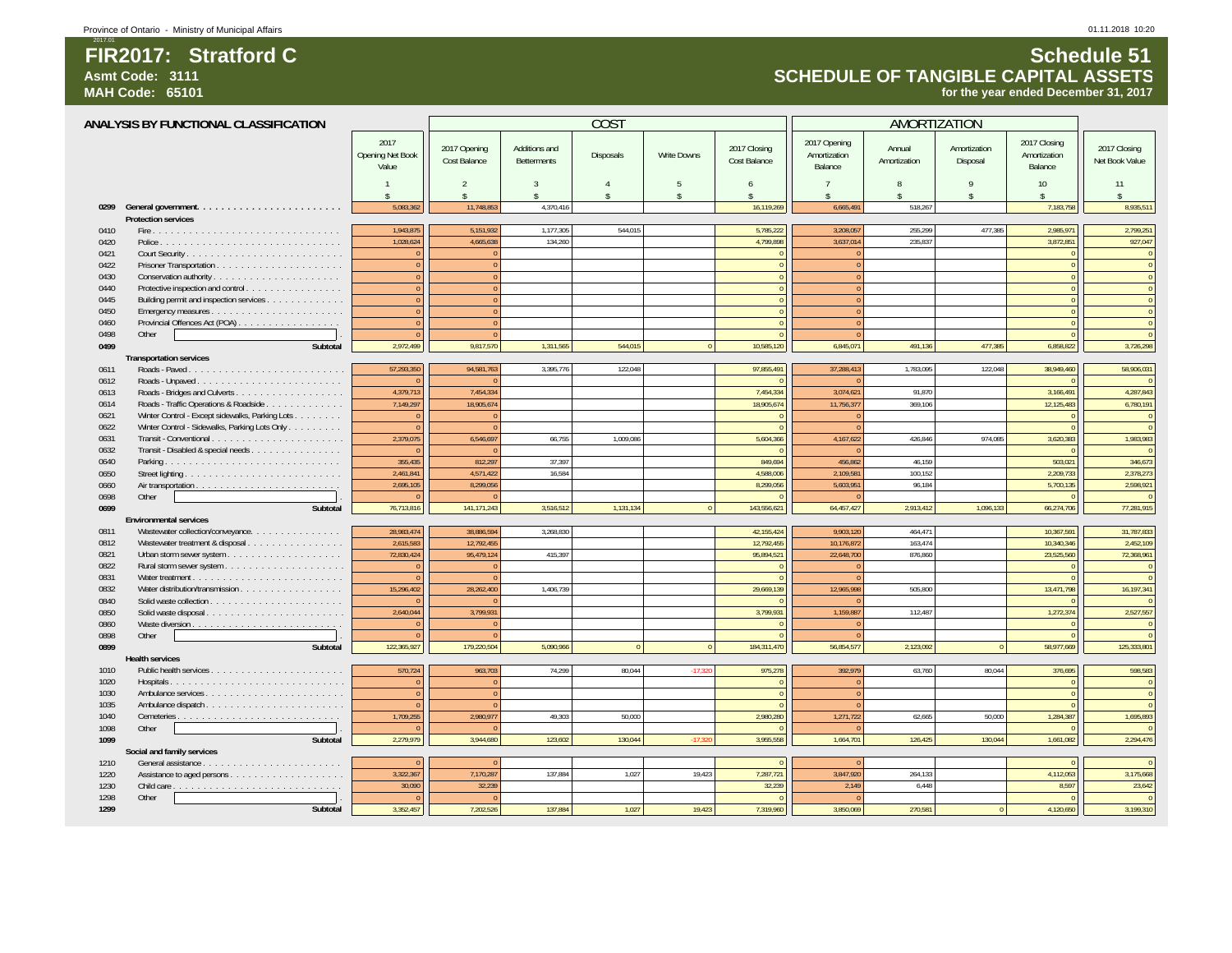### **FIR2017: Stratford CAsmt Code: 3111**

**MAH Code: 65101**

2017.01

### **Schedule 51 SCHEDULE OF TANGIBLE CAPITAL ASSETSfor the year ended December 31, 2017**

|              | ANALYSIS BY FUNCTIONAL CLASSIFICATION           |                                   |                                     |                                     | COS <sub>1</sub>   |                    |                              |                                         | <b>AMORTIZATION</b>    |                          |                                         |                                |
|--------------|-------------------------------------------------|-----------------------------------|-------------------------------------|-------------------------------------|--------------------|--------------------|------------------------------|-----------------------------------------|------------------------|--------------------------|-----------------------------------------|--------------------------------|
|              |                                                 | 2017<br>Opening Net Book<br>Value | 2017 Opening<br><b>Cost Balance</b> | Additions and<br><b>Betterments</b> | Disposals          | <b>Write Downs</b> | 2017 Closing<br>Cost Balance | 2017 Opening<br>Amortization<br>Balance | Annual<br>Amortization | Amortization<br>Disposal | 2017 Closing<br>Amortization<br>Balance | 2017 Closing<br>Net Book Value |
|              |                                                 | $\mathbf{1}$                      | $\mathfrak{D}$                      | $\mathbf{3}$                        | $\overline{A}$     | $\overline{5}$     | 6                            | $\overline{7}$                          | $\mathsf{R}$           | 9                        | 10                                      | 11                             |
|              |                                                 | $\hat{\mathbf{x}}$                | ¢                                   |                                     | $\hat{\mathbf{x}}$ | $\mathbf{\hat{S}}$ |                              | ¢                                       |                        | \$                       | $\hat{\mathbf{x}}$                      |                                |
|              |                                                 | 5.083.362                         | 11.748.853                          | 4.370.416                           |                    |                    | 16.119.269                   | 6.665.491                               | 518.267                |                          | 7.183.758                               | 8,935,511                      |
|              | <b>Protection services</b>                      |                                   |                                     |                                     |                    |                    |                              |                                         |                        |                          |                                         |                                |
| 0410         |                                                 | 1,943,875                         | 5,151,932                           | 1,177,305                           | 544,015            |                    | 5,785,222                    | 3,208,057                               | 255,299                | 477,385                  | 2,985,971                               | 2,799,251                      |
| 0420         |                                                 | 1,028,624                         | 4,665,638                           | 134,260                             |                    |                    | 4,799,898                    | 3,637,014                               | 235,837                |                          | 3,872,851                               | 927,047                        |
| 0421         |                                                 |                                   | $\sqrt{ }$                          |                                     |                    |                    |                              |                                         |                        |                          |                                         | $\overline{0}$                 |
| 0422         |                                                 |                                   | $\sqrt{ }$                          |                                     |                    |                    |                              | $\Omega$                                |                        |                          |                                         | $\mathbf 0$                    |
| 0430         |                                                 |                                   | $\overline{0}$                      |                                     |                    |                    | $\Omega$                     | $\overline{0}$                          |                        |                          |                                         | $\overline{0}$                 |
| 0440         | Protective inspection and control               |                                   | $\overline{0}$                      |                                     |                    |                    |                              | $\Omega$                                |                        |                          |                                         | $\mathbf{0}$                   |
| 0445         | Building permit and inspection services         |                                   | $\sqrt{ }$                          |                                     |                    |                    | $\Omega$                     | $\Omega$                                |                        |                          |                                         | $\overline{0}$                 |
| 0450         |                                                 |                                   | $\sqrt{ }$                          |                                     |                    |                    | $\Omega$                     | $\Omega$                                |                        |                          |                                         | $\overline{0}$                 |
| 0460         | Provincial Offences Act (POA)                   |                                   | $\sqrt{ }$                          |                                     |                    |                    | $\Omega$                     | $\Omega$                                |                        |                          |                                         | $\overline{0}$                 |
| 0498         | Other                                           |                                   | $\sqrt{ }$                          |                                     |                    |                    |                              |                                         |                        |                          |                                         | $\Omega$                       |
| 0499         | Subtotal                                        | 2,972,499                         | 9,817,570                           | 1,311,565                           | 544,015            | $\Omega$           | 10,585,120                   | 6,845,071                               | 491,136                | 477,385                  | 6,858,822                               | 3,726,298                      |
|              | <b>Transportation services</b>                  |                                   |                                     |                                     |                    |                    |                              |                                         |                        |                          |                                         |                                |
| 0611         |                                                 | 57,293,350                        | 94,581,763                          | 3,395,776                           | 122,048            |                    | 97,855,491                   | 37,288,413                              | 1,783,095              | 122,048                  | 38,949,460                              | 58,906,031                     |
| 0612         | Roads - Unpaved                                 |                                   | $\sqrt{ }$                          |                                     |                    |                    |                              |                                         |                        |                          |                                         | $\mathbf{0}$                   |
| 0613         |                                                 | 4,379,713                         | 7,454,334                           |                                     |                    |                    | 7,454,334                    | 3,074,621                               | 91,870                 |                          | 3,166,491                               | 4,287,843                      |
| 0614         | Roads - Traffic Operations & Roadside           | 7,149,297                         | 18,905,674                          |                                     |                    |                    | 18,905,674                   | 11,756,377                              | 369,106                |                          | 12,125,483                              | 6,780,191                      |
| 0621         | Winter Control - Except sidewalks, Parking Lots |                                   |                                     |                                     |                    |                    |                              |                                         |                        |                          |                                         | $\mathbf{0}$                   |
| 0622         | Winter Control - Sidewalks, Parking Lots Only   |                                   | $\sqrt{ }$                          |                                     |                    |                    |                              |                                         |                        |                          |                                         | $\overline{0}$                 |
| 0631         | Transit - Conventional                          | 2,379,075                         | 6,546,697                           | 66,755                              | 1.009.086          |                    | 5,604,366                    | 4,167,622                               | 426,846                | 974.085                  | 3,620,383                               | 1,983,983                      |
| 0632         | Transit - Disabled & special needs              |                                   |                                     |                                     |                    |                    |                              |                                         |                        |                          |                                         | $\overline{0}$                 |
| 0640         |                                                 | 355,435                           | 812,297                             | 37,397                              |                    |                    | 849,694                      | 456,862                                 | 46,159                 |                          | 503,021                                 | 346,673                        |
| 0650         |                                                 | 2,461,841                         | 4,571,422                           | 16,584                              |                    |                    | 4,588,006                    | 2,109,581                               | 100,152                |                          | 2,209,733                               | 2,378,273                      |
| 0660         |                                                 | 2,695,105                         | 8,299,056                           |                                     |                    |                    | 8,299,056                    | 5,603,951                               | 96,184                 |                          | 5,700,135                               | 2,598,921                      |
| 0698         | Other                                           |                                   |                                     |                                     |                    |                    |                              |                                         |                        |                          |                                         | $\mathbf 0$                    |
| 0699         | Subtotal                                        | 76,713,816                        | 141, 171, 243                       | 3,516,512                           | 1,131,134          | $\Omega$           | 143,556,621                  | 64,457,427                              | 2,913,412              | 1,096,133                | 66,274,706                              | 77,281,915                     |
|              | <b>Environmental services</b>                   | 28,983,474                        | 38.886.594                          | 3,268,830                           |                    |                    | 42, 155, 424                 | 9,903,120                               | 464.471                |                          | 10.367.591                              | 31,787,833                     |
| 0811<br>0812 | Wastewater collection/conveyance.               | 2.615.583                         | 12.792.455                          |                                     |                    |                    | 12.792.455                   | 10.176.872                              | 163.474                |                          | 10.340.346                              | 2.452.109                      |
| 0821         | Wastewater treatment & disposal                 | 72.830.424                        | 95,479,124                          | 415,397                             |                    |                    | 95.894.521                   | 22,648,700                              | 876,860                |                          | 23,525,560                              | 72,368,961                     |
| 0822         |                                                 |                                   |                                     |                                     |                    |                    |                              |                                         |                        |                          |                                         | $\mathbf 0$                    |
| 0831         |                                                 |                                   |                                     |                                     |                    |                    |                              |                                         |                        |                          |                                         | $\mathbf 0$                    |
| 0832         |                                                 | 15,296,402                        | 28,262,400                          | 1,406,739                           |                    |                    | 29,669,139                   | 12,965,998                              | 505,800                |                          | 13,471,798                              | 16,197,341                     |
| 0840         |                                                 |                                   |                                     |                                     |                    |                    |                              |                                         |                        |                          |                                         | $\Omega$                       |
| 0850         | Solid waste disposal                            | 2,640,044                         | 3,799,931                           |                                     |                    |                    | 3,799,931                    | 1,159,887                               | 112,487                |                          | 1,272,374                               | 2,527,557                      |
| 0860         |                                                 |                                   | $\Omega$                            |                                     |                    |                    |                              | $\Omega$                                |                        |                          |                                         | $\mathbf{0}$                   |
| 0898         | Other                                           |                                   |                                     |                                     |                    |                    |                              |                                         |                        |                          |                                         | $\overline{0}$                 |
| 0899         | Subtotal                                        | 122,365,927                       | 179,220,504                         | 5,090,966                           | $\Omega$           | $\Omega$           | 184,311,470                  | 56,854,577                              | 2,123,092              | $\overline{0}$           | 58,977,669                              | 125,333,801                    |
|              | <b>Health services</b>                          |                                   |                                     |                                     |                    |                    |                              |                                         |                        |                          |                                         |                                |
| 1010         |                                                 | 570,724                           | 963,703                             | 74,299                              | 80.044             | $-17,320$          | 975,278                      | 392,979                                 | 63,760                 | 80.044                   | 376,695                                 | 598,583                        |
| 1020         |                                                 |                                   | $\sqrt{ }$                          |                                     |                    |                    |                              |                                         |                        |                          |                                         | $\overline{0}$                 |
| 1030         |                                                 |                                   | $\sqrt{ }$                          |                                     |                    |                    | $\Omega$                     | $\Omega$                                |                        |                          |                                         | $\overline{0}$                 |
| 1035         |                                                 |                                   |                                     |                                     |                    |                    |                              |                                         |                        |                          |                                         | $\overline{0}$                 |
| 1040         |                                                 | 1,709,255                         | 2,980,977                           | 49,303                              | 50,000             |                    | 2,980,280                    | 1,271,722                               | 62,665                 | 50,000                   | 1,284,387                               | 1,695,893                      |
| 1098         | Other                                           |                                   |                                     |                                     |                    |                    |                              |                                         |                        |                          |                                         | $\overline{0}$                 |
| 1099         | Subtotal                                        | 2,279,979                         | 3,944,680                           | 123,602                             | 130,044            | $-17,320$          | 3,955,558                    | 1,664,701                               | 126,425                | 130,044                  | 1,661,082                               | 2,294,476                      |
|              | Social and family services                      |                                   |                                     |                                     |                    |                    |                              |                                         |                        |                          |                                         |                                |
| 1210         |                                                 |                                   |                                     |                                     |                    |                    |                              |                                         |                        |                          |                                         | $\overline{0}$                 |
| 1220         |                                                 | 3,322,367                         | 7,170,287                           | 137,884                             | 1,027              | 19,423             | 7,287,721                    | 3,847,920                               | 264,133                |                          | 4,112,053                               | 3,175,668                      |
| 1230         |                                                 | 30,090                            | 32,239                              |                                     |                    |                    | 32.239                       | 2,149                                   | 6,448                  |                          | 8.597                                   | 23,642                         |
| 1298         | Other                                           |                                   |                                     |                                     |                    |                    |                              |                                         |                        |                          |                                         | $\overline{0}$                 |
| 1299         | Subtotal                                        | 3,352,457                         | 7,202,526                           | 137.884                             | 1.027              | 19,423             | 7.319.960                    | 3.850.069                               | 270,581                | $\Omega$                 | 4,120,650                               | 3,199,310                      |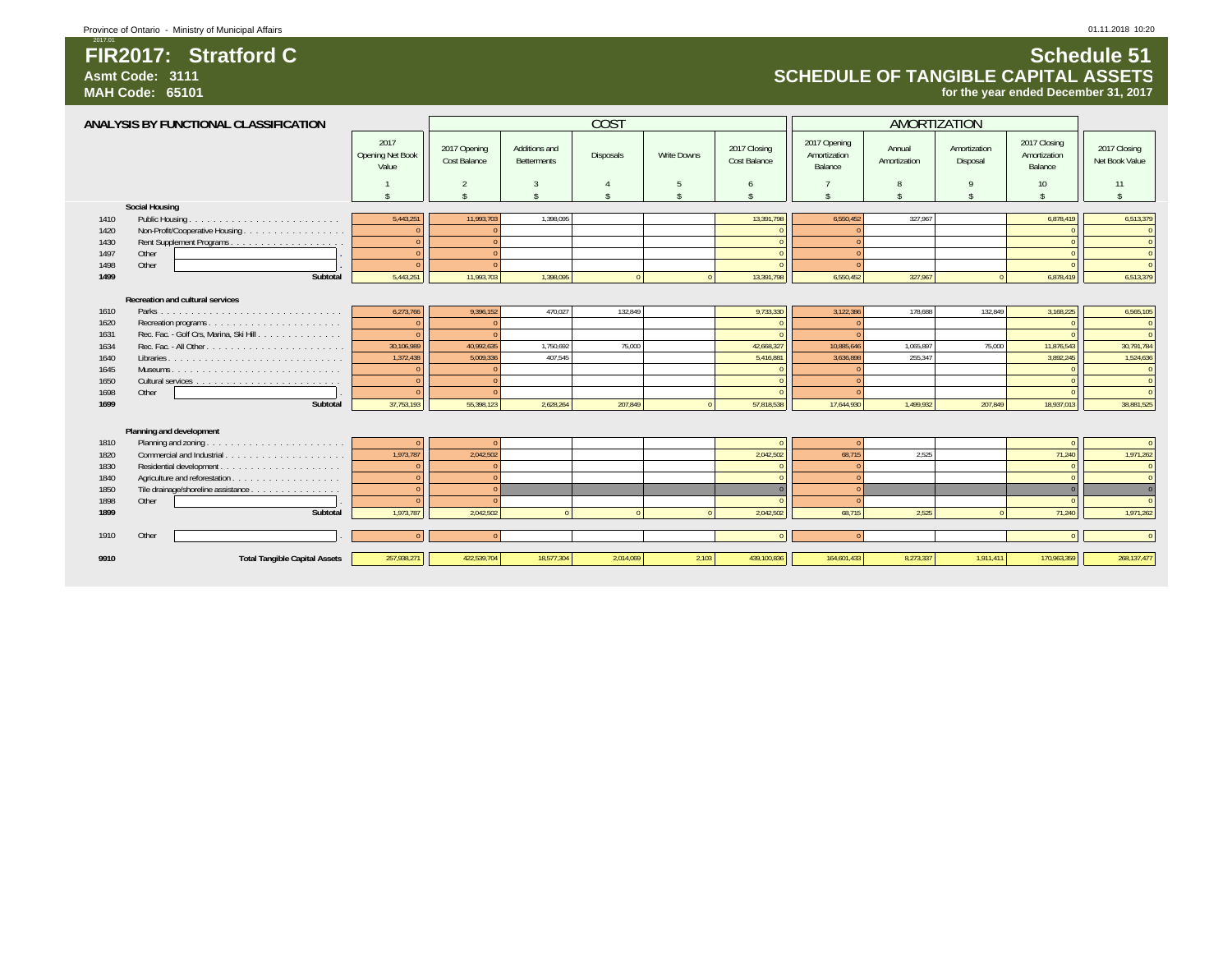**FIR2017: Stratford C**

**Schedule 51**

2017.01

### **SCHEDULE OF TANGIBLE CAPITAL ASSETSfor the year ended December 31, 2017**

|      | ANALYSIS BY FUNCTIONAL CLASSIFICATION   |                                   |                              |                              | COST       |             |                              | AMORTIZATION                            |                        |                          |                                         |                                |
|------|-----------------------------------------|-----------------------------------|------------------------------|------------------------------|------------|-------------|------------------------------|-----------------------------------------|------------------------|--------------------------|-----------------------------------------|--------------------------------|
|      |                                         | 2017<br>Opening Net Book<br>Value | 2017 Opening<br>Cost Balance | Additions and<br>Betterments | Disposals  | Write Downs | 2017 Closing<br>Cost Balance | 2017 Opening<br>Amortization<br>Balance | Annual<br>Amortization | Amortization<br>Disposal | 2017 Closing<br>Amortization<br>Balance | 2017 Closing<br>Net Book Value |
|      |                                         |                                   | $\overline{2}$               | 3                            |            | 5           | 6                            |                                         |                        |                          | 10 <sup>10</sup>                        | 11                             |
|      |                                         |                                   | ¢                            | ¢                            | ¢          | ¢           | ¢                            |                                         |                        |                          |                                         | $\hat{\mathbf{c}}$             |
|      | <b>Social Housing</b>                   |                                   |                              |                              |            |             |                              |                                         |                        |                          |                                         |                                |
| 1410 | Public Housing                          | 5,443,25                          | 11.993.703                   | 1.398.095                    |            |             | 13.391.798                   | 6.550.452                               | 327.967                |                          | 6,878,419                               | 6,513,379                      |
| 1420 |                                         |                                   |                              |                              |            |             |                              |                                         |                        |                          |                                         | $\overline{0}$                 |
| 1430 |                                         |                                   | $\sqrt{2}$                   |                              |            |             | $\Omega$                     | $\Omega$                                |                        |                          |                                         | $\overline{0}$                 |
| 1497 | Other                                   |                                   | $\sqrt{2}$                   |                              |            |             | $\sqrt{ }$                   |                                         |                        |                          |                                         | $\overline{0}$                 |
| 1498 | Other                                   |                                   | $\Omega$                     |                              |            |             |                              |                                         |                        |                          |                                         | $\overline{0}$                 |
| 1499 | Subtotal                                | 5,443,251                         | 11,993,703                   | 1.398.095                    | $\sqrt{2}$ | $\sqrt{2}$  | 13,391,798                   | 6.550.452                               | 327,967                | $\Omega$                 | 6,878,419                               | 6,513,379                      |
|      |                                         |                                   |                              |                              |            |             |                              |                                         |                        |                          |                                         |                                |
|      | Recreation and cultural services        |                                   |                              |                              |            |             |                              |                                         |                        |                          |                                         |                                |
| 1610 |                                         | 6,273,766                         | 9,396,152                    | 470.027                      | 132.849    |             | 9,733,330                    | 3,122,386                               | 178,688                | 132,849                  | 3,168,225                               | 6,565,105                      |
| 1620 |                                         |                                   |                              |                              |            |             |                              |                                         |                        |                          |                                         | $\overline{0}$                 |
| 1631 | Rec. Fac. - Golf Crs, Marina, Ski Hill. |                                   |                              |                              |            |             |                              |                                         |                        |                          |                                         | $\Omega$                       |
| 1634 |                                         | 30.106.989                        | 40.992.635                   | 1,750,692                    | 75.000     |             | 42.668.327                   | 10.885.646                              | 1.065.897              | 75.000                   | 11.876.543                              | 30,791,784                     |
| 1640 |                                         | 1,372,438                         | 5.009.336                    | 407.545                      |            |             | 5,416,881                    | 3,636,898                               | 255.347                |                          | 3.892.245                               | 1,524,636                      |
| 1645 |                                         |                                   |                              |                              |            |             |                              |                                         |                        |                          |                                         | $\overline{0}$                 |
| 1650 |                                         |                                   |                              |                              |            |             |                              |                                         |                        |                          |                                         | $\overline{0}$                 |
| 1698 | Other                                   |                                   |                              |                              |            |             |                              |                                         |                        |                          |                                         | $\Omega$                       |
| 1699 | Subtotal                                | 37,753,193                        | 55,398,123                   | 2,628,264                    | 207,849    |             | 57,818,538                   | 17,644,930                              | 1,499,932              | 207,849                  | 18,937,013                              | 38,881,525                     |
|      |                                         |                                   |                              |                              |            |             |                              |                                         |                        |                          |                                         |                                |
|      | Planning and development                |                                   |                              |                              |            |             |                              |                                         |                        |                          |                                         |                                |
| 1810 |                                         |                                   |                              |                              |            |             |                              |                                         |                        |                          |                                         | $\Omega$                       |
| 1820 |                                         | 1,973,787                         | 2,042,502                    |                              |            |             | 2,042,502                    | 68,715                                  | 2,525                  |                          | 71,240                                  | 1,971,262                      |
| 1830 |                                         |                                   |                              |                              |            |             |                              |                                         |                        |                          |                                         | $\overline{0}$                 |
| 1840 |                                         |                                   | $\sqrt{ }$                   |                              |            |             |                              | $\Omega$                                |                        |                          |                                         | $\overline{0}$                 |
| 1850 | Tile drainage/shoreline assistance      |                                   |                              |                              |            |             |                              |                                         |                        |                          |                                         | $\overline{0}$                 |
| 1898 | Other                                   |                                   |                              |                              |            |             |                              | $\sqrt{2}$                              |                        |                          |                                         | $\overline{0}$                 |
| 1899 | Subtotal                                | 1.973.787                         | 2.042.502                    |                              |            |             | 2.042.502                    | 68.715                                  | 2.525                  | $\Omega$                 | 71.240                                  | 1,971,262                      |
| 1910 | Other                                   |                                   |                              |                              |            |             | $\Omega$                     | $\Omega$                                |                        |                          |                                         | $\Omega$                       |
|      |                                         |                                   |                              |                              |            |             |                              |                                         |                        |                          |                                         |                                |
| 9910 | <b>Total Tangible Capital Assets</b>    | 257,938,271                       | 422,539,704                  | 18,577,304                   | 2,014,069  | 2,103       | 439,100,836                  | 164,601,433                             | 8,273,337              | 1,911,411                | 170,963,359                             | 268, 137, 477                  |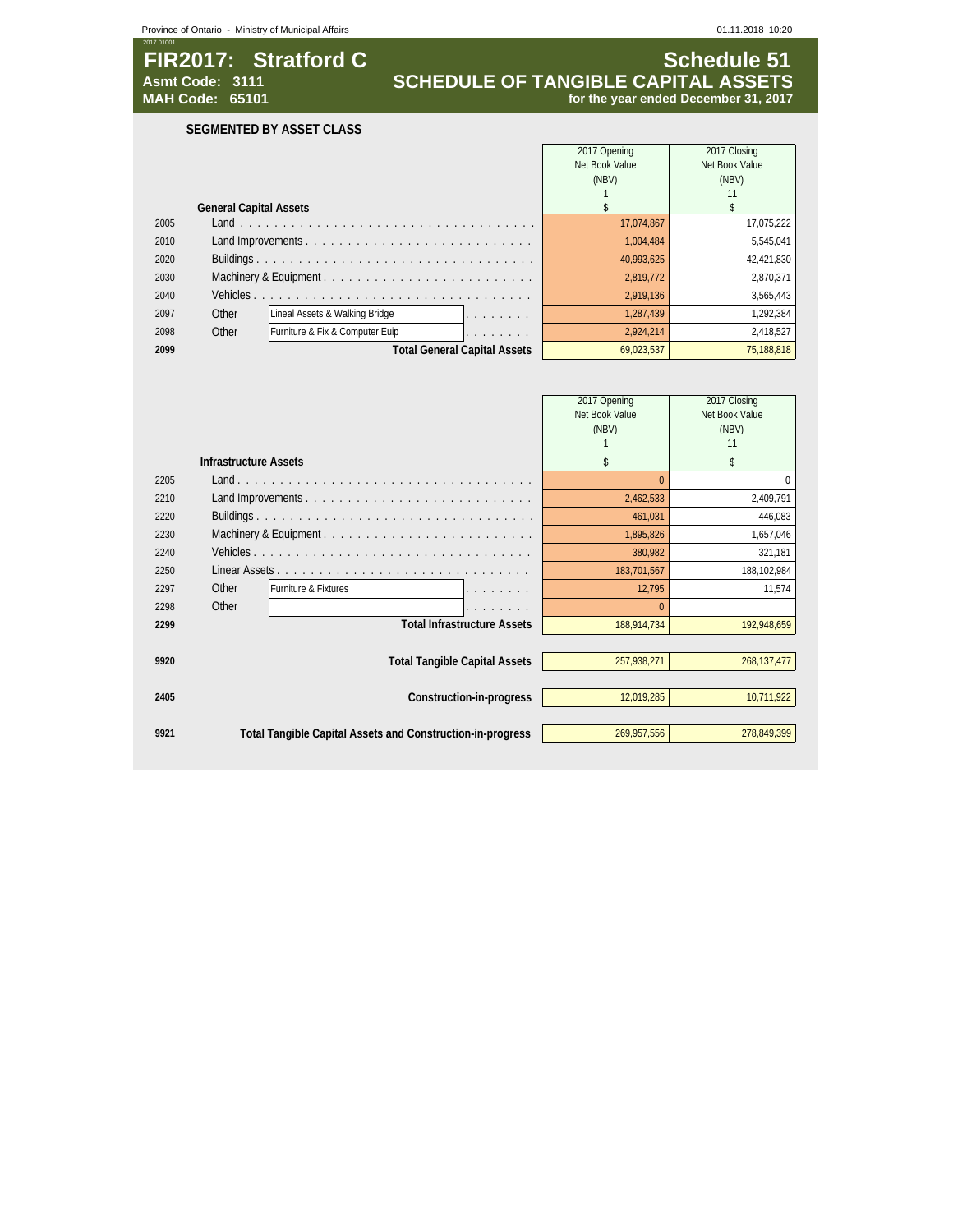### **FIR2017: Stratford C**<br>Asmt Code: 3111 **SCHEDULE OF TANGIBLE CAPITAL ASSETS**<br>MAH Code: 65101 **SCHEDULE OF TANGIBLE CAPITAL ASSETS Asmt Code: 3111 SCHEDULE OF TANGIBLE CAPITAL ASSETS MAH Code: 65101 for the year ended December 31, 2017**

**SEGMENTED BY ASSET CLASS**

|      |                               |                                                                      | 2017 Opening   | 2017 Closing   |
|------|-------------------------------|----------------------------------------------------------------------|----------------|----------------|
|      |                               |                                                                      | Net Book Value | Net Book Value |
|      |                               |                                                                      | (NBV)          | (NBV)          |
|      |                               |                                                                      |                |                |
|      | <b>General Capital Assets</b> |                                                                      |                |                |
| 2005 |                               |                                                                      | 17.074.867     | 17,075,222     |
| 2010 |                               |                                                                      | 1.004.484      | 5.545.041      |
| 2020 |                               |                                                                      | 40.993.625     | 42,421,830     |
| 2030 |                               |                                                                      | 2.819.772      | 2.870.371      |
| 2040 | Vehicles.                     |                                                                      | 2,919,136      | 3,565,443      |
| 2097 | Other                         | Lineal Assets & Walking Bridge                                       | 1.287.439      | 1,292,384      |
| 2098 | Other                         | Furniture & Fix & Computer Euip<br>and the company of the company of | 2,924,214      | 2,418,527      |
| 2099 |                               | <b>Total General Capital Assets</b>                                  | 69.023.537     | 75,188,818     |

|      |                              |                                                            | 2017 Opening   | 2017 Closing   |
|------|------------------------------|------------------------------------------------------------|----------------|----------------|
|      |                              |                                                            | Net Book Value | Net Book Value |
|      |                              |                                                            | (NBV)          | (NBV)          |
|      |                              |                                                            |                | 11             |
|      | <b>Infrastructure Assets</b> |                                                            | \$             | \$             |
| 2205 |                              |                                                            |                |                |
| 2210 |                              |                                                            | 2,462,533      | 2,409,791      |
| 2220 |                              |                                                            | 461,031        | 446,083        |
| 2230 |                              |                                                            | 1,895,826      | 1,657,046      |
| 2240 |                              |                                                            | 380,982        | 321,181        |
| 2250 |                              |                                                            | 183,701,567    | 188,102,984    |
| 2297 | Other                        | Furniture & Fixtures                                       | 12,795         | 11,574         |
| 2298 | Other                        |                                                            |                |                |
| 2299 |                              | <b>Total Infrastructure Assets</b>                         | 188,914,734    | 192,948,659    |
|      |                              |                                                            |                |                |
| 9920 |                              | <b>Total Tangible Capital Assets</b>                       | 257,938,271    | 268, 137, 477  |
|      |                              |                                                            |                |                |
| 2405 |                              | Construction-in-progress                                   | 12,019,285     | 10,711,922     |
|      |                              |                                                            |                |                |
| 9921 |                              | Total Tangible Capital Assets and Construction-in-progress | 269.957.556    | 278,849,399    |
|      |                              |                                                            |                |                |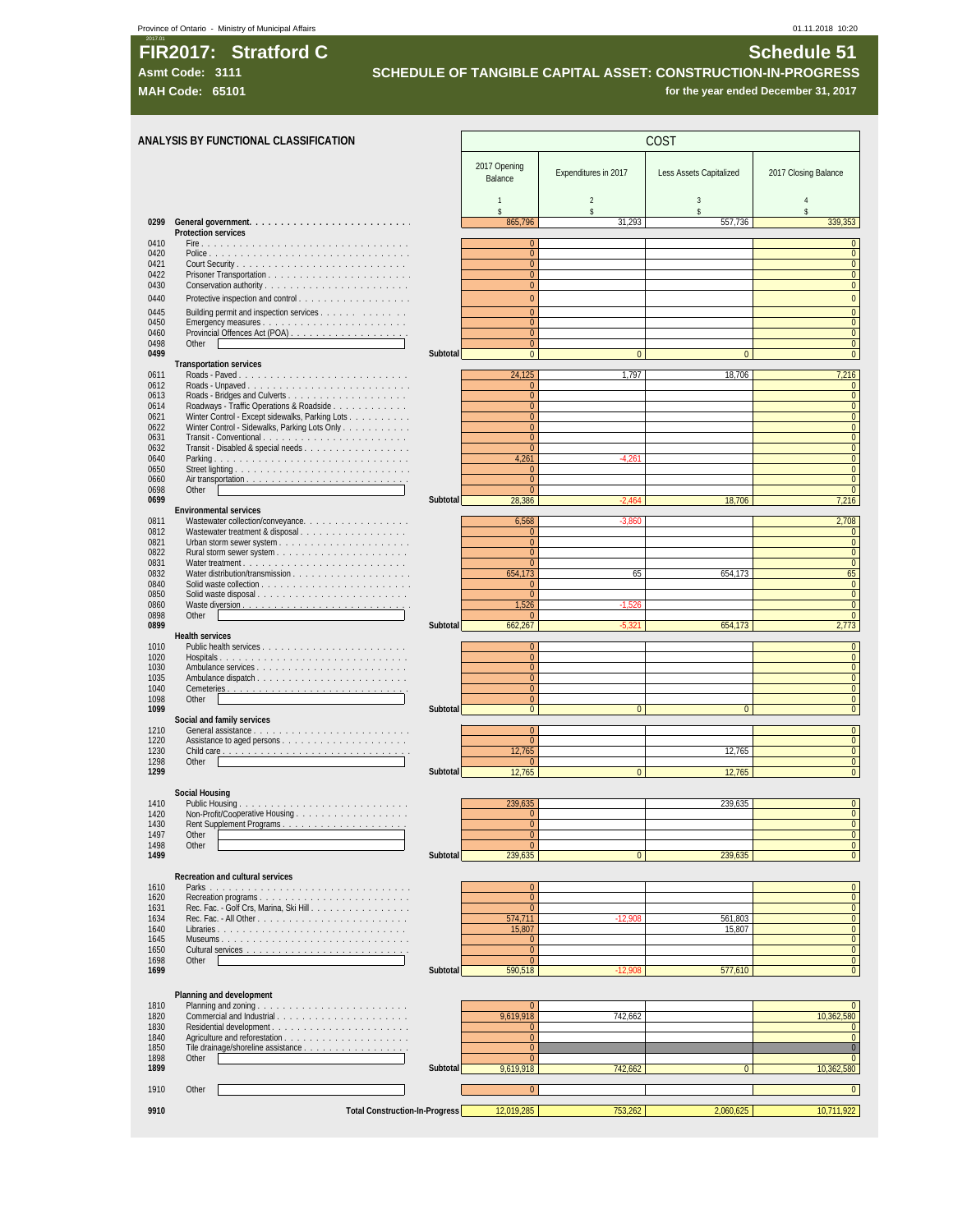### **t** Province of Ontario - Ministry of Municipal Affairs 01.11.2018 10:20

# 2017.01 **FIR2017: Stratford C Schedule 51**

**Asmt Code: 3111 SCHEDULE OF TANGIBLE CAPITAL ASSET: CONSTRUCTION-IN-PROGRESS**

**MAH Code: 65101** *MAH* **Code: 65101** *for the year ended December 31, 2017* 

|              | ANALYSIS BY FUNCTIONAL CLASSIFICATION                                                       |          | COST                             |                              |                         |                                  |  |  |
|--------------|---------------------------------------------------------------------------------------------|----------|----------------------------------|------------------------------|-------------------------|----------------------------------|--|--|
|              |                                                                                             |          | 2017 Opening<br>Balance          | Expenditures in 2017         | Less Assets Capitalized | 2017 Closing Balance             |  |  |
|              |                                                                                             |          | $\mathbf{1}$                     | $\sqrt{2}$                   | 3                       | $\overline{4}$                   |  |  |
| 0299         |                                                                                             |          | $\mathbf{\hat{S}}$<br>865,796    | $\hat{\mathbf{S}}$<br>31,293 | \$<br>557,736           | $\hat{\mathbf{x}}$<br>339.353    |  |  |
| 0410         | <b>Protection services</b>                                                                  |          | $\mathbf 0$                      |                              |                         | $\mathbf 0$                      |  |  |
| 0420         |                                                                                             |          | $\overline{0}$<br>$\overline{0}$ |                              |                         | $\pmb{0}$<br>$\mathbf 0$         |  |  |
| 0421<br>0422 |                                                                                             |          | $\pmb{0}$                        |                              |                         | $\mathbf 0$                      |  |  |
| 0430         |                                                                                             |          | $\mathbf{0}$                     |                              |                         | $\mathbf{0}$                     |  |  |
| 0440         | Protective inspection and control.                                                          |          | $\overline{0}$                   |                              |                         | $\overline{0}$                   |  |  |
| 0445<br>0450 | Building permit and inspection services                                                     |          | $\overline{0}$<br>$\mathbf{0}$   |                              |                         | $\overline{0}$<br>$\mathbf 0$    |  |  |
| 0460         |                                                                                             |          | $\overline{0}$                   |                              |                         | $\pmb{0}$                        |  |  |
| 0498<br>0499 | Other<br>the contract of the contract of the contract of the contract of the contract of    | Subtotal | $\overline{0}$<br>$\overline{0}$ | $\pmb{0}$                    | $\bf{0}$                | $\mathbf 0$<br>$\mathbf{0}$      |  |  |
|              | <b>Transportation services</b>                                                              |          |                                  |                              |                         |                                  |  |  |
| 0611<br>0612 |                                                                                             |          | 24,125<br>$\mathbf{0}$           | 1,797                        | 18,706                  | 7,216<br>$\pmb{0}$               |  |  |
| 0613         |                                                                                             |          | $\pmb{0}$                        |                              |                         | $\mathbf 0$                      |  |  |
| 0614<br>0621 | Roadways - Traffic Operations & Roadside<br>Winter Control - Except sidewalks, Parking Lots |          | $\mathbf{0}$<br>$\pmb{0}$        |                              |                         | $\mathbf{0}$<br>$\pmb{0}$        |  |  |
| 0622         | Winter Control - Sidewalks, Parking Lots Only                                               |          | $\overline{0}$                   |                              |                         | $\overline{0}$                   |  |  |
| 0631<br>0632 | Transit - Conventional                                                                      |          | $\pmb{0}$<br>$\overline{0}$      |                              |                         | $\mathbf 0$<br>$\mathbf{0}$      |  |  |
| 0640         | Parking                                                                                     |          | 4,261                            | $-4.261$                     |                         | $\mathbf{0}$                     |  |  |
| 0650<br>0660 |                                                                                             |          | $\mathbf{0}$<br>$\mathbf{0}$     |                              |                         | $\pmb{0}$<br>$\mathbf 0$         |  |  |
| 0698         | Other                                                                                       |          | $\overline{0}$                   |                              |                         | $\overline{0}$                   |  |  |
| 0699         | <b>Environmental services</b>                                                               | Subtotal | 28,386                           | $-2.464$                     | 18,706                  | 7,216                            |  |  |
| 0811         | Wastewater collection/conveyance.                                                           |          | 6,568                            | $-3,860$                     |                         | 2,708                            |  |  |
| 0812<br>0821 | Wastewater treatment & disposal                                                             |          | $\mathbf{0}$<br>$\mathbf{0}$     |                              |                         | $\mathbf{0}$<br>$\mathbf 0$      |  |  |
| 0822         | Rural storm sewer system                                                                    |          | $\overline{0}$                   |                              |                         | $\overline{0}$                   |  |  |
| 0831<br>0832 |                                                                                             |          | $\mathbf{0}$<br>654,173          | 65                           | 654,173                 | $\mathbf{0}$<br>65               |  |  |
| 0840         |                                                                                             |          | $\mathbf{0}$                     |                              |                         | $\pmb{0}$                        |  |  |
| 0850<br>0860 |                                                                                             |          | $\overline{0}$<br>1,526          | $-1,526$                     |                         | $\pmb{0}$<br>$\mathbf 0$         |  |  |
| 0898         | Other                                                                                       |          | $\mathbf{0}$                     |                              |                         | $\mathbf{0}$                     |  |  |
| 0899         | <b>Health services</b>                                                                      | Subtotal | 662,267                          | $-5.321$                     | 654,173                 | 2,773                            |  |  |
| 1010         |                                                                                             |          | $\mathbf{0}$                     |                              |                         | $\mathbf{0}$                     |  |  |
| 1020<br>1030 |                                                                                             |          | $\pmb{0}$<br>$\mathbf{0}$        |                              |                         | $\mathbf{0}$<br>$\mathbf{0}$     |  |  |
| 1035         | Ambulance dispatch                                                                          |          | $\pmb{0}$                        |                              |                         | $\pmb{0}$                        |  |  |
| 1040<br>1098 | Other                                                                                       |          | $\overline{0}$<br>$\overline{0}$ |                              |                         | $\mathbf{0}$<br>$\mathbf{0}$     |  |  |
| 1099         |                                                                                             | Subtotal | $\mathbf{0}$                     | $\overline{0}$               | $\mathbf{0}$            | $\overline{0}$                   |  |  |
| 1210         | Social and family services                                                                  |          | $\mathbf{0}$                     |                              |                         | $\overline{0}$                   |  |  |
| 1220<br>1230 |                                                                                             |          | $\overline{0}$<br>12,765         |                              | 12,765                  | $\mathbf 0$<br>$\mathbf{0}$      |  |  |
| 1298         | Other                                                                                       |          | $\mathbf{0}$                     |                              |                         | $\mathbf 0$                      |  |  |
| 1299         |                                                                                             | Subtotal | 12,765                           | $\overline{0}$               | 12,765                  | $\mathbf 0$                      |  |  |
|              | Social Housing                                                                              |          |                                  |                              |                         |                                  |  |  |
| 1410<br>1420 | Non-Profit/Cooperative Housing                                                              |          | 239.635                          |                              | 239,635                 | $\mathbf{0}$<br>$\overline{0}$   |  |  |
| 1430         | Rent Supplement Programs.                                                                   |          | $\pmb{0}$                        |                              |                         | $\mathbf{0}$                     |  |  |
| 1497<br>1498 | Other<br>Other                                                                              |          | $\pmb{0}$<br>$\pmb{0}$           |                              |                         | $\overline{0}$<br>$\mathbf{0}$   |  |  |
| 1499         |                                                                                             | Subtotal | 239.635                          | $\overline{0}$               | 239,635                 | $\overline{0}$                   |  |  |
|              | Recreation and cultural services                                                            |          |                                  |                              |                         |                                  |  |  |
| 1610<br>1620 |                                                                                             |          | $\mathbf{0}$<br>$\pmb{0}$        |                              |                         | $\mathbf{0}$<br>$\pmb{0}$        |  |  |
| 1631         | Recreation programs<br>Rec. Fac. - Golf Crs, Marina, Ski Hill                               |          | $\mathbf{0}$                     |                              |                         | $\pmb{0}$                        |  |  |
| 1634<br>1640 |                                                                                             |          | 574,711<br>15,807                | $-12,908$                    | 561,803<br>15,807       | $\mathbf{0}$<br>$\mathbf{0}$     |  |  |
| 1645         |                                                                                             |          | $\pmb{0}$                        |                              |                         | $\pmb{0}$                        |  |  |
| 1650<br>1698 | Other                                                                                       |          | $\overline{0}$<br>$\pmb{0}$      |                              |                         | $\overline{0}$<br>$\overline{0}$ |  |  |
| 1699         |                                                                                             | Subtotal | 590.518                          | $-12.908$                    | 577,610                 | $\overline{0}$                   |  |  |
|              |                                                                                             |          |                                  |                              |                         |                                  |  |  |
| 1810         | Planning and development                                                                    |          | $\mathbf{0}$                     |                              |                         | $\mathbf{0}$                     |  |  |
| 1820         |                                                                                             |          | 9,619,918                        | 742,662                      |                         | 10,362,580                       |  |  |
| 1830<br>1840 |                                                                                             |          | $\mathbf{0}$<br>$\pmb{0}$        |                              |                         | $\overline{0}$<br>$\mathbf{0}$   |  |  |
| 1850         | Tile drainage/shoreline assistance                                                          |          | $\overline{0}$                   |                              |                         | $\overline{0}$                   |  |  |
| 1898<br>1899 | Other                                                                                       | Subtotal | $\mathbf 0$<br>9.619.918         | 742,662                      | $\mathbf{0}$            | $\mathbf{0}$<br>10,362,580       |  |  |
| 1910         | Other                                                                                       |          | $\overline{0}$                   |                              |                         | $\mathbf{0}$                     |  |  |
|              |                                                                                             |          |                                  |                              |                         |                                  |  |  |
| 9910         | <b>Total Construction-In-Progress</b>                                                       |          | 12,019,285                       | 753,262                      | 2,060,625               | 10,711,922                       |  |  |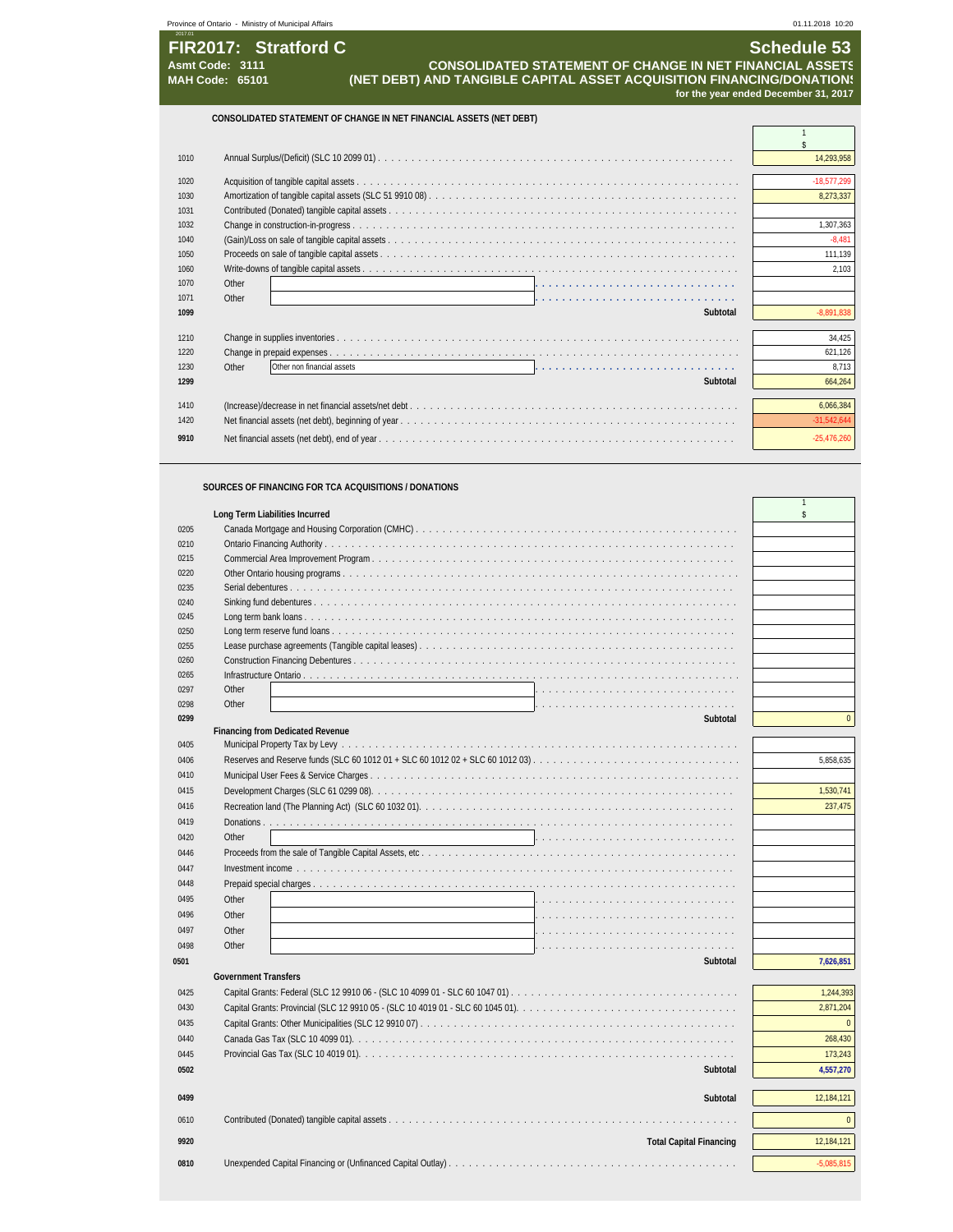|         | Province of Ontario - Ministry of Municipal Affairs                                                                                                                                                           | 01.11.2018 10:20                                           |
|---------|---------------------------------------------------------------------------------------------------------------------------------------------------------------------------------------------------------------|------------------------------------------------------------|
| 2017.01 | FIR2017: Stratford C<br><b>CONSOLIDATED STATEMENT OF CHANGE IN NET FINANCIAL ASSETS</b><br>Asmt Code: 3111<br>(NET DEBT) AND TANGIBLE CAPITAL ASSET ACQUISITION FINANCING/DONATION!<br><b>MAH Code: 65101</b> | <b>Schedule 53</b><br>for the year ended December 31, 2017 |
|         | CONSOLIDATED STATEMENT OF CHANGE IN NET FINANCIAL ASSETS (NET DEBT)                                                                                                                                           |                                                            |
| 1010    |                                                                                                                                                                                                               | 14.293.958                                                 |
| 1020    |                                                                                                                                                                                                               | $-18.577.299$                                              |
| 1030    |                                                                                                                                                                                                               | 8.273.337                                                  |
| 1031    |                                                                                                                                                                                                               |                                                            |
| 1032    |                                                                                                                                                                                                               | 307.363                                                    |

 (Gain)/Loss on sale of tangible capital assets . . . . . . . . . . . . . . . . . . . . . . . . . . . . . . . . . . . . . . . . . . . . . . . . . . . . -8,481 Proceeds on sale of tangible capital assets . . . . . . . . . . . . . . . . . . . . . . . . . . . . . . . . . . . . . . . . . . . . . . . . . . . . . 111,139

| 1060 |                                                                                                              | 2.103         |
|------|--------------------------------------------------------------------------------------------------------------|---------------|
| 1070 | Other                                                                                                        |               |
| 1071 | Other                                                                                                        |               |
| 1099 | Subtotal                                                                                                     | 8.891.838     |
|      |                                                                                                              |               |
| 1210 |                                                                                                              | 34,425        |
| 1220 |                                                                                                              | 621,126       |
| 1230 | Other<br>Other non financial assets<br>a de la caractería de la caractería de la caractería de la caractería | 8.713         |
| 1299 | Subtotal                                                                                                     | 664.264       |
|      |                                                                                                              |               |
| 1410 |                                                                                                              | 6,066,384     |
| 1420 |                                                                                                              | $-31.542.644$ |
| 9910 |                                                                                                              | $-25.476.260$ |

### **SOURCES OF FINANCING FOR TCA ACQUISITIONS / DONATIONS**

|      | Long Term Liabilities Incurred          | \$           |
|------|-----------------------------------------|--------------|
| 0205 |                                         |              |
| 0210 |                                         |              |
| 0215 |                                         |              |
| 0220 |                                         |              |
| 0235 |                                         |              |
| 0240 |                                         |              |
| 0245 |                                         |              |
| 0250 |                                         |              |
| 0255 |                                         |              |
| 0260 |                                         |              |
| 0265 |                                         |              |
| 0297 | Other                                   |              |
| 0298 | Other                                   |              |
| 0299 | Subtotal                                | $\Omega$     |
|      | <b>Financing from Dedicated Revenue</b> |              |
| 0405 |                                         |              |
| 0406 |                                         | 5,858,635    |
| 0410 |                                         |              |
| 0415 |                                         | 1,530,741    |
| 0416 |                                         | 237,475      |
| 0419 |                                         |              |
| 0420 | Other                                   |              |
| 0446 |                                         |              |
| 0447 |                                         |              |
| 0448 |                                         |              |
| 0495 | Other                                   |              |
| 0496 | Other                                   |              |
| 0497 | Other                                   |              |
|      |                                         |              |
| 0498 | Other                                   |              |
| 0501 | Subtotal                                | 7,626,851    |
|      | <b>Government Transfers</b>             |              |
| 0425 |                                         | 1,244,393    |
| 0430 |                                         | 2,871,204    |
| 0435 |                                         | $\Omega$     |
| 0440 |                                         | 268,430      |
| 0445 |                                         | 173,243      |
| 0502 | Subtotal                                | 4,557,270    |
| 0499 | Subtotal                                | 12,184,121   |
| 0610 |                                         | $\Omega$     |
| 9920 | <b>Total Capital Financing</b>          | 12,184,121   |
| 0810 |                                         | $-5,085,815$ |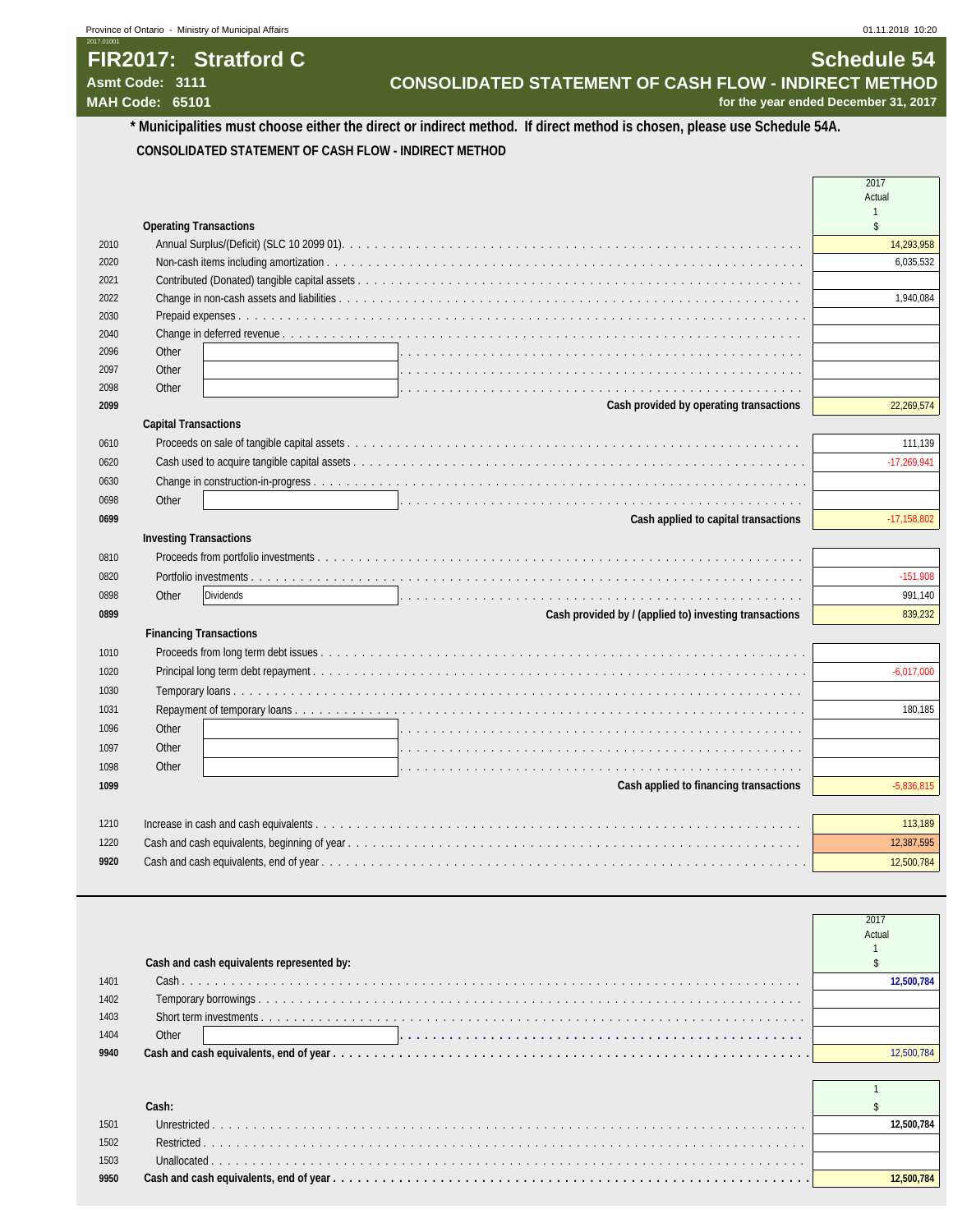## **FIR2017: Stratford C** Schedule 54<br>CONSOLIDATED STATEMENT OF CASH FLOW - INDIRECT METHOD Asmt Code: 3111 Asmt Code: 3111 **CONSOLIDATED STATEMENT OF CASH FLOW - INDIRECT METHOD**<br>MAH Code: 65101 **MAH Code: 65101**

for the year ended December 31, 2017

### **\* Municipalities must choose either the direct or indirect method. If direct method is chosen, please use Schedule 54A. CONSOLIDATED STATEMENT OF CASH FLOW - INDIRECT METHOD**

|      |                                                                                                                        | Actual                |
|------|------------------------------------------------------------------------------------------------------------------------|-----------------------|
|      | <b>Operating Transactions</b>                                                                                          |                       |
| 2010 |                                                                                                                        | 14,293,958            |
| 2020 |                                                                                                                        | 6,035,532             |
| 2021 |                                                                                                                        |                       |
| 2022 |                                                                                                                        | 1,940,084             |
| 2030 |                                                                                                                        |                       |
| 2040 |                                                                                                                        |                       |
| 2096 | Other                                                                                                                  |                       |
| 2097 | Other                                                                                                                  |                       |
| 2098 | Other                                                                                                                  |                       |
| 2099 | Cash provided by operating transactions                                                                                | 22,269,574            |
|      | <b>Capital Transactions</b>                                                                                            |                       |
| 0610 |                                                                                                                        | 111,139               |
| 0620 |                                                                                                                        | $-17,269,941$         |
| 0630 |                                                                                                                        |                       |
| 0698 | Other                                                                                                                  |                       |
| 0699 | Cash applied to capital transactions                                                                                   | $-17,158,802$         |
|      | <b>Investing Transactions</b>                                                                                          |                       |
| 0810 |                                                                                                                        |                       |
| 0820 |                                                                                                                        | $-151,908$            |
| 0898 | Other<br>Dividends                                                                                                     | 991,140               |
| 0899 | Cash provided by / (applied to) investing transactions                                                                 | 839,232               |
|      | <b>Financing Transactions</b>                                                                                          |                       |
| 1010 |                                                                                                                        |                       |
| 1020 |                                                                                                                        | $-6,017,000$          |
| 1030 |                                                                                                                        |                       |
| 1031 |                                                                                                                        | 180.185               |
| 1096 | Other                                                                                                                  |                       |
| 1097 | Other                                                                                                                  |                       |
| 1098 | Other<br>a constitution de la constitution de la constitution de la constitution de la constitution de la constitution |                       |
| 1099 | Cash applied to financing transactions                                                                                 | $-5,836,815$          |
| 1210 |                                                                                                                        |                       |
| 1220 |                                                                                                                        | 113,189<br>12,387,595 |
| 9920 |                                                                                                                        | 12,500,784            |
|      |                                                                                                                        |                       |

|      |                                           | 2017<br>Actual |
|------|-------------------------------------------|----------------|
|      | Cash and cash equivalents represented by: |                |
| 1401 |                                           |                |
| 1402 |                                           |                |
| 1403 |                                           |                |
| 1404 | Other                                     |                |
| 9940 |                                           |                |
|      |                                           |                |

| 1501 | 00.784 |
|------|--------|
| 1502 |        |
| 1503 |        |
| 9950 | 00.784 |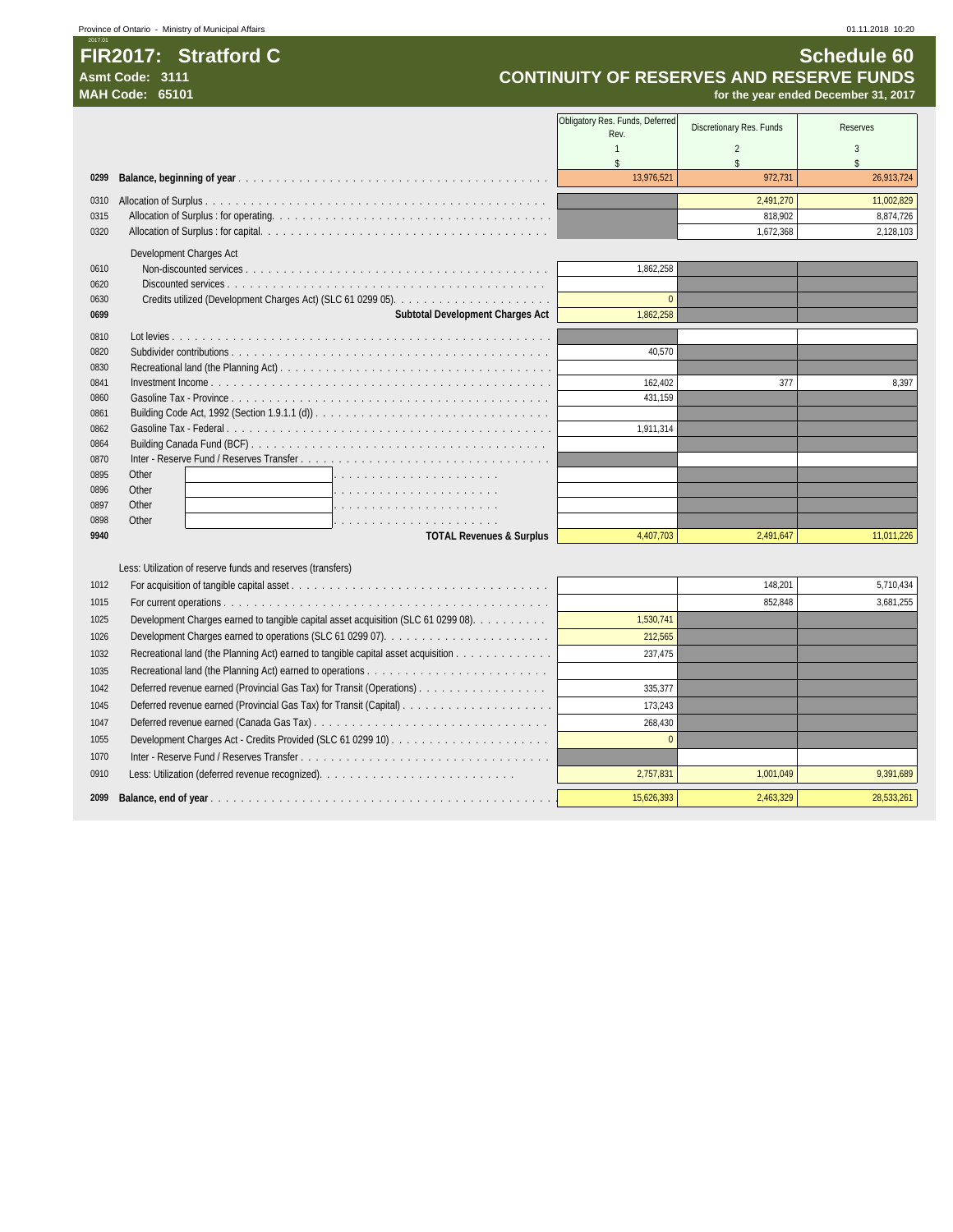### **FIR2017: Stratford C** Schedule 60

2017.01

Asmt Code: 3111<br> **CONTINUITY OF RESERVES AND RESERVE FUNDS**<br>
MAH Code: 65101

|      | <b>MAH Code: 65101</b>                                                             |                                 |                          | for the year ended December 31, 2017 |
|------|------------------------------------------------------------------------------------|---------------------------------|--------------------------|--------------------------------------|
|      |                                                                                    | Obligatory Res. Funds, Deferred |                          |                                      |
|      |                                                                                    | Rev.                            | Discretionary Res. Funds | <b>Reserves</b>                      |
|      |                                                                                    |                                 | $\overline{2}$           | 3                                    |
|      |                                                                                    | ¢                               | \$                       | $\mathsf{\$}$                        |
| 0299 |                                                                                    | 13,976,521                      | 972,731                  | 26,913,724                           |
| 0310 |                                                                                    |                                 | 2,491,270                | 11,002,829                           |
| 0315 |                                                                                    |                                 | 818,902                  | 8,874,726                            |
| 0320 |                                                                                    |                                 | 1,672,368                | 2,128,103                            |
|      | Development Charges Act                                                            |                                 |                          |                                      |
| 0610 |                                                                                    | 1,862,258                       |                          |                                      |
| 0620 |                                                                                    |                                 |                          |                                      |
| 0630 |                                                                                    | $\overline{0}$                  |                          |                                      |
| 0699 | Subtotal Development Charges Act                                                   | 1,862,258                       |                          |                                      |
| 0810 |                                                                                    |                                 |                          |                                      |
| 0820 |                                                                                    | 40,570                          |                          |                                      |
| 0830 |                                                                                    |                                 |                          |                                      |
| 0841 |                                                                                    | 162,402                         | 377                      | 8,397                                |
| 0860 |                                                                                    | 431,159                         |                          |                                      |
| 0861 |                                                                                    |                                 |                          |                                      |
| 0862 |                                                                                    | 1,911,314                       |                          |                                      |
| 0864 |                                                                                    |                                 |                          |                                      |
| 0870 |                                                                                    |                                 |                          |                                      |
| 0895 | Other                                                                              |                                 |                          |                                      |
| 0896 | Other                                                                              |                                 |                          |                                      |
| 0897 | Other                                                                              |                                 |                          |                                      |
| 0898 | Other<br>de la caractería de la caractería de la caractería                        |                                 |                          |                                      |
| 9940 | <b>TOTAL Revenues &amp; Surplus</b>                                                | 4,407,703                       | 2,491,647                | 11,011,226                           |
|      |                                                                                    |                                 |                          |                                      |
|      | Less: Utilization of reserve funds and reserves (transfers)                        |                                 |                          |                                      |
| 1012 |                                                                                    |                                 | 148,201                  | 5,710,434                            |
| 1015 |                                                                                    |                                 | 852,848                  | 3,681,255                            |
| 1025 | Development Charges earned to tangible capital asset acquisition (SLC 61 0299 08). | 1,530,741                       |                          |                                      |
| 1026 |                                                                                    | 212,565                         |                          |                                      |
| 1032 | Recreational land (the Planning Act) earned to tangible capital asset acquisition  | 237.475                         |                          |                                      |
| 1035 |                                                                                    |                                 |                          |                                      |
| 1042 | Deferred revenue earned (Provincial Gas Tax) for Transit (Operations)              | 335.377                         |                          |                                      |

0910 Less: Utilization (deferred revenue recognized). . . . . . . . . . . . . . . . . . . . . . . . . . 2,757,831 1,001,049 9,391,689 **Balance, end of year** . . . . . . . . . . . . . . . . . . . . . . . . . . . . . . . . . . . . . . . . . . . . . . 15,626,393 2,463,329 28,533,261

 Deferred revenue earned (Provincial Gas Tax) for Transit (Capital) . . . . . . . . . . . . . . . . . . . . 173,243 Deferred revenue earned (Canada Gas Tax) . . . . . . . . . . . . . . . . . . . . . . . . . . . . . . . 268,430 Development Charges Act - Credits Provided (SLC 61 0299 10) . . . . . . . . . . . . . . . . . . . . . 0

Inter - Reserve Fund / Reserves Transfer . . . . . . . . . . . . . . . . . . . . . . . . . . . . . . . . .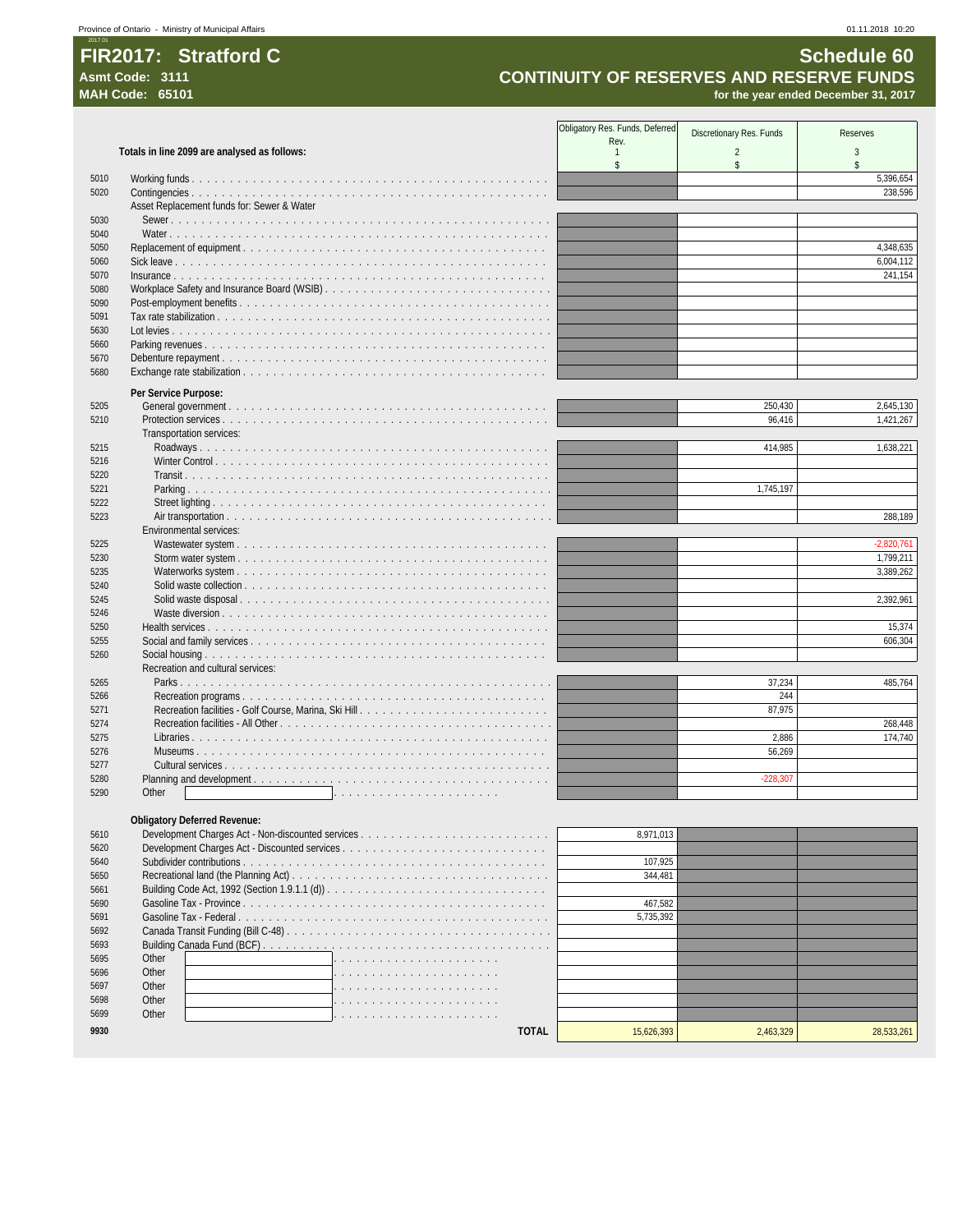### 2017.01 **FIR2017: Stratford C** Schedule 60

# Asmt Code: 3111 **Asmt Code: 3111 CONTINUITY OF RESERVES AND RESERVE FUNDS**<br>MAH Code: 65101 *CONTINUITY OF RESERVES AND RESERVE FUNDS*

for the year ended December 31, 2017

|      |                                              | Obligatory Res. Funds, Deferred |                          |                 |
|------|----------------------------------------------|---------------------------------|--------------------------|-----------------|
|      |                                              | Rev.                            | Discretionary Res. Funds | <b>Reserves</b> |
|      | Totals in line 2099 are analysed as follows: | $\overline{1}$                  | $\overline{c}$           | 3               |
|      |                                              | $\mathbb{S}$                    | \$                       | \$              |
| 5010 |                                              |                                 |                          | 5,396,654       |
| 5020 |                                              |                                 |                          | 238,596         |
|      | Asset Replacement funds for: Sewer & Water   |                                 |                          |                 |
| 5030 |                                              |                                 |                          |                 |
| 5040 |                                              |                                 |                          |                 |
| 5050 |                                              |                                 |                          | 4,348,635       |
| 5060 |                                              |                                 |                          | 6,004,112       |
| 5070 |                                              |                                 |                          | 241,154         |
| 5080 |                                              |                                 |                          |                 |
| 5090 |                                              |                                 |                          |                 |
| 5091 |                                              |                                 |                          |                 |
| 5630 |                                              |                                 |                          |                 |
| 5660 |                                              |                                 |                          |                 |
| 5670 |                                              |                                 |                          |                 |
| 5680 |                                              |                                 |                          |                 |
|      | Per Service Purpose:                         |                                 |                          |                 |
| 5205 |                                              |                                 | 250,430                  | 2,645,130       |
| 5210 |                                              |                                 | 96,416                   | 1,421,267       |
|      | Transportation services:                     |                                 |                          |                 |
| 5215 |                                              |                                 | 414,985                  | 1,638,221       |
| 5216 |                                              |                                 |                          |                 |
| 5220 |                                              |                                 |                          |                 |
| 5221 |                                              |                                 | 1,745,197                |                 |
| 5222 |                                              |                                 |                          |                 |
| 5223 |                                              |                                 |                          | 288,189         |
|      | Environmental services:                      |                                 |                          |                 |
| 5225 |                                              |                                 |                          | $-2,820,761$    |
| 5230 |                                              |                                 |                          | 1,799,211       |
| 5235 |                                              |                                 |                          | 3,389,262       |
| 5240 |                                              |                                 |                          |                 |
| 5245 |                                              |                                 |                          | 2,392,961       |
| 5246 |                                              |                                 |                          |                 |
| 5250 |                                              |                                 |                          | 15,374          |
| 5255 |                                              |                                 |                          | 606,304         |
| 5260 |                                              |                                 |                          |                 |
|      | Recreation and cultural services:            |                                 |                          |                 |
| 5265 |                                              |                                 | 37,234                   | 485,764         |
| 5266 |                                              |                                 | 244                      |                 |
| 5271 |                                              |                                 | 87,975                   |                 |
| 5274 |                                              |                                 |                          | 268,448         |
| 5275 |                                              |                                 | 2,886                    | 174,740         |
| 5276 |                                              |                                 | 56,269                   |                 |
| 5277 |                                              |                                 |                          |                 |
| 5280 |                                              |                                 | $-228,307$               |                 |
| 5290 | Other                                        |                                 |                          |                 |
|      |                                              |                                 |                          |                 |
|      | <b>Obligatory Deferred Revenue:</b>          |                                 |                          |                 |
| 5610 |                                              | 8,971,013                       |                          |                 |
| 5620 |                                              |                                 |                          |                 |
| 5640 |                                              | 107,925                         |                          |                 |
| 5650 |                                              | 344,481                         |                          |                 |
| 5661 |                                              |                                 |                          |                 |
| 5690 |                                              | 467,582                         |                          |                 |
|      |                                              |                                 |                          |                 |

| 5620 |              |            |           |            |
|------|--------------|------------|-----------|------------|
| 5640 |              | 107.925    |           |            |
| 5650 |              | 344.481    |           |            |
| 5661 |              |            |           |            |
| 5690 |              | 467.582    |           |            |
| 5691 |              | 5.735.392  |           |            |
| 5692 |              |            |           |            |
| 5693 |              |            |           |            |
| 5695 | Other        |            |           |            |
| 5696 | Other        |            |           |            |
| 5697 | Other        |            |           |            |
| 5698 | Other        |            |           |            |
| 5699 | Other        |            |           |            |
| 9930 | <b>TOTAL</b> | 15.626.393 | 2.463.329 | 28.533.261 |
|      |              |            |           |            |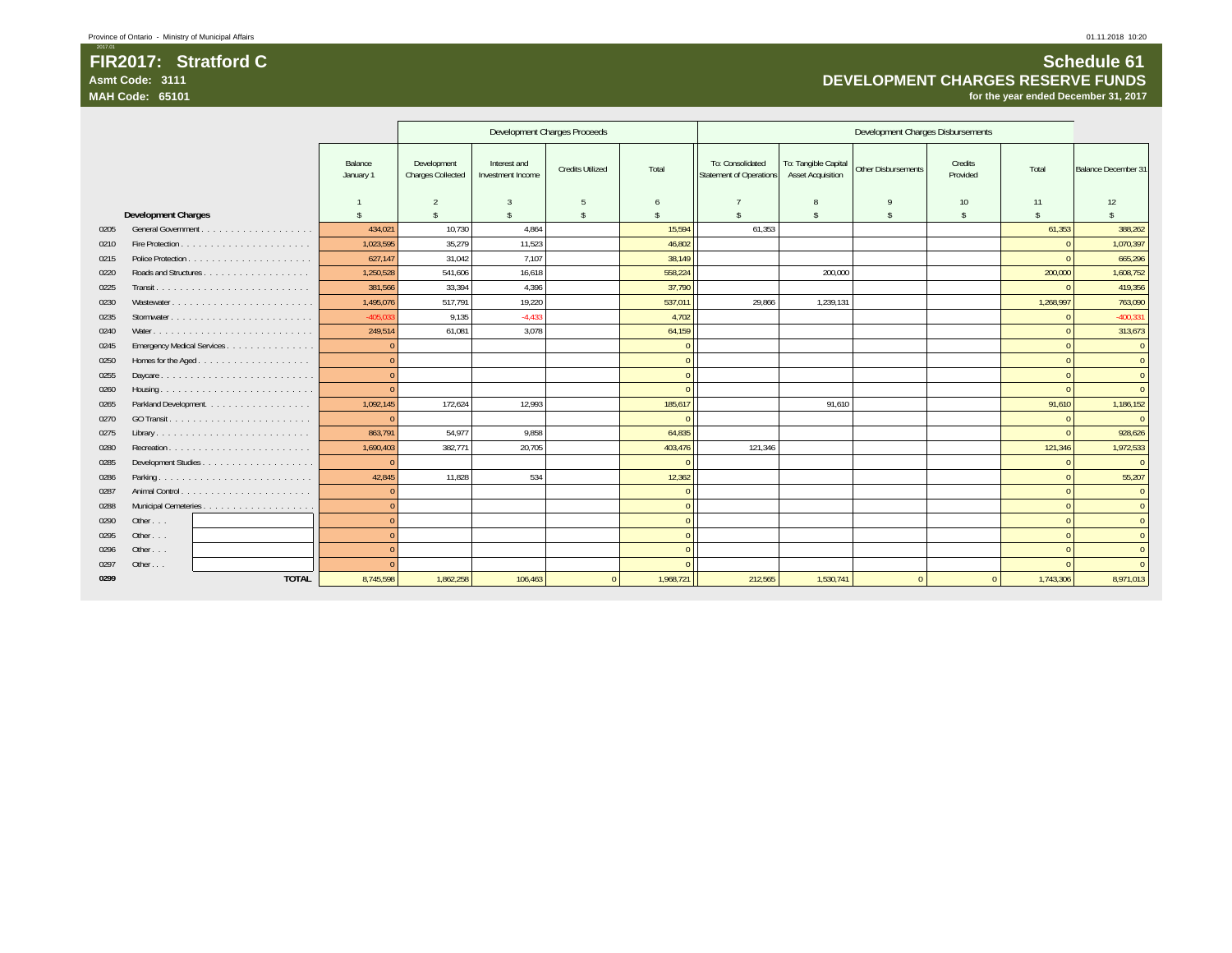**Asmt Code: 3111**

**MAH Code: 65101**

### **Schedule 61** DEVELOPMENT CHARGES RESERVE FUNDS<br>19 of the year ended December 31, 2017

|      |                            |                      |                                         |                                   | Development Charges Proceeds |                |                                                    |                                                  | Development Charges Disbursements |                     |           |                     |
|------|----------------------------|----------------------|-----------------------------------------|-----------------------------------|------------------------------|----------------|----------------------------------------------------|--------------------------------------------------|-----------------------------------|---------------------|-----------|---------------------|
|      |                            | Balance<br>January 1 | Development<br><b>Charges Collected</b> | Interest and<br>Investment Income | <b>Credits Utilized</b>      | Total          | To: Consolidated<br><b>Statement of Operations</b> | To: Tangible Capital<br><b>Asset Acquisition</b> | Other Disbursements               | Credits<br>Provided | Total     | Balance December 31 |
|      |                            |                      | $\mathfrak{D}$                          | 3                                 | 5                            | $\sqrt{2}$     |                                                    | 8                                                | $\mathsf{Q}$                      | 10                  | 11        | 12                  |
|      | <b>Development Charges</b> |                      | \$                                      | \$                                | $\mathbf{\hat{s}}$           |                |                                                    | \$                                               | $\hat{\mathbf{x}}$                | $\mathcal{S}$       | \$        | \$                  |
| 0205 |                            | 434,021              | 10,730                                  | 4,864                             |                              | 15,594         | 61,353                                             |                                                  |                                   |                     | 61,353    | 388,262             |
| 0210 |                            | 1,023,595            | 35.279                                  | 11.523                            |                              | 46.802         |                                                    |                                                  |                                   |                     |           | 1,070,397           |
| 0215 |                            | 627,147              | 31,042                                  | 7,107                             |                              | 38.149         |                                                    |                                                  |                                   |                     |           | 665,296             |
| 0220 |                            | 1,250,528            | 541.606                                 | 16,618                            |                              | 558,224        |                                                    | 200.000                                          |                                   |                     | 200,000   | 1,608,752           |
| 0225 |                            | 381,566              | 33,394                                  | 4,396                             |                              | 37,790         |                                                    |                                                  |                                   |                     |           | 419,356             |
| 0230 | Wastewater                 | 1,495,076            | 517.791                                 | 19,220                            |                              | 537,011        | 29.866                                             | 1,239,131                                        |                                   |                     | 1,268,997 | 763,090             |
| 0235 |                            | $-405,033$           | 9.135                                   | $-4.433$                          |                              | 4.702          |                                                    |                                                  |                                   |                     |           | $-400,331$          |
| 0240 |                            | 249,514              | 61.081                                  | 3,078                             |                              | 64,159         |                                                    |                                                  |                                   |                     |           | 313,673             |
| 0245 | Emergency Medical Services | $\sqrt{ }$           |                                         |                                   |                              | $\Omega$       |                                                    |                                                  |                                   |                     |           | $\mathbf{0}$        |
| 0250 | Homes for the Aged         | $\sqrt{ }$           |                                         |                                   |                              | $\overline{0}$ |                                                    |                                                  |                                   |                     | $\Omega$  | $\mathbf{0}$        |
| 0255 | Daycare                    | $\sqrt{ }$           |                                         |                                   |                              | $\Omega$       |                                                    |                                                  |                                   |                     |           | $\mathbf{0}$        |
| 0260 |                            |                      |                                         |                                   |                              | $\Omega$       |                                                    |                                                  |                                   |                     |           | $\mathbf{0}$        |
| 0265 | Parkland Development.      | 1,092,145            | 172,624                                 | 12,993                            |                              | 185,617        |                                                    | 91,610                                           |                                   |                     | 91,610    | 1,186,152           |
| 0270 |                            |                      |                                         |                                   |                              | $\Omega$       |                                                    |                                                  |                                   |                     | $\Omega$  | $\Omega$            |
| 0275 |                            | 863,791              | 54.977                                  | 9.858                             |                              | 64,835         |                                                    |                                                  |                                   |                     |           | 928,626             |
| 0280 | Recreation                 | 1,690,403            | 382,771                                 | 20,705                            |                              | 403,476        | 121,346                                            |                                                  |                                   |                     | 121,346   | 1,972,533           |
| 0285 |                            | $\sqrt{ }$           |                                         |                                   |                              | $\Omega$       |                                                    |                                                  |                                   |                     | $\Omega$  | $\Omega$            |
| 0286 |                            | 42,845               | 11.828                                  | 534                               |                              | 12,362         |                                                    |                                                  |                                   |                     |           | 55,207              |
| 0287 |                            | $\Omega$             |                                         |                                   |                              | $\Omega$       |                                                    |                                                  |                                   |                     | $\Omega$  | $\mathbf{0}$        |
| 0288 |                            | $\sqrt{ }$           |                                         |                                   |                              | $\Omega$       |                                                    |                                                  |                                   |                     | $\Omega$  | $\Omega$            |
| 0290 | Other                      |                      |                                         |                                   |                              | $\overline{0}$ |                                                    |                                                  |                                   |                     | $\Omega$  | $\overline{0}$      |
| 0295 | Other                      |                      |                                         |                                   |                              | $\Omega$       |                                                    |                                                  |                                   |                     | $\Omega$  | $\overline{0}$      |
| 0296 | Other $\ldots$             |                      |                                         |                                   |                              | $\Omega$       |                                                    |                                                  |                                   |                     | $\Omega$  | $\mathbf{0}$        |
| 0297 | Other                      |                      |                                         |                                   |                              | $\Omega$       |                                                    |                                                  |                                   |                     | $\Omega$  | $\mathbf{0}$        |
| 0299 | <b>TOTAL</b>               | 8,745,598            | 1,862,258                               | 106,463                           |                              | 1,968,721      | 212,565                                            | 1,530,741                                        |                                   |                     | 1,743,306 | 8,971,013           |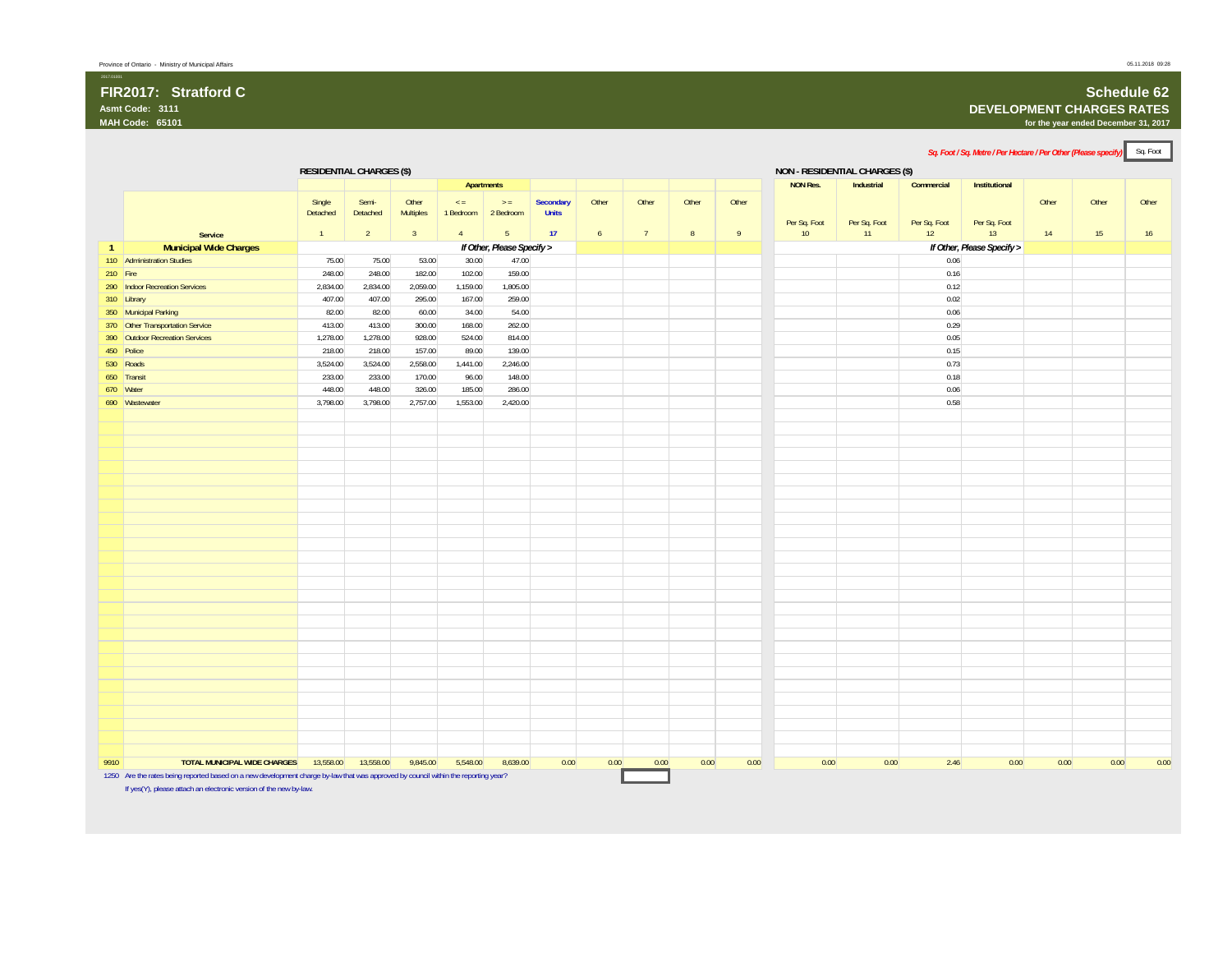#### **FIR2017: Stratford CAsmt Code: 3111MAH Code: 65101**

### **Schedule 62**

#### **DEVELOPMENT CHARGES RATES**

**for the year ended December 31, 2017**

*Sq. Foot / Sq. Metre / Per Hectare / Per Other (Please specify)* Sq. Foot **RESIDENTIAL CHARGES (\$) NON - RESIDENTIAL CHARGES (\$) Apartments NON Res. Industrial Commercial Institutional Service** Single Detached 1Semi-Detached  $\overline{2}$ Other Multiples 3< = 1 Bedroom 2 Bedroom 4> = 5**Secondary Units 17**Other 6Other 7Other 8Other 9Per Sq. Foot 10Per Sq. Foot 11Per Sq. Foot 12Per Sq. Foot 13Other 14Other 15Other 16**1 Municipal Wide Charges** *If Other, Please Specify > If Other, Please Specify >* 110 Administration Studies **75.00** 75.00 75.00 53.00 30.00 47.00 0.06 210 Fire 2010 2020 2031 2048.00 248.00 248.00 182.00 102.00 159.00 159.00 2048.00 2048.00 159.00 2048.00 2048. 0.16 290 Indoor Recreation Services 2,834.00 2,834.00 2,834.00 2,059.00 1,159.00 1,805.00 0.12 3<mark>10 Library 19</mark> . (1992) 19 . (1992) 1992) 1992 1993 100 . (1992) 167.00 . (1992) 167.00 . (1992) 1993 1994 1996 1 350 Municipal Parking 82.00 82.00 60.00 34.00 54.00 0.06 370 Other Transportation Service 413.00 413.00 413.00 300.00 168.00 262.00 416.00 262.00 390 Outdoor Recreation Services 1,278.00 1,278.00 1,278.00 928.00 524.00 814.00 0.05 450 Police 218.00 218.00 157.00 89.00 139.000.15 5<mark>30 Roads 3,5624.00 3,524.00 3,524.00 3,524.00 1,441.00 2,246.00 1,440.00 2,246.00 0.73</mark> <mark>650</mark> Transit 233.00 233.00 233.00 170.00 96.00 148.00 148.00 PM 0.18 670 Water 448.00 448.00 326.00 185.00 286.000.06 690 Wastewater 3,798.00 3,798.00 2,757.00 1,553.00 2,420.00 0.58 9910 **TOTAL MUNICIPAL WIDE CHARGES** 13,558.00 13,558.00 9,845.00 5,548.00 8,639.00 0.00 0.00 0.00 0.00 0.00 0.00 0.00 2.46 0.00 0.00 0.00 0.00 1250 Are the rates being reported based on a new development charge by-law that was approved by council within the reporting year? If yes(Y), please attach an electronic version of the new by-law.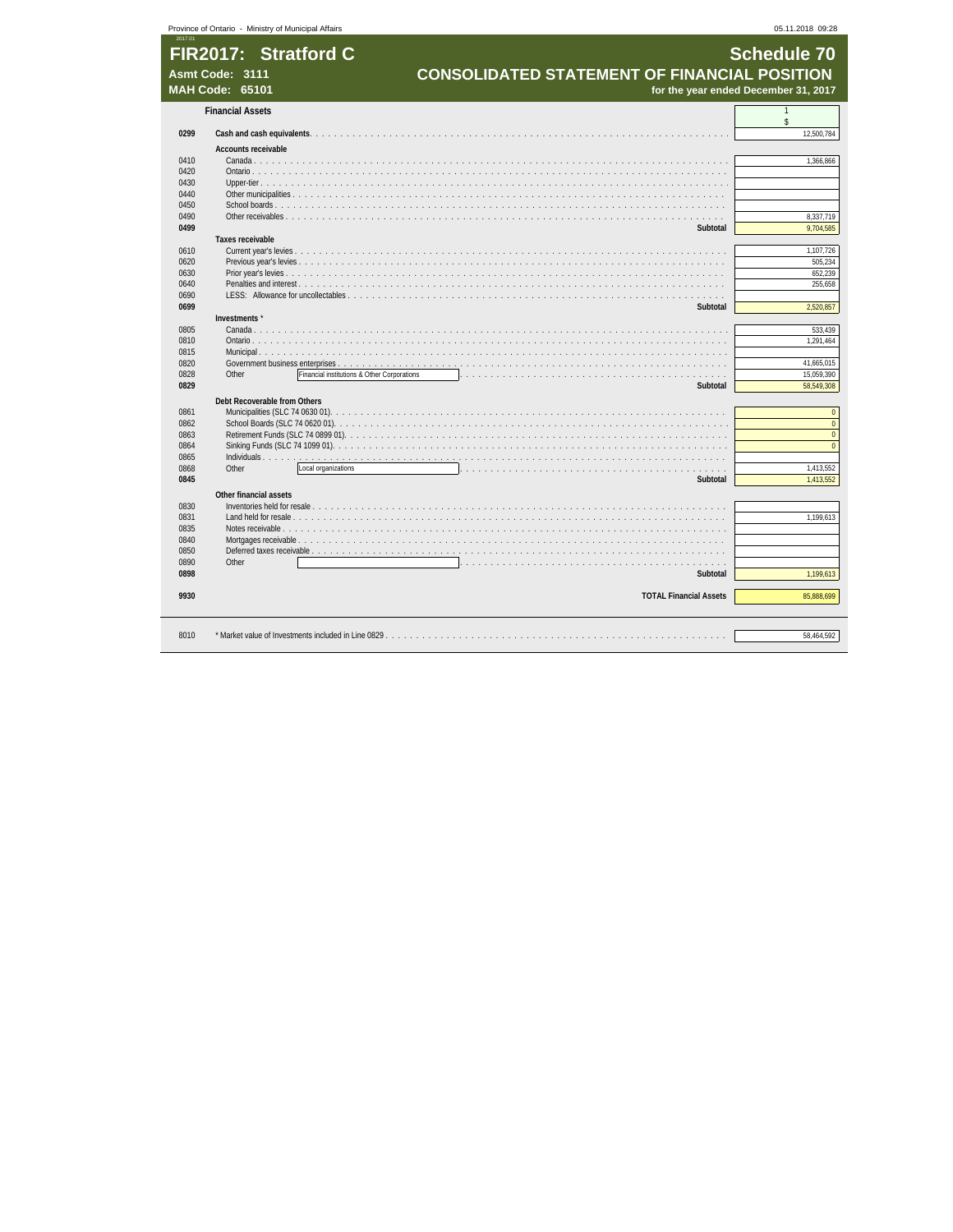|              | Province of Ontario - Ministry of Municipal Affairs |                                                       | 05.11.2018 09:28                     |
|--------------|-----------------------------------------------------|-------------------------------------------------------|--------------------------------------|
| 2017.01      |                                                     |                                                       |                                      |
|              | FIR2017: Stratford C                                |                                                       | <b>Schedule 70</b>                   |
|              | Asmt Code: 3111                                     | <b>CONSOLIDATED STATEMENT OF FINANCIAL POSITION</b>   |                                      |
|              | <b>MAH Code: 65101</b>                              |                                                       | for the year ended December 31, 2017 |
|              |                                                     |                                                       |                                      |
|              | <b>Financial Assets</b>                             |                                                       | $\mathbf{1}$<br>\$                   |
| 0299         |                                                     |                                                       | 12.500.784                           |
|              | <b>Accounts receivable</b>                          |                                                       |                                      |
| 0410         | Canada                                              |                                                       | 1,366,866                            |
| 0420         |                                                     | Ontario                                               |                                      |
| 0430         |                                                     |                                                       |                                      |
| 0440         | Other municipalities                                |                                                       |                                      |
| 0450         |                                                     |                                                       |                                      |
| 0490         |                                                     |                                                       | 8,337,719                            |
| 0499         |                                                     | Subtotal                                              | 9,704,585                            |
| 0610         | Taxes receivable                                    |                                                       | 1.107.726                            |
| 0620         |                                                     |                                                       | 505.234                              |
| 0630         |                                                     |                                                       | 652.239                              |
| 0640         |                                                     | <b>Penalties and interest</b> .                       | 255,658                              |
| 0690         |                                                     |                                                       |                                      |
| 0699         |                                                     | Subtotal                                              | 2,520,857                            |
|              | Investments *                                       |                                                       |                                      |
| 0805         | Canada                                              |                                                       | 533,439                              |
| 0810         |                                                     |                                                       | 1,291,464                            |
| 0815<br>0820 | Municipal $\ldots$ , $\ldots$                       |                                                       | 41.665.015                           |
| 0828         | Other                                               | Financial institutions & Other Corporations<br>.<br>. | 15,059,390                           |
| 0829         |                                                     | Subtotal                                              | 58,549,308                           |
|              |                                                     |                                                       |                                      |
| 0861         | Debt Recoverable from Others                        |                                                       | $\mathbf{0}$                         |
| 0862         |                                                     |                                                       | $\overline{0}$                       |
| 0863         |                                                     |                                                       | $\mathbf{0}$                         |
| 0864         |                                                     |                                                       | $\overline{0}$                       |
| 0865         |                                                     |                                                       |                                      |
| 0868         | Other                                               | Local organizations                                   | 1.413.552                            |
| 0845         |                                                     | Subtotal                                              | 1,413,552                            |
|              | Other financial assets                              |                                                       |                                      |
| 0830         |                                                     |                                                       |                                      |
| 0831         |                                                     |                                                       | 1,199,613                            |
| 0835         |                                                     | Notes receivable                                      |                                      |
| 0840         |                                                     |                                                       |                                      |
| 0850<br>0890 | Other                                               |                                                       |                                      |
| 0898         |                                                     | .<br>Subtotal                                         | 1,199,613                            |
|              |                                                     |                                                       |                                      |
| 9930         |                                                     | <b>TOTAL Financial Assets</b>                         | 85,888,699                           |
|              |                                                     |                                                       |                                      |
|              |                                                     |                                                       |                                      |
| 8010         |                                                     |                                                       | 58.464.592                           |
|              |                                                     |                                                       |                                      |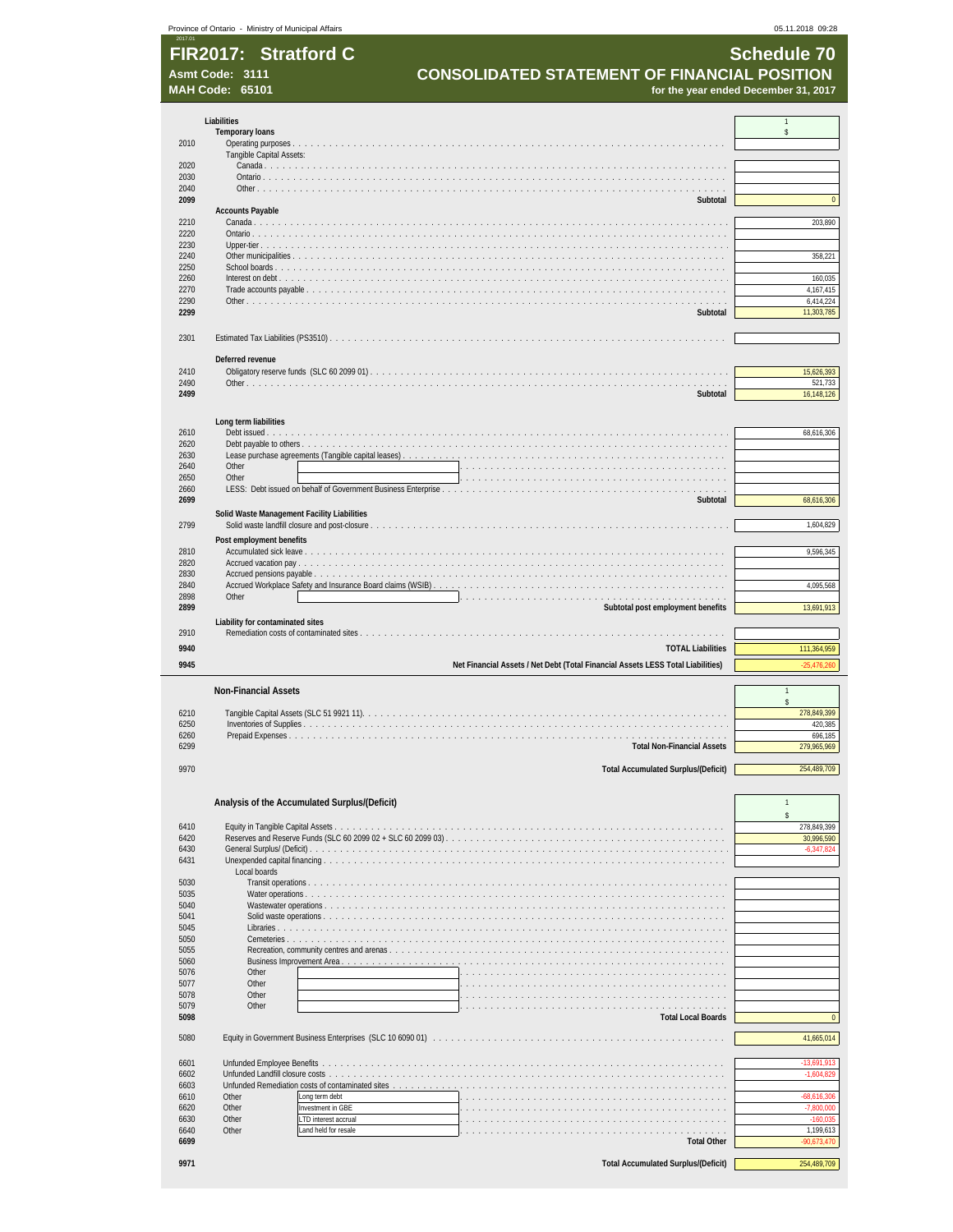| 2017.01      | Province of Ontario - Ministry of Municipal Affairs |                                                                                 | 05.11.2018 09:28                     |
|--------------|-----------------------------------------------------|---------------------------------------------------------------------------------|--------------------------------------|
|              | FIR2017: Stratford C                                |                                                                                 | <b>Schedule 70</b>                   |
|              | Asmt Code: 3111<br><b>MAH Code: 65101</b>           | <b>CONSOLIDATED STATEMENT OF FINANCIAL POSITION</b>                             | for the year ended December 31, 2017 |
|              |                                                     |                                                                                 |                                      |
|              | Liabilities                                         |                                                                                 | $\mathbf{1}$                         |
| 2010         | <b>Temporary loans</b>                              |                                                                                 | \$                                   |
|              | Tangible Capital Assets:                            |                                                                                 |                                      |
| 2020<br>2030 |                                                     |                                                                                 |                                      |
| 2040         |                                                     |                                                                                 |                                      |
| 2099         | <b>Accounts Payable</b>                             | Subtotal                                                                        | $\mathbf{0}$                         |
| 2210         |                                                     |                                                                                 | 203,890                              |
| 2220<br>2230 |                                                     |                                                                                 |                                      |
| 2240         |                                                     |                                                                                 | 358,221                              |
| 2250<br>2260 |                                                     |                                                                                 | 160,035                              |
| 2270<br>2290 |                                                     |                                                                                 | 4,167,415<br>6,414,224               |
| 2299         |                                                     | Subtotal                                                                        | 11,303,785                           |
|              |                                                     |                                                                                 |                                      |
| 2301         |                                                     |                                                                                 |                                      |
|              | Deferred revenue                                    |                                                                                 |                                      |
| 2410<br>2490 |                                                     |                                                                                 | 15,626,393<br>521,733                |
| 2499         |                                                     | Subtotal                                                                        | 16,148,126                           |
|              |                                                     |                                                                                 |                                      |
| 2610         | Long term liabilities                               |                                                                                 | 68,616,306                           |
| 2620         |                                                     |                                                                                 |                                      |
| 2630<br>2640 | Other                                               |                                                                                 |                                      |
| 2650         | Other                                               |                                                                                 |                                      |
| 2660<br>2699 |                                                     | Subtotal                                                                        | 68,616,306                           |
|              |                                                     | Solid Waste Management Facility Liabilities                                     |                                      |
| 2799         |                                                     |                                                                                 | 1,604,829                            |
| 2810         | Post employment benefits                            |                                                                                 | 9,596,345                            |
| 2820         |                                                     |                                                                                 |                                      |
| 2830<br>2840 |                                                     |                                                                                 | 4,095,568                            |
| 2898         | Other                                               |                                                                                 |                                      |
| 2899         | Liability for contaminated sites                    | Subtotal post employment benefits                                               | 13,691,913                           |
| 2910         |                                                     |                                                                                 |                                      |
| 9940         |                                                     | <b>TOTAL Liabilities</b>                                                        | 111,364,959                          |
| 9945         |                                                     | Net Financial Assets / Net Debt (Total Financial Assets LESS Total Liabilities) | $-25,476,260$                        |
|              | <b>Non-Financial Assets</b>                         |                                                                                 |                                      |
| 6210         |                                                     |                                                                                 | $\hat{\mathbf{S}}$                   |
| 6250         | Inventories of Supplies.                            |                                                                                 | 278,849,399<br>420,385               |
| 6260<br>6299 | Prepaid Expenses                                    | .<br>.                                                                          | 696,185                              |
|              |                                                     | <b>Total Non-Financial Assets</b>                                               | 279,965,969                          |
| 9970         |                                                     | <b>Total Accumulated Surplus/(Deficit)</b>                                      | 254,489,709                          |
|              |                                                     |                                                                                 |                                      |
|              |                                                     | Analysis of the Accumulated Surplus/(Deficit)                                   | $\mathbf{1}$                         |
| 6410         |                                                     |                                                                                 | $\hat{\mathbf{S}}$<br>278,849,399    |
| 6420         |                                                     | Reserves and Reserve Funds (SLC 60 2099 02 + SLC 60 2099 03).                   | 30,996,590                           |
| 6430<br>6431 |                                                     | Unexpended capital financing                                                    | $-6,347,824$                         |
|              | Local boards                                        |                                                                                 |                                      |
| 5030<br>5035 | Water operations                                    | Transit operations                                                              |                                      |
| 5040         | Wastewater operations.                              |                                                                                 |                                      |
| 5041<br>5045 |                                                     | Solid waste operations                                                          |                                      |
| 5050         | Cemeteries                                          |                                                                                 |                                      |
| 5055<br>5060 |                                                     | Recreation, community centres and arenas<br><b>Business Improvement Area</b>    |                                      |
| 5076         | Other<br>Other                                      |                                                                                 |                                      |
| 5077<br>5078 | Other                                               |                                                                                 |                                      |
| 5079<br>5098 | Other                                               | .<br><b>Total Local Boards</b>                                                  | $\bf{0}$                             |
|              |                                                     |                                                                                 |                                      |
| 5080         |                                                     |                                                                                 | 41,665,014                           |
| 6601         | Unfunded Employee Benefits                          |                                                                                 | $-13,691,913$                        |
| 6602         | Unfunded Landfill closure costs                     |                                                                                 | $-1,604,829$                         |
| 6603<br>6610 | Other                                               | Unfunded Remediation costs of contaminated sites<br>Long term debt              | 68,616,306                           |
| 6620         | Other                                               | Investment in GBE                                                               | $-7,800,000$                         |
| 6630<br>6640 | Other<br>Other                                      | LTD interest accrual<br>Land held for resale                                    | $-160,035$<br>1,199,613              |
| 6699         |                                                     | <b>Total Other</b>                                                              | 90,673,470                           |
| 9971         |                                                     | <b>Total Accumulated Surplus/(Deficit)</b>                                      | 254,489,709                          |

| 9971 |  |  |
|------|--|--|
|      |  |  |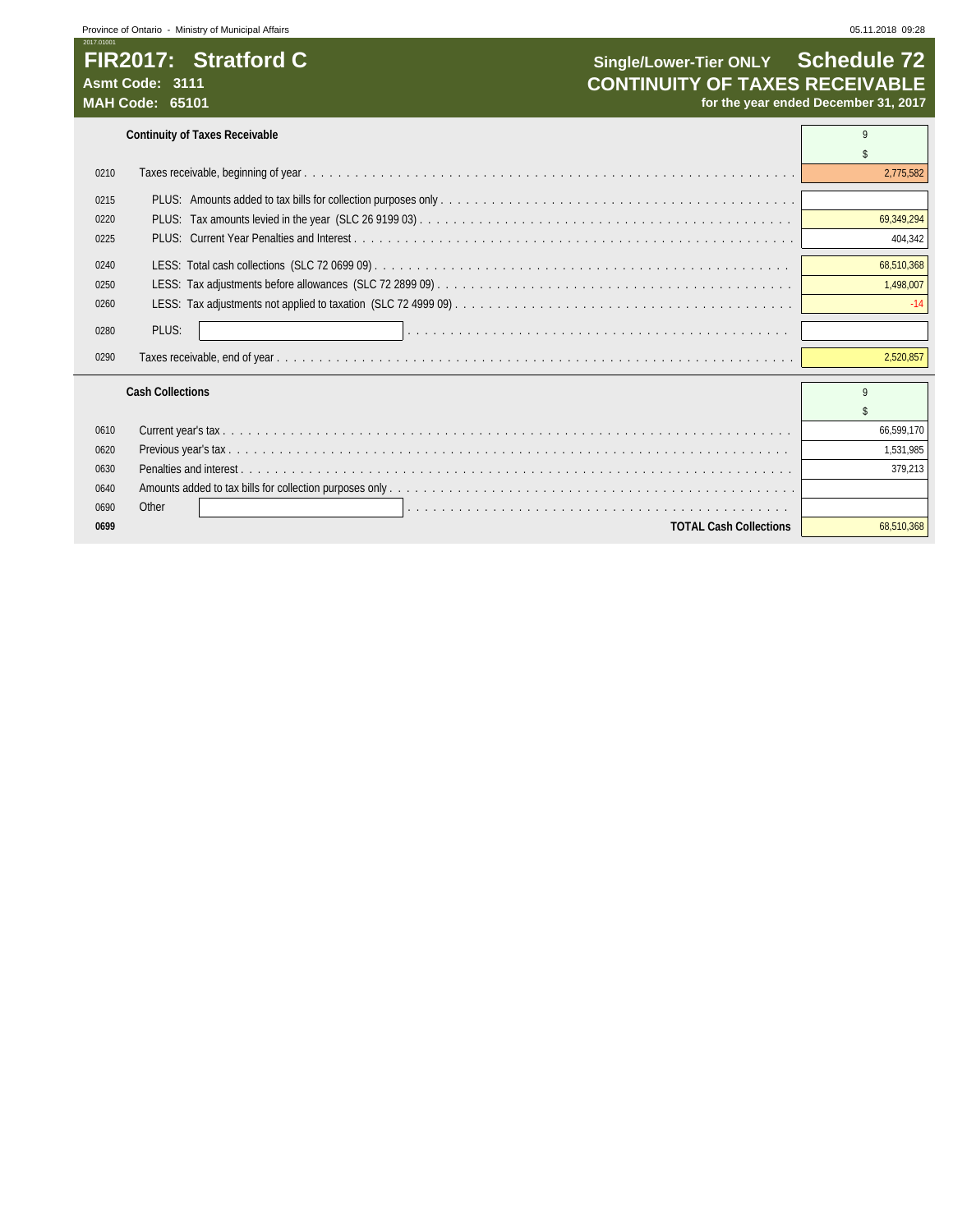**Continuity of Taxes Receivable** 9

| 0210 |                               | 2.775.582  |
|------|-------------------------------|------------|
| 0215 |                               |            |
| 0220 |                               | 69,349,294 |
| 0225 |                               | 404,342    |
| 0240 |                               | 68,510,368 |
| 0250 |                               | 1,498,007  |
| 0260 |                               | $-14$      |
| 0280 | PLUS:                         |            |
| 0290 |                               | 2.520.857  |
|      | <b>Cash Collections</b>       | Q          |
|      |                               |            |
| 0610 |                               | 66.599.170 |
| 0620 |                               | 1,531,985  |
| 0630 |                               | 379,213    |
| 0640 |                               |            |
| 0690 | Other                         |            |
| 0699 | <b>TOTAL Cash Collections</b> | 68.510.368 |

 $\mathbb{R}^2$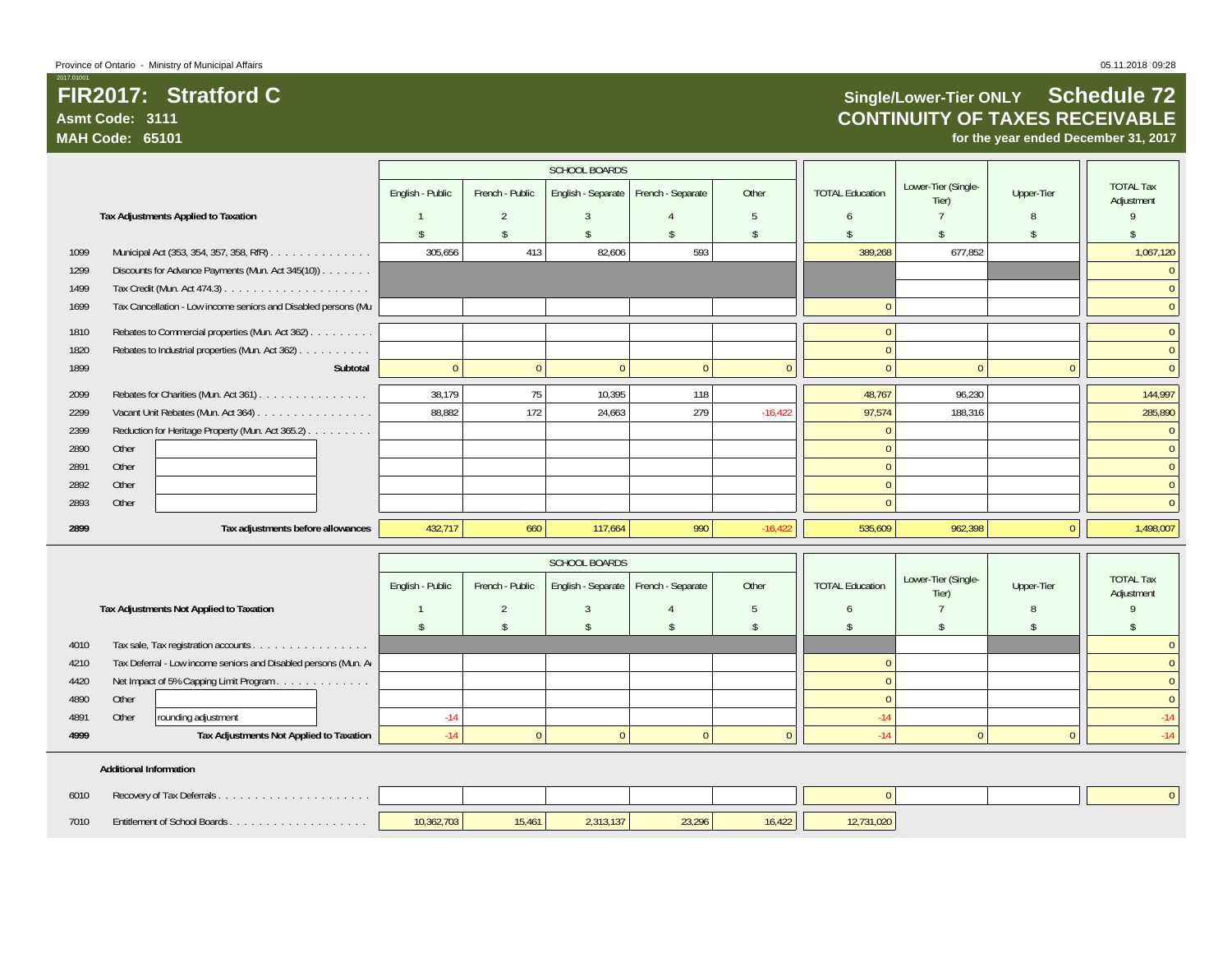### **FIR2017: Stratford CAsmt Code: 3111MAH Code: 65101**

 $\overline{0}$ 

## **Single/Lower-Tier ONLY Schedule 72 CONTINUITY OF TAXES RECEIVABLE**

**for the year ended December 31, 2017**

|      |                                                                |                    |                 | <b>SCHOOL BOARDS</b> |                   |               |                        |                              |               |                                |
|------|----------------------------------------------------------------|--------------------|-----------------|----------------------|-------------------|---------------|------------------------|------------------------------|---------------|--------------------------------|
|      |                                                                | English - Public   | French - Public | English - Separate   | French - Separate | Other         | <b>TOTAL Education</b> | Lower-Tier (Single-          | Upper-Tier    | <b>TOTAL Tax</b>               |
|      | Tax Adjustments Applied to Taxation                            |                    |                 | 3                    |                   | 5             | 6                      | Tier)                        | 8             | Adjustment                     |
|      |                                                                | $\mathbf{\hat{S}}$ | -\$             | $\mathbf{\hat{S}}$   |                   | $\mathsf{\$}$ |                        |                              | $\mathcal{L}$ |                                |
| 1099 | Municipal Act (353, 354, 357, 358, RfR)                        | 305,656            | 413             | 82,606               | 593               |               | 389,268                | 677,852                      |               | 1,067,120                      |
| 1299 | Discounts for Advance Payments (Mun. Act 345(10)).             |                    |                 |                      |                   |               |                        |                              |               | $\mathbf{0}$                   |
| 1499 |                                                                |                    |                 |                      |                   |               |                        |                              |               | $\mathbf{0}$                   |
| 1699 | Tax Cancellation - Low income seniors and Disabled persons (Mu |                    |                 |                      |                   |               |                        |                              |               | $\mathbf{0}$                   |
| 1810 | Rebates to Commercial properties (Mun. Act 362)                |                    |                 |                      |                   |               |                        |                              |               | $\mathbf{0}$                   |
| 1820 | Rebates to Industrial properties (Mun. Act 362)                |                    |                 |                      |                   |               |                        |                              |               | $\overline{0}$                 |
| 1899 | Subtotal                                                       | $\mathbf{0}$       | $\Omega$        | $\mathbf{0}$         | $\Omega$          | $\Omega$      |                        | $\Omega$                     | $\Omega$      | $\overline{0}$                 |
| 2099 | Rebates for Charities (Mun. Act 361)                           | 38,179             | 75              | 10,395               | 118               |               | 48,767                 | 96,230                       |               | 144,997                        |
| 2299 | Vacant Unit Rebates (Mun. Act 364)                             | 88,882             | 172             | 24,663               | 279               | $-16,422$     | 97,574                 | 188,316                      |               | 285,890                        |
| 2399 | Reduction for Heritage Property (Mun. Act 365.2)               |                    |                 |                      |                   |               |                        |                              |               | $\mathbf{0}$                   |
| 2890 | Other                                                          |                    |                 |                      |                   |               |                        |                              |               | $\mathbf{0}$                   |
| 2891 | Other                                                          |                    |                 |                      |                   |               |                        |                              |               | $\mathbf{0}$                   |
| 2892 | Other                                                          |                    |                 |                      |                   |               |                        |                              |               | $\mathbf{0}$                   |
| 2893 | Other                                                          |                    |                 |                      |                   |               |                        |                              |               | $\overline{0}$                 |
| 2899 | Tax adjustments before allowances                              | 432,717            | 660             | 117,664              | 990               | $-16,422$     | 535,609                | 962,398                      | $\mathbf{0}$  | 1,498,007                      |
|      |                                                                |                    |                 | <b>SCHOOL BOARDS</b> |                   |               |                        |                              |               |                                |
|      |                                                                | English - Public   | French - Public | English - Separate   | French - Separate | Other         | <b>TOTAL Education</b> | Lower-Tier (Single-<br>Tier) | Upper-Tier    | <b>TOTAL Tax</b><br>Adjustment |
|      | Tax Adjustments Not Applied to Taxation                        |                    | $\overline{2}$  | 3                    |                   | 5             | 6                      |                              | 8             | $\mathsf{q}$                   |

### **Additional Information**

| 6010 |                              |            |        |           |        |        |           |  |  |
|------|------------------------------|------------|--------|-----------|--------|--------|-----------|--|--|
| 7010 | Entitlement of School Boards | 10.362.703 | 15.461 | 2.313.137 | 23,296 | 16,422 | 2,731,020 |  |  |

4010 Tax sale, Tax registration accounts . . . . . . . . . . . . . . . . 0 Act of the Music Control of the Music Control of the Music Control of the Music Control of the Music Control of the Music Control of the Music Control of the Music Control of the Music Control of the Music Control of the M 4420 Net Impact of 5% Capping Limit Program . . . . . . . . . . . . . 0 0 4890 Other 0 0

4891 Other rounding adjustment -14 -14 -14 **4999 Tax Adjustments Not Applied to Taxation** -14 0 0 0 0 0 0 0 1 14 0 0 14 0 14

\$\$\$\$\$ \$ \$ \$ \$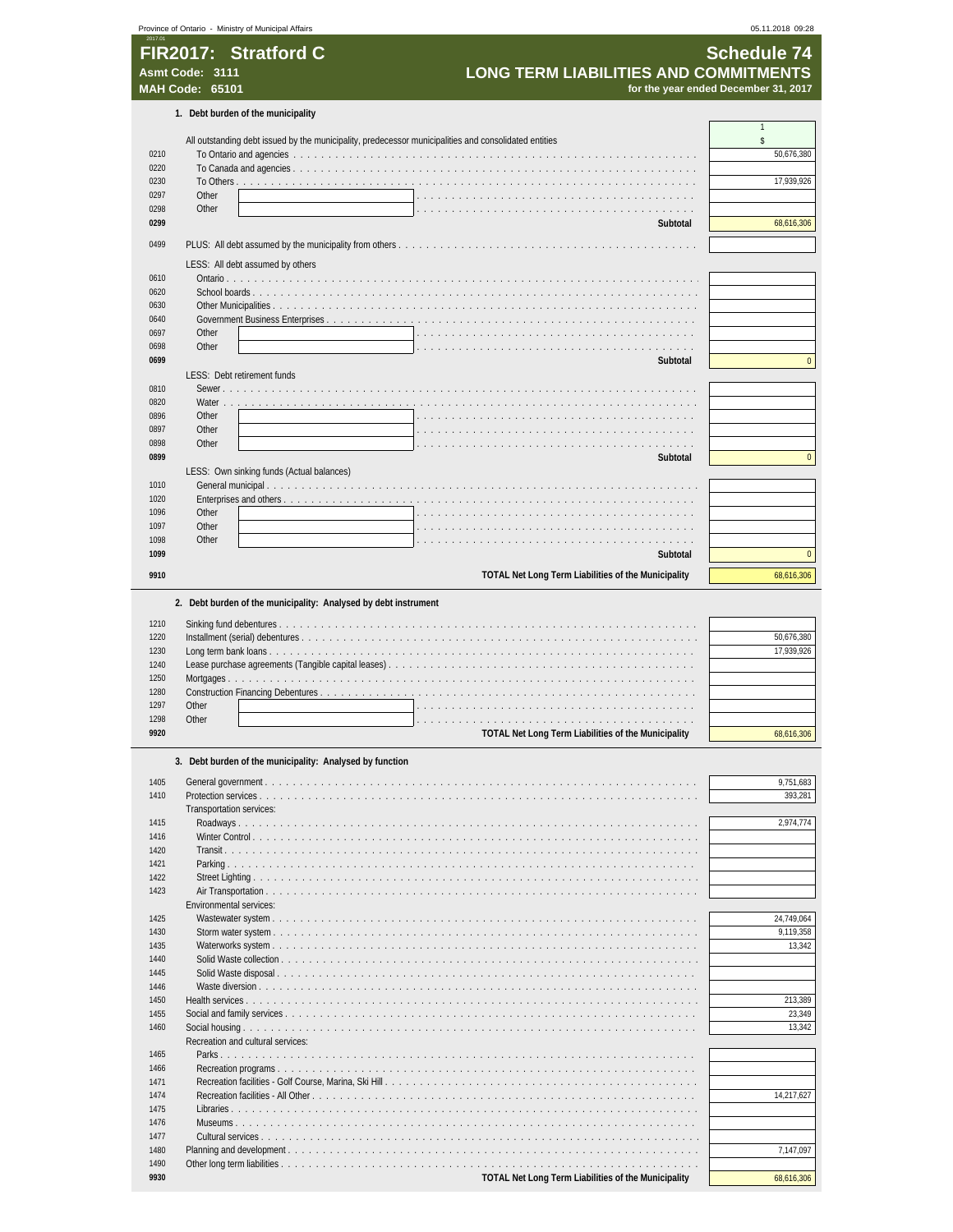|                                      |                        | Province of Ontario - Ministry of Municipal Affairs                                                   | 05.11.2018 09:28                     |
|--------------------------------------|------------------------|-------------------------------------------------------------------------------------------------------|--------------------------------------|
|                                      |                        | FIR2017: Stratford C                                                                                  | <b>Schedule 74</b>                   |
|                                      | Asmt Code: 3111        | <b>LONG TERM LIABILITIES AND COMMITMENTS</b>                                                          |                                      |
|                                      | <b>MAH Code: 65101</b> |                                                                                                       | for the year ended December 31, 2017 |
|                                      |                        |                                                                                                       |                                      |
|                                      |                        | 1. Debt burden of the municipality                                                                    | $\mathbf{1}$                         |
|                                      |                        | All outstanding debt issued by the municipality, predecessor municipalities and consolidated entities | \$                                   |
| 0210                                 |                        |                                                                                                       | 50,676,380                           |
| 0220<br>0230                         |                        |                                                                                                       | 17,939,926                           |
| 0297                                 | Other                  |                                                                                                       |                                      |
| 0298                                 | Other                  |                                                                                                       |                                      |
| 0299                                 |                        | Subtotal                                                                                              | 68,616,306                           |
| 0499                                 |                        |                                                                                                       |                                      |
|                                      |                        | LESS: All debt assumed by others                                                                      |                                      |
| 0610                                 |                        |                                                                                                       |                                      |
| 0620<br>0630                         |                        |                                                                                                       |                                      |
| 0640                                 |                        |                                                                                                       |                                      |
| 0697                                 | Other                  |                                                                                                       |                                      |
| 0698                                 | Other                  |                                                                                                       |                                      |
| 0699                                 |                        | Subtotal<br>LESS: Debt retirement funds                                                               | $\mathbf 0$                          |
| 0810                                 |                        | Sewer.                                                                                                |                                      |
| 0820                                 | Water                  | .                                                                                                     |                                      |
| 0896                                 | Other                  |                                                                                                       |                                      |
| 0897<br>0898                         | Other<br>Other         |                                                                                                       |                                      |
| 0899                                 |                        | Subtotal                                                                                              | $\mathbf 0$                          |
|                                      |                        | LESS: Own sinking funds (Actual balances)                                                             |                                      |
| 1010                                 |                        |                                                                                                       |                                      |
| 1020<br>1096                         | Other                  |                                                                                                       |                                      |
| 1097                                 | Other                  |                                                                                                       |                                      |
| 1098                                 | Other                  |                                                                                                       |                                      |
| 1099                                 |                        | Subtotal                                                                                              | $\mathbf{0}$                         |
| 9910                                 |                        | TOTAL Net Long Term Liabilities of the Municipality                                                   | 68,616,306                           |
| 1220                                 |                        |                                                                                                       | 50,676,380                           |
| 1230<br>1240<br>1250<br>1280<br>1297 | Other                  | .                                                                                                     | 17,939,926                           |
| 1298                                 | Other                  |                                                                                                       |                                      |
| 9920                                 |                        | TOTAL Net Long Term Liabilities of the Municipality                                                   | 68,616,306                           |
|                                      |                        | 3. Debt burden of the municipality: Analysed by function                                              |                                      |
|                                      |                        |                                                                                                       |                                      |
| 1405<br>1410                         |                        |                                                                                                       | 9,751,683<br>393,281                 |
|                                      |                        | Transportation services:                                                                              |                                      |
| 1415<br>1416                         |                        |                                                                                                       | 2,974,774                            |
| 1420                                 |                        |                                                                                                       |                                      |
| 1421                                 |                        |                                                                                                       |                                      |
| 1422<br>1423                         |                        |                                                                                                       |                                      |
|                                      |                        | Air Transportation<br>Environmental services:                                                         |                                      |
| 1425                                 |                        |                                                                                                       | 24,749,064                           |
| 1430                                 |                        |                                                                                                       | 9,119,358                            |
| 1435<br>1440                         |                        |                                                                                                       | 13,342                               |
| 1445                                 |                        |                                                                                                       |                                      |
| 1446                                 |                        |                                                                                                       |                                      |
| 1450<br>1455                         |                        |                                                                                                       | 213,389<br>23,349                    |
| 1460                                 |                        | Recreation and cultural services:                                                                     | 13,342                               |
| 1465                                 |                        |                                                                                                       |                                      |
| 1466                                 |                        |                                                                                                       |                                      |
| 1471                                 |                        |                                                                                                       |                                      |
| 1474<br>1475                         |                        |                                                                                                       | 14,217,627                           |
| 1476                                 |                        |                                                                                                       |                                      |
| 1477                                 |                        |                                                                                                       |                                      |
| 1480<br>1490                         |                        |                                                                                                       | 7,147,097                            |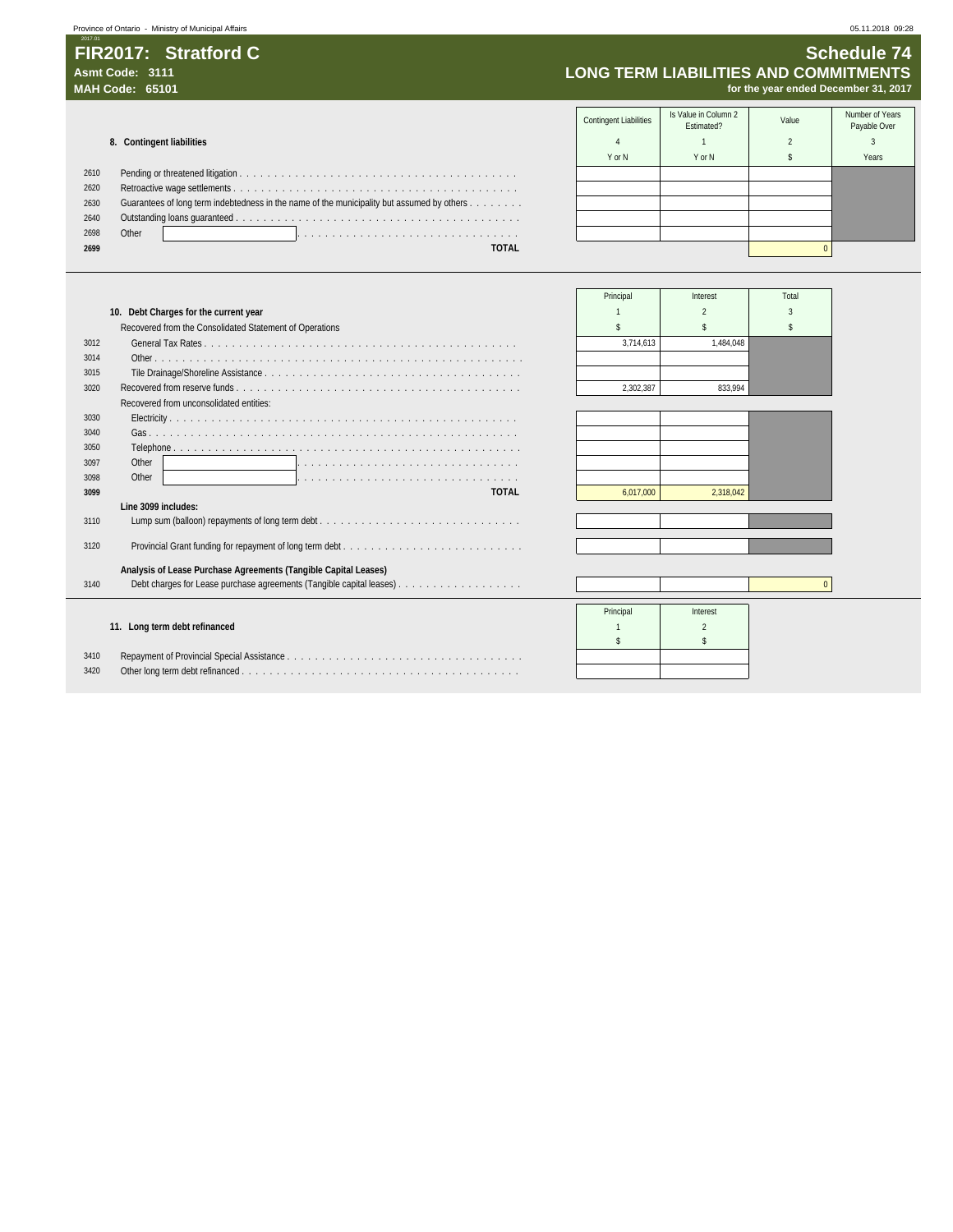**7**Province of Ontario - Ministry of Municipal Affairs 05.11.2018 09:28

### **FIR2017: Stratford C** Schedule 74 Asmt Code: 3111<br>MAH Code: 65101 **COMMITMENTS**<br>MAH Code: 65101 *Asmt Code: 65101* **LONG TERM LIABILITIES AND COMMITMENTS MAH Code: 65101 for the year ended December 31, 2017**

Contingent Liabilities Is Value in Column 2 Ilue in Column 2 (Inc. 2014)<br>Estimated? Estimated? Column Payable Over **8. Contingent liabilities 8. Contingent liabilities 1 1 1 1 2 3 3** YorN | YorN | \$ | Years 2610 Pending or threatened litigation . . . . . . . . . . . . . . . . . . . . . . . . . . . . . . . . . . . . . . . . 2620 Retroactive wage settlements . . . . . . . . . . . . . . . . . . . . . . . . . . . . . . . . . . . . . . . . . 2630 Guarantees of long term indebtedness in the name of the municipality but assumed by others . . . . . . . . 2640 Outstanding loans guaranteed . . . . . . . . . . . . . . . . . . . . . . . . . . . . . . . . . . . . . . . . . 2698 Other . . . . . . . . . . . . . . . . . . . . . . . . . . . . . . . . **2699 TOTAL** 0

|      |                                                                 | Principal | Interest  | Total |
|------|-----------------------------------------------------------------|-----------|-----------|-------|
|      | 10. Debt Charges for the current year                           |           |           |       |
|      | Recovered from the Consolidated Statement of Operations         |           |           |       |
| 3012 |                                                                 | 3.714.613 | 1.484.048 |       |
| 3014 |                                                                 |           |           |       |
| 3015 |                                                                 |           |           |       |
| 3020 |                                                                 | 2.302.387 | 833.994   |       |
|      | Recovered from unconsolidated entities:                         |           |           |       |
| 3030 |                                                                 |           |           |       |
| 3040 |                                                                 |           |           |       |
| 3050 |                                                                 |           |           |       |
| 3097 | Other                                                           |           |           |       |
| 3098 | Other                                                           |           |           |       |
| 3099 | <b>TOTAL</b>                                                    | 6.017.000 | 2.318.042 |       |
| 3110 | Line 3099 includes:                                             |           |           |       |
|      |                                                                 |           |           |       |
| 3120 |                                                                 |           |           |       |
|      |                                                                 |           |           |       |
| 3140 | Analysis of Lease Purchase Agreements (Tangible Capital Leases) |           |           |       |
|      |                                                                 |           |           |       |
|      |                                                                 | Principal | Interest  |       |
|      | 11. Long term debt refinanced                                   |           |           |       |
|      |                                                                 |           |           |       |
| 3410 |                                                                 |           |           |       |
| 3420 |                                                                 |           |           |       |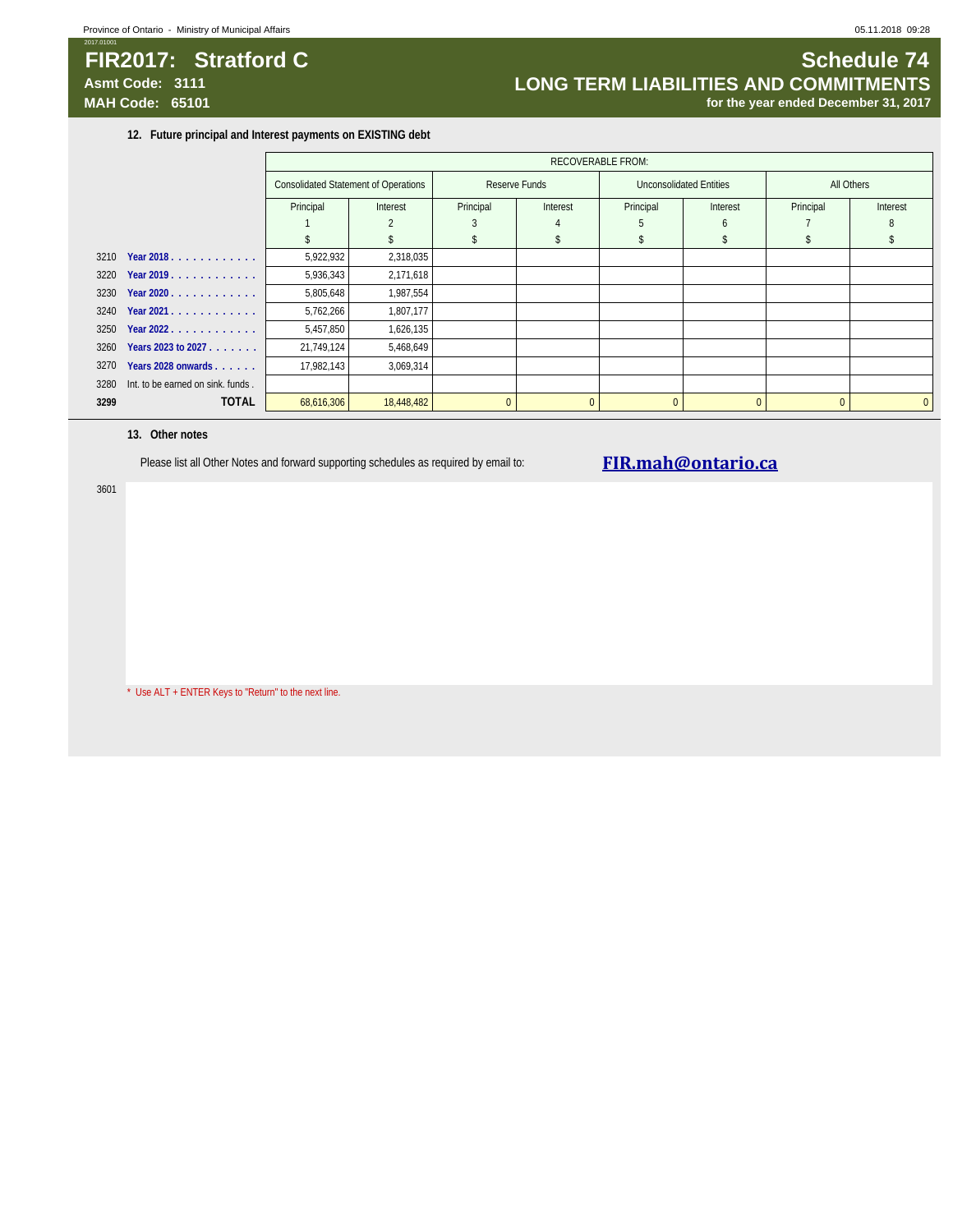### **FIR2017:** Stratford C Schedule 74 **Asmt Code: 3111 LONG TERM LIABILITIES AND COMMITMENTS MAH Code: 65101 for the year ended December 31, 2017**

**12. Future principal and Interest payments on EXISTING debt**

|      |                                   | <b>RECOVERABLE FROM:</b> |                                                                                         |           |                |              |          |          |              |
|------|-----------------------------------|--------------------------|-----------------------------------------------------------------------------------------|-----------|----------------|--------------|----------|----------|--------------|
|      |                                   |                          | <b>Consolidated Statement of Operations</b><br>Reserve Funds<br>Unconsolidated Entities |           | All Others     |              |          |          |              |
|      |                                   | Principal                | Interest                                                                                | Principal | Interest       | Principal    | Interest |          | Interest     |
|      |                                   |                          |                                                                                         | 3         |                |              | h        |          |              |
|      |                                   |                          |                                                                                         |           |                |              |          |          |              |
| 3210 | Year 2018.                        | 5,922,932                | 2,318,035                                                                               |           |                |              |          |          |              |
| 3220 | Year 2019.                        | 5,936,343                | 2,171,618                                                                               |           |                |              |          |          |              |
| 3230 | Year 2020                         | 5,805,648                | 1,987,554                                                                               |           |                |              |          |          |              |
| 3240 | Year 2021.                        | 5,762,266                | 1,807,177                                                                               |           |                |              |          |          |              |
| 3250 | Year 2022.                        | 5,457,850                | 1,626,135                                                                               |           |                |              |          |          |              |
| 3260 | Years 2023 to 2027                | 21,749,124               | 5,468,649                                                                               |           |                |              |          |          |              |
| 3270 | Years 2028 onwards                | 17,982,143               | 3,069,314                                                                               |           |                |              |          |          |              |
| 3280 | Int. to be earned on sink. funds. |                          |                                                                                         |           |                |              |          |          |              |
| 3299 | <b>TOTAL</b>                      | 68,616,306               | 18,448,482                                                                              |           | $\overline{0}$ | $\mathbf{0}$ | $\Omega$ | $\Omega$ | $\mathbf{0}$ |

### **13. Other notes**

3601

Please list all Other Notes and forward supporting schedules as required by email to: **FIR.mah@ontario.ca** 

\* Use ALT + ENTER Keys to "Return" to the next line.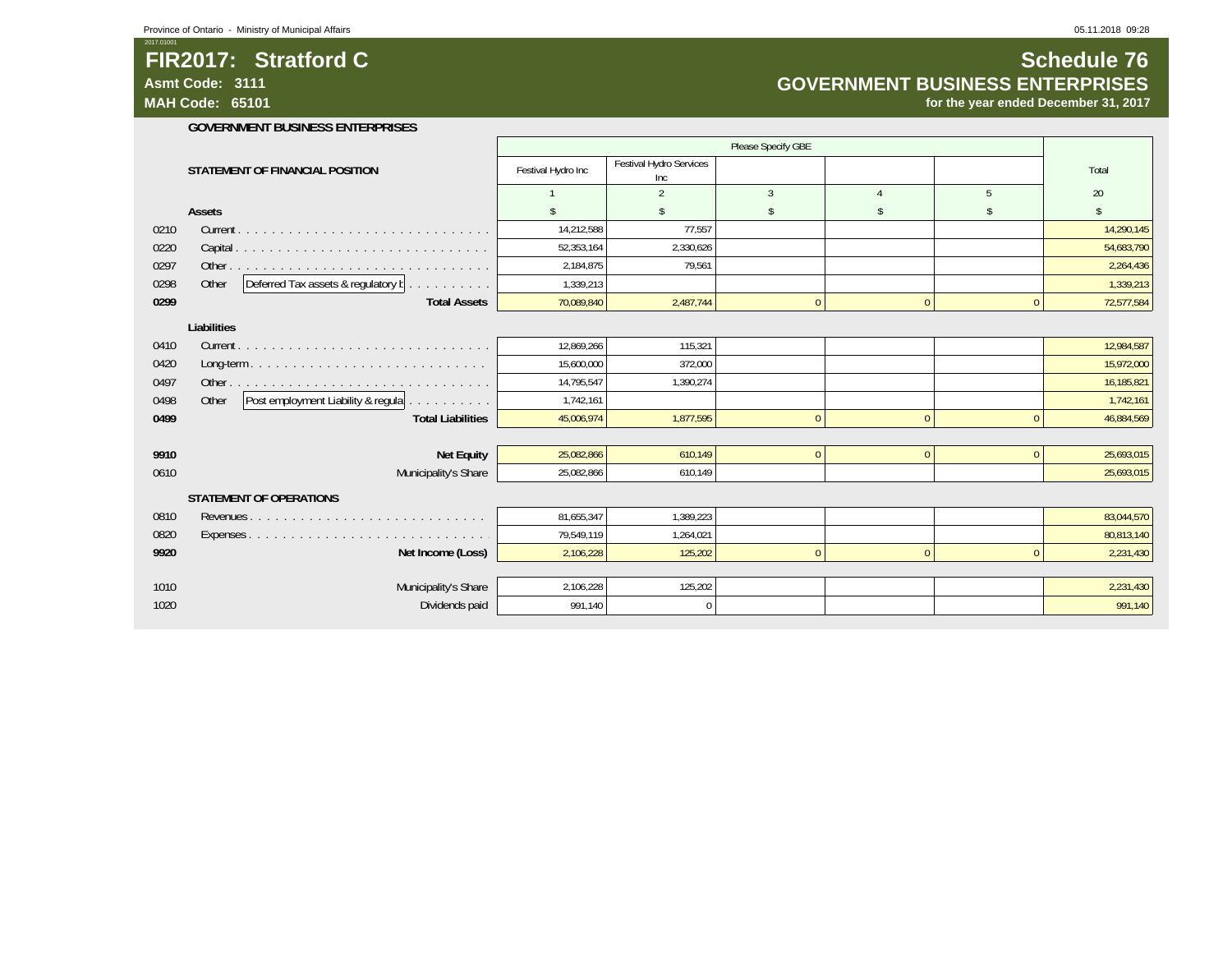### **FIR2017: Stratford C**

**Asmt Code: 3111**

2017.01001

**MAH Code: 65101**

### **Schedule 76 GOVERNMENT BUSINESS ENTERPRISES**

**for the year ended December 31, 2017**

#### **GOVERNMENT BUSINESS ENTERPRISES**

|             |                                                                    | Please Specify GBE |                                |              |              |              |            |  |
|-------------|--------------------------------------------------------------------|--------------------|--------------------------------|--------------|--------------|--------------|------------|--|
|             | STATEMENT OF FINANCIAL POSITION                                    | Festival Hydro Inc | Festival Hydro Services<br>Inc |              |              |              | Total      |  |
|             |                                                                    |                    | $\overline{2}$                 | 3            |              | 5            | 20         |  |
|             | Assets                                                             |                    |                                |              |              | \$           | \$         |  |
| 0210        |                                                                    | 14,212,588         | 77,557                         |              |              |              | 14,290,145 |  |
| 0220        |                                                                    | 52,353,164         | 2,330,626                      |              |              |              | 54,683,790 |  |
| 0297        |                                                                    | 2,184,875          | 79,561                         |              |              |              | 2,264,436  |  |
| 0298        | Deferred Tax assets & regulatory b<br>Other<br>and a series of the | 1,339,213          |                                |              |              |              | 1,339,213  |  |
| 0299        | <b>Total Assets</b>                                                | 70,089,840         | 2,487,744                      | $\Omega$     | $\mathbf{0}$ | $\mathbf{0}$ | 72,577,584 |  |
| Liabilities |                                                                    |                    |                                |              |              |              |            |  |
| 0410        |                                                                    | 12,869,266         | 115,321                        |              |              |              | 12,984,587 |  |
| 0420        |                                                                    | 15,600,000         | 372.000                        |              |              |              | 15,972,000 |  |
| 0497        |                                                                    | 14,795,547         | 1,390,274                      |              |              |              | 16,185,821 |  |
| 0498        | Post employment Liability & regula<br>Other                        | 1,742,161          |                                |              |              |              | 1,742,161  |  |
| 0499        | <b>Total Liabilities</b>                                           | 45,006,974         | 1,877,595                      |              | $\mathbf{0}$ | $\mathbf{0}$ | 46,884,569 |  |
|             |                                                                    |                    |                                |              |              |              |            |  |
| 9910        | <b>Net Equity</b>                                                  | 25,082,866         | 610,149                        | $\mathbf{0}$ | $\mathbf{0}$ | $\mathbf{0}$ | 25,693,015 |  |
| 0610        | Municipality's Share                                               | 25,082,866         | 610,149                        |              |              |              | 25,693,015 |  |
|             | <b>STATEMENT OF OPERATIONS</b>                                     |                    |                                |              |              |              |            |  |
| 0810        |                                                                    | 81,655,347         | 1,389,223                      |              |              |              | 83,044,570 |  |
| 0820        |                                                                    | 79,549,119         | 1,264,021                      |              |              |              | 80,813,140 |  |
| 9920        | Net Income (Loss)                                                  | 2,106,228          | 125,202                        | $\Omega$     | $\Omega$     | $\mathbf{0}$ | 2,231,430  |  |
|             |                                                                    |                    |                                |              |              |              |            |  |
| 1010        | Municipality's Share                                               | 2,106,228          | 125,202                        |              |              |              | 2,231,430  |  |
| 1020        | Dividends paid                                                     | 991,140            | $\Omega$                       |              |              |              | 991,140    |  |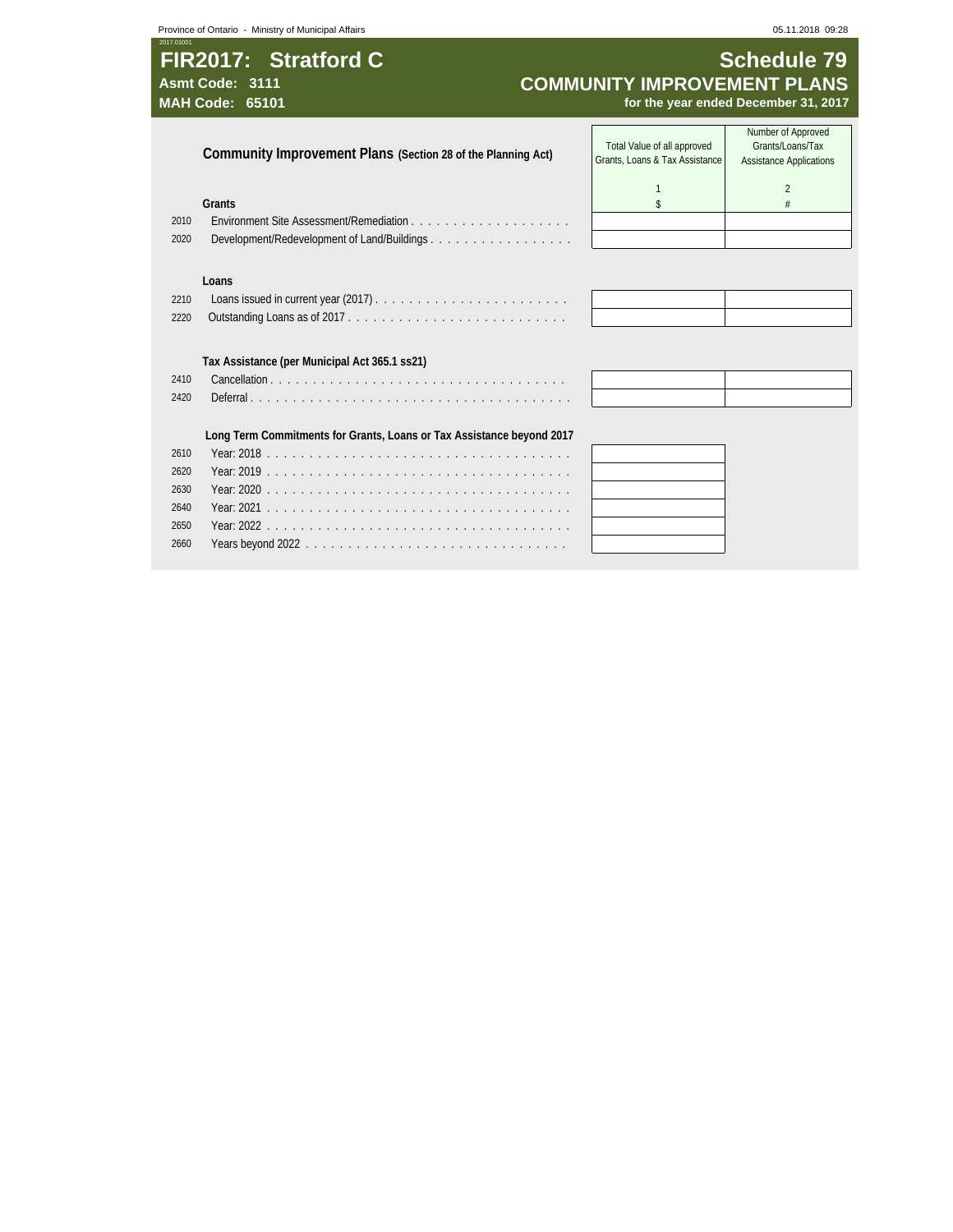## 2017.01001 **FIR2017: Stratford C Schedule 79** Asmt Code: 3111<br> **Asmt Code: 3111 COMMUNITY IMPROVEMENT PLANS**<br>
for the year ended December 31, 2017

for the year ended December 31, 2017

|      | Community Improvement Plans (Section 28 of the Planning Act)          | Total Value of all approved<br>Grants, Loans & Tax Assistance | Number of Approved<br>Grants/Loans/Tax<br><b>Assistance Applications</b> |
|------|-----------------------------------------------------------------------|---------------------------------------------------------------|--------------------------------------------------------------------------|
|      | Grants                                                                |                                                               | $\mathfrak{D}$                                                           |
| 2010 |                                                                       |                                                               |                                                                          |
| 2020 |                                                                       |                                                               |                                                                          |
|      |                                                                       |                                                               |                                                                          |
|      | Loans                                                                 |                                                               |                                                                          |
| 2210 |                                                                       |                                                               |                                                                          |
| 2220 |                                                                       |                                                               |                                                                          |
|      |                                                                       |                                                               |                                                                          |
|      | Tax Assistance (per Municipal Act 365.1 ss21)                         |                                                               |                                                                          |
| 2410 |                                                                       |                                                               |                                                                          |
| 2420 |                                                                       |                                                               |                                                                          |
|      |                                                                       |                                                               |                                                                          |
|      | Long Term Commitments for Grants, Loans or Tax Assistance beyond 2017 |                                                               |                                                                          |
| 2610 |                                                                       |                                                               |                                                                          |
| 2620 |                                                                       |                                                               |                                                                          |
| 2630 |                                                                       |                                                               |                                                                          |
| 2640 |                                                                       |                                                               |                                                                          |
| 2650 |                                                                       |                                                               |                                                                          |

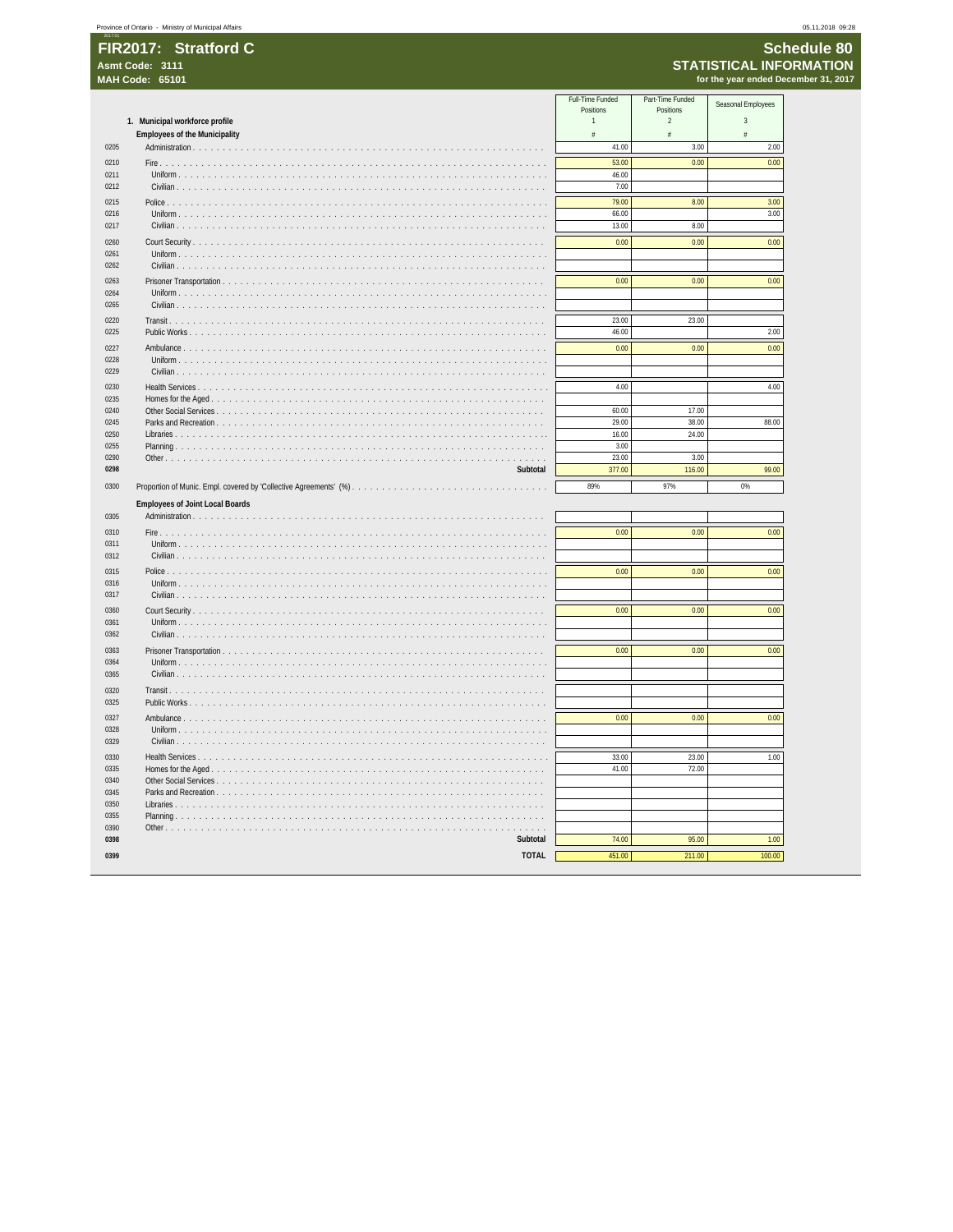## Schedule 80 STATISTICAL INFORMATION<br>for the year ended December 31, 2017

|              |                                               | Full-Time Funded<br>Positions | Part-Time Funded<br>Positions | Seasonal Employees |
|--------------|-----------------------------------------------|-------------------------------|-------------------------------|--------------------|
|              | 1. Municipal workforce profile                | $\mathbf{1}$                  | $\overline{2}$                | $\overline{3}$     |
|              | <b>Employees of the Municipality</b>          | $\#$                          | $\#$                          | $\#$               |
| 0205         | Administration                                | 41.00                         | 3.00                          | 2.00               |
| 0210         |                                               | 53.00                         | 0.00                          | 0.00               |
| 0211         | Uniform                                       | 46.00                         |                               |                    |
| 0212         | Civilian                                      | 7.00                          |                               |                    |
| 0215         | Police                                        | 79.00                         | 8.00                          | 3.00               |
| 0216         | Uniform                                       | 66.00                         |                               | 3.00               |
| 0217         | Civilian $\ldots$ , $\ldots$                  | 13.00                         | 8.00                          |                    |
| 0260         | Court Security                                | 0.00                          | 0.00                          | 0.00               |
| 0261         | Uniform                                       |                               |                               |                    |
| 0262         | Civilian                                      |                               |                               |                    |
| 0263         |                                               | 0.00                          | 0.00                          | 0.00               |
| 0264         | Prisoner Transportation<br>Uniform            |                               |                               |                    |
| 0265         | Civilian                                      |                               |                               |                    |
|              |                                               |                               |                               |                    |
| 0220         | Transit $\ldots$                              | 23.00                         | 23.00                         |                    |
| 0225         | Public Works                                  | 46.00                         |                               | 2.00               |
| 0227         | Ambulance                                     | 0.00                          | 0.00                          | 0.00               |
| 0228         | Uniform                                       |                               |                               |                    |
| 0229         | Civilian                                      |                               |                               |                    |
| 0230         | Health Services                               | 4.00                          |                               | 4.00               |
| 0235         | Homes for the Aged                            |                               |                               |                    |
| 0240         | Other Social Services                         | 60.00                         | 17.00                         |                    |
| 0245         | Parks and Recreation                          | 29.00                         | 38.00                         | 88.00              |
| 0250<br>0255 | Libraries<br>Planning                         | 16.00<br>3.00                 | 24.00                         |                    |
| 0290         | .                                             | 23.00                         | 3.00                          |                    |
| 0298         | Subtotal                                      | 377.00                        | 116.00                        | 99.00              |
|              |                                               |                               |                               |                    |
|              |                                               |                               |                               |                    |
| 0300         |                                               | 89%                           | 97%                           | 0%                 |
|              | <b>Employees of Joint Local Boards</b>        |                               |                               |                    |
| 0305         | Administration                                |                               |                               |                    |
| 0310         | Fire                                          | 0.00                          | 0.00                          | 0.00               |
| 0311         | Uniform                                       |                               |                               |                    |
| 0312         | Civilian                                      |                               |                               |                    |
| 0315         | $Police.$                                     | 0.00                          | 0.00                          | 0.00               |
| 0316         | Uniform                                       |                               |                               |                    |
| 0317         |                                               |                               |                               |                    |
|              |                                               |                               |                               |                    |
| 0360<br>0361 | Court Security<br>Uniform                     | 0.00                          | 0.00                          | 0.00               |
| 0362         | Civilian                                      |                               |                               |                    |
| 0363         | Prisoner Transportation                       | 0.00                          | 0.00                          | 0.00               |
| 0364         | Uniform                                       |                               |                               |                    |
| 0365         | Civilian $\ldots$ $\ldots$ $\ldots$           |                               |                               |                    |
|              |                                               |                               |                               |                    |
| 0320         | Transit.                                      |                               |                               |                    |
| 0325         | Public Works                                  |                               |                               |                    |
| 0327         | Ambulance                                     | 0.00                          | 0.00                          | 0.00               |
| 0328         | Uniform                                       |                               |                               |                    |
| 0329         | Civilian                                      |                               |                               |                    |
| 0330         | Health Services.                              | 33.00                         | 23.00                         | 1.00               |
| 0335         | Homes for the Aged                            | 41.00                         | 72.00                         |                    |
| 0340<br>0345 | Other Social Services<br>Parks and Recreation |                               |                               |                    |
| 0350         | Libraries                                     |                               |                               |                    |
| 0355         | Planning                                      |                               |                               |                    |
| 0390         |                                               |                               |                               |                    |
| 0398         | Subtotal                                      | 74.00                         | 95.00                         | 1.00               |
| 0399         | <b>TOTAL</b>                                  | 451.00                        | 211.00                        | 100.00             |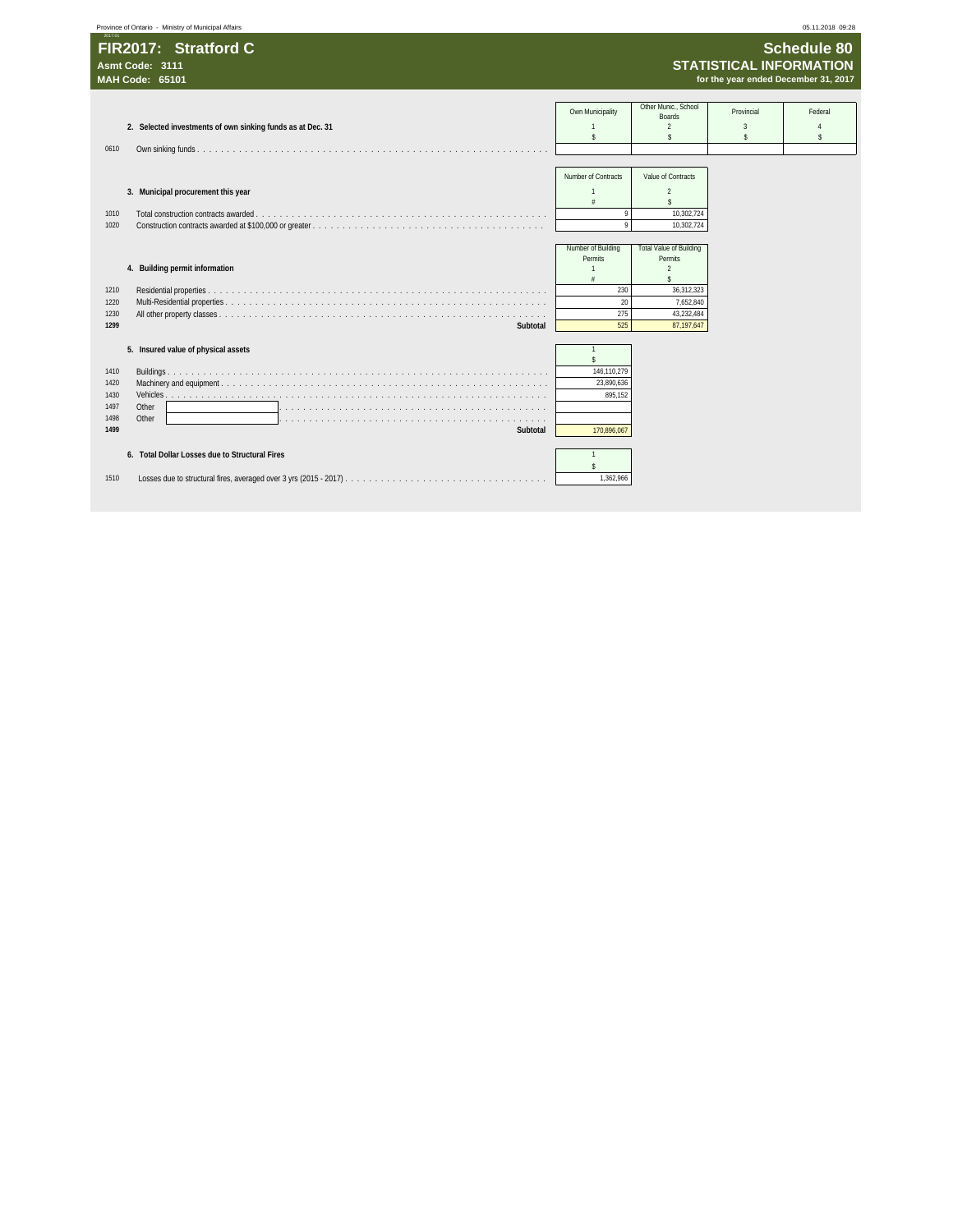| Province of Ontario - Ministry of Municipal Affairs                                                                                   |                                                                  |                                                                                                                      |                                                                        | 05.11.2018 09:28   |
|---------------------------------------------------------------------------------------------------------------------------------------|------------------------------------------------------------------|----------------------------------------------------------------------------------------------------------------------|------------------------------------------------------------------------|--------------------|
| 2017.01<br>FIR2017: Stratford C<br>Asmt Code: 3111<br><b>MAH Code: 65101</b>                                                          |                                                                  |                                                                                                                      | <b>STATISTICAL INFORMATION</b><br>for the year ended December 31, 2017 | <b>Schedule 80</b> |
| 2. Selected investments of own sinking funds as at Dec. 31<br>0610                                                                    | Own Municipality<br>\$                                           | Other Munic., School<br><b>Boards</b><br>$\overline{2}$<br>s.                                                        | Provincial<br>3<br>s                                                   | Federal<br>s       |
| 3. Municipal procurement this year<br>1010<br>1020                                                                                    | Number of Contracts<br>$\#$<br>9<br>$\mathsf{Q}$                 | Value of Contracts<br>$\overline{2}$<br>$\hat{\mathbf{S}}$<br>10,302,724<br>10,302,724                               |                                                                        |                    |
| 4. Building permit information<br>1210<br>1220<br>1230                                                                                | Number of Building<br>Permits<br>230<br>20<br>275                | <b>Total Value of Building</b><br>Permits<br>$\overline{2}$<br>$\mathsf{s}$<br>36,312,323<br>7,652,840<br>43,232,484 |                                                                        |                    |
| 1299<br>Subtotal<br>5. Insured value of physical assets<br>1410<br>1420<br>1430<br>1497<br>Other<br>1498<br>Other<br>1499<br>Subtotal | 525<br>\$<br>146,110,279<br>23,890,636<br>895,152<br>170.896.067 | 87,197,647                                                                                                           |                                                                        |                    |
| 6. Total Dollar Losses due to Structural Fires<br>1510                                                                                | $\mathbf{1}$<br>\$<br>1,362,966                                  |                                                                                                                      |                                                                        |                    |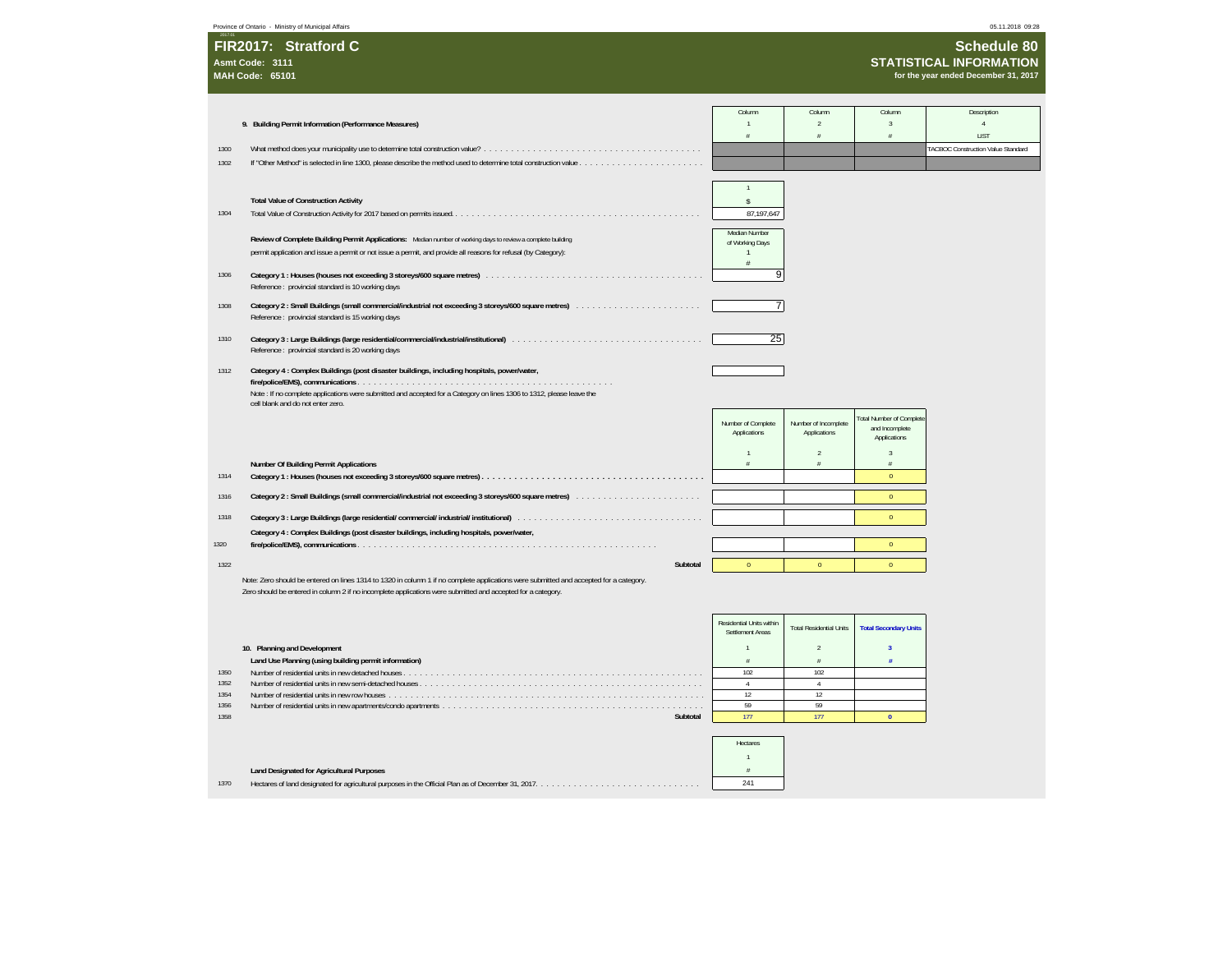**Sc**Province of Ontario - Ministry of Municipal Affairs 05.11.2018 09:28

| 2017.01                |  |
|------------------------|--|
| FIR2017: Stratford C   |  |
| Asmt Code: 3111        |  |
| <b>MAH Code: 65101</b> |  |

 **Schedule 80 STATISTICAL INFORMATION for the year ended December 31, 2017**

|              |                                                                                                                                        | Column                   | Column                         | Column                                   | Description                               |
|--------------|----------------------------------------------------------------------------------------------------------------------------------------|--------------------------|--------------------------------|------------------------------------------|-------------------------------------------|
|              | 9. Building Permit Information (Performance Measures)                                                                                  |                          | $\overline{2}$                 | $\mathcal{R}$                            |                                           |
|              |                                                                                                                                        | $\frac{1}{4}$            | $\hat{x}$                      | $\tilde{x}$                              | LIST                                      |
| 1300         |                                                                                                                                        |                          |                                |                                          | <b>FACBOC Construction Value Standard</b> |
| 1302         |                                                                                                                                        |                          |                                |                                          |                                           |
|              |                                                                                                                                        |                          |                                |                                          |                                           |
|              |                                                                                                                                        | $\mathbf{1}$             |                                |                                          |                                           |
|              | <b>Total Value of Construction Activity</b>                                                                                            | Ŝ                        |                                |                                          |                                           |
| 1304         |                                                                                                                                        | 87,197,647               |                                |                                          |                                           |
|              |                                                                                                                                        |                          |                                |                                          |                                           |
|              | Review of Complete Building Permit Applications: Median number of working days to review a complete building                           | Median Number            |                                |                                          |                                           |
|              |                                                                                                                                        | of Working Days<br>1     |                                |                                          |                                           |
|              | permit application and issue a permit or not issue a permit, and provide all reasons for refusal (by Category):                        | $\ddot{x}$               |                                |                                          |                                           |
| 1306         |                                                                                                                                        | 9                        |                                |                                          |                                           |
|              | Reference : provincial standard is 10 working days                                                                                     |                          |                                |                                          |                                           |
|              |                                                                                                                                        |                          |                                |                                          |                                           |
| 1308         |                                                                                                                                        | 7                        |                                |                                          |                                           |
|              | Reference: provincial standard is 15 working days                                                                                      |                          |                                |                                          |                                           |
|              |                                                                                                                                        |                          |                                |                                          |                                           |
| 1310         | Reference: provincial standard is 20 working days                                                                                      | 25                       |                                |                                          |                                           |
|              |                                                                                                                                        |                          |                                |                                          |                                           |
| 1312         | Category 4 : Complex Buildings (post disaster buildings, including hospitals, power/water,                                             |                          |                                |                                          |                                           |
|              |                                                                                                                                        |                          |                                |                                          |                                           |
|              | Note: If no complete applications were submitted and accepted for a Category on lines 1306 to 1312, please leave the                   |                          |                                |                                          |                                           |
|              | cell blank and do not enter zero.                                                                                                      |                          |                                |                                          |                                           |
|              |                                                                                                                                        | Number of Complete       | Number of Incomplete           | <b>Total Number of Complete</b>          |                                           |
|              |                                                                                                                                        | Applications             | Applications                   | and Incomplete                           |                                           |
|              |                                                                                                                                        |                          |                                | Applications                             |                                           |
|              |                                                                                                                                        | $\mathbf{1}$             | $\overline{2}$                 | $\overline{3}$                           |                                           |
|              | Number Of Building Permit Applications                                                                                                 | ¥                        | $\#$                           | $\#$                                     |                                           |
| 1314         |                                                                                                                                        |                          |                                | $\Omega$                                 |                                           |
| 1316         |                                                                                                                                        |                          |                                | $\mathbf{0}$                             |                                           |
|              |                                                                                                                                        |                          |                                |                                          |                                           |
| 1318         |                                                                                                                                        |                          |                                | $\Omega$                                 |                                           |
|              | Category 4 : Complex Buildings (post disaster buildings, including hospitals, power/water,                                             |                          |                                |                                          |                                           |
| 1320         |                                                                                                                                        |                          |                                | $\mathbf{0}$                             |                                           |
|              |                                                                                                                                        |                          |                                |                                          |                                           |
| 1322         | Subtotal                                                                                                                               | $\mathbf{0}$             | $\theta$                       | $\mathbf{0}$                             |                                           |
|              | Note: Zero should be entered on lines 1314 to 1320 in column 1 if no complete applications were submitted and accepted for a category. |                          |                                |                                          |                                           |
|              | Zero should be entered in column 2 if no incomplete applications were submitted and accepted for a category.                           |                          |                                |                                          |                                           |
|              |                                                                                                                                        |                          |                                |                                          |                                           |
|              |                                                                                                                                        | Residential Units within |                                |                                          |                                           |
|              |                                                                                                                                        | Settlement Areas         | <b>Total Residential Units</b> | <b>Total Secondary Units</b>             |                                           |
|              |                                                                                                                                        |                          |                                |                                          |                                           |
|              | 10. Planning and Development                                                                                                           | 1                        | $\mathcal{P}$                  | $\overline{\mathbf{3}}$<br>$\frac{1}{2}$ |                                           |
|              | Land Use Planning (using building permit information)                                                                                  | $\#$                     | $\#$                           |                                          |                                           |
| 1350<br>1352 |                                                                                                                                        | 102<br>$\overline{4}$    | 102<br>$\overline{4}$          |                                          |                                           |
| 1354         |                                                                                                                                        | 12                       | 12                             |                                          |                                           |
| 1356         |                                                                                                                                        | 59                       | 59                             |                                          |                                           |
| 1358         | Subtotal                                                                                                                               | 177                      | 177                            | $\mathbf{0}$                             |                                           |
|              |                                                                                                                                        |                          |                                |                                          |                                           |

|      |                                                  | Hectares |  |
|------|--------------------------------------------------|----------|--|
|      |                                                  |          |  |
|      | <b>Land Designated for Agricultural Purposes</b> |          |  |
| 1370 |                                                  | 241      |  |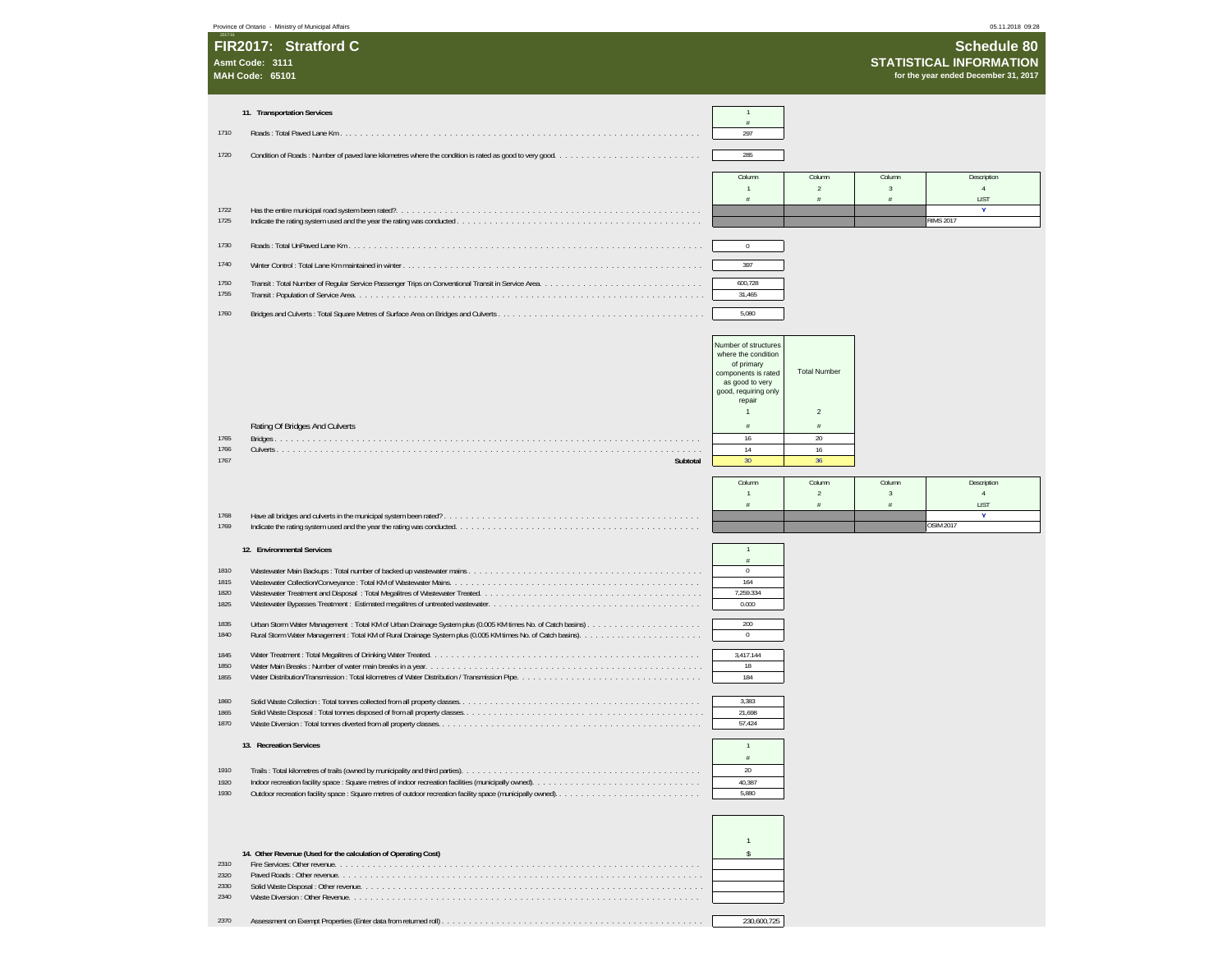|                              | Province of Ontario - Ministry of Municipal Affairs               |                                                                |                                                                                                                                                       |                                       |                        | 05.11.2018 09:28                                                                             |
|------------------------------|-------------------------------------------------------------------|----------------------------------------------------------------|-------------------------------------------------------------------------------------------------------------------------------------------------------|---------------------------------------|------------------------|----------------------------------------------------------------------------------------------|
|                              | FIR2017: Stratford C<br>Asmt Code: 3111<br><b>MAH Code: 65101</b> |                                                                |                                                                                                                                                       |                                       |                        | <b>Schedule 80</b><br><b>STATISTICAL INFORMATION</b><br>for the year ended December 31, 2017 |
|                              | 11. Transportation Services                                       |                                                                | $\overline{1}$                                                                                                                                        |                                       |                        |                                                                                              |
|                              |                                                                   |                                                                |                                                                                                                                                       |                                       |                        |                                                                                              |
| 1710                         |                                                                   |                                                                | 297                                                                                                                                                   |                                       |                        |                                                                                              |
| 1720                         |                                                                   |                                                                | 285                                                                                                                                                   |                                       |                        |                                                                                              |
|                              |                                                                   |                                                                | Column                                                                                                                                                | Column                                | Column                 | Description                                                                                  |
|                              |                                                                   |                                                                | 1<br>#                                                                                                                                                | $\sqrt{2}$<br>$\#$                    | $\mathbf{3}$<br>$\#$   | $\overline{4}$<br>LIST                                                                       |
| 1722<br>1725                 |                                                                   |                                                                |                                                                                                                                                       |                                       |                        | Y<br><b>RIMS 2017</b>                                                                        |
|                              |                                                                   |                                                                |                                                                                                                                                       |                                       |                        |                                                                                              |
| 1730                         |                                                                   |                                                                | $\bf{0}$                                                                                                                                              |                                       |                        |                                                                                              |
| 1740                         |                                                                   |                                                                | 397                                                                                                                                                   |                                       |                        |                                                                                              |
| 1750<br>1755                 |                                                                   |                                                                | 600,728<br>31,465                                                                                                                                     |                                       |                        |                                                                                              |
| 1760                         |                                                                   |                                                                | 5,080                                                                                                                                                 |                                       |                        |                                                                                              |
|                              |                                                                   |                                                                |                                                                                                                                                       |                                       |                        |                                                                                              |
|                              |                                                                   |                                                                | Number of structures<br>where the condition<br>of primary<br>components is rated<br>as good to very<br>good, requiring only<br>repair<br>$\mathbf{1}$ | <b>Total Number</b><br>$\overline{c}$ |                        |                                                                                              |
|                              | Rating Of Bridges And Culverts                                    |                                                                | #                                                                                                                                                     | $\#$                                  |                        |                                                                                              |
| 1765<br>1766                 |                                                                   |                                                                | 16<br>14                                                                                                                                              | 20<br>16                              |                        |                                                                                              |
| 1767                         |                                                                   | Subtotal                                                       | 30 <sup>°</sup>                                                                                                                                       | 36                                    |                        |                                                                                              |
|                              |                                                                   |                                                                | Column                                                                                                                                                | Column                                | Column                 | Description                                                                                  |
|                              |                                                                   |                                                                | 1<br>$\#$                                                                                                                                             | $\overline{2}$<br>$\#$                | $\overline{3}$<br>$\#$ | $\overline{4}$<br>LIST                                                                       |
| 1768                         |                                                                   |                                                                |                                                                                                                                                       |                                       |                        | Y<br><b>OSIM 2017</b>                                                                        |
| 1769                         |                                                                   |                                                                |                                                                                                                                                       |                                       |                        |                                                                                              |
|                              | 12. Environmental Services                                        |                                                                | $\mathbf{1}$<br>$\#$                                                                                                                                  |                                       |                        |                                                                                              |
| 1810<br>1815<br>1820<br>1825 |                                                                   |                                                                | $\,0\,$<br>164<br>7,259.334<br>0.000                                                                                                                  |                                       |                        |                                                                                              |
| 1835<br>1840                 |                                                                   |                                                                | 200<br>$\bf{0}$                                                                                                                                       |                                       |                        |                                                                                              |
| 1845                         |                                                                   |                                                                | 3,417.144                                                                                                                                             |                                       |                        |                                                                                              |
| 1850<br>1855                 |                                                                   |                                                                | 18<br>184                                                                                                                                             |                                       |                        |                                                                                              |
|                              |                                                                   |                                                                |                                                                                                                                                       |                                       |                        |                                                                                              |
| 1860<br>1865                 |                                                                   |                                                                | 3,383<br>21,698                                                                                                                                       |                                       |                        |                                                                                              |
| 1870                         |                                                                   |                                                                | 57,424                                                                                                                                                |                                       |                        |                                                                                              |
|                              | 13. Recreation Services                                           |                                                                | $\mathbf{1}$                                                                                                                                          |                                       |                        |                                                                                              |
| 1910                         |                                                                   |                                                                | $\#$<br>20                                                                                                                                            |                                       |                        |                                                                                              |
| 1920                         |                                                                   |                                                                | 40,387                                                                                                                                                |                                       |                        |                                                                                              |
| 1930                         |                                                                   |                                                                | 5,880<br>$\mathbf{1}$                                                                                                                                 |                                       |                        |                                                                                              |
| 2310                         |                                                                   | 14. Other Revenue (Used for the calculation of Operating Cost) | \$                                                                                                                                                    |                                       |                        |                                                                                              |
| 2320<br>2330                 |                                                                   |                                                                |                                                                                                                                                       |                                       |                        |                                                                                              |
| 2340                         |                                                                   |                                                                |                                                                                                                                                       |                                       |                        |                                                                                              |
| 2370                         |                                                                   |                                                                | 230,600,725                                                                                                                                           |                                       |                        |                                                                                              |
|                              |                                                                   |                                                                |                                                                                                                                                       |                                       |                        |                                                                                              |